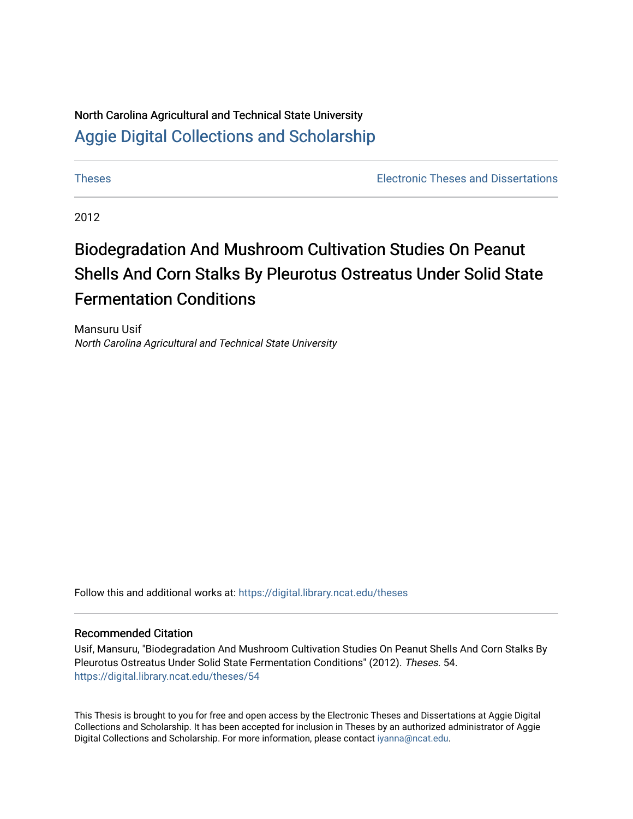# North Carolina Agricultural and Technical State University [Aggie Digital Collections and Scholarship](https://digital.library.ncat.edu/)

[Theses](https://digital.library.ncat.edu/theses) [Electronic Theses and Dissertations](https://digital.library.ncat.edu/etds) 

2012

# Biodegradation And Mushroom Cultivation Studies On Peanut Shells And Corn Stalks By Pleurotus Ostreatus Under Solid State Fermentation Conditions

Mansuru Usif North Carolina Agricultural and Technical State University

Follow this and additional works at: [https://digital.library.ncat.edu/theses](https://digital.library.ncat.edu/theses?utm_source=digital.library.ncat.edu%2Ftheses%2F54&utm_medium=PDF&utm_campaign=PDFCoverPages) 

#### Recommended Citation

Usif, Mansuru, "Biodegradation And Mushroom Cultivation Studies On Peanut Shells And Corn Stalks By Pleurotus Ostreatus Under Solid State Fermentation Conditions" (2012). Theses. 54. [https://digital.library.ncat.edu/theses/54](https://digital.library.ncat.edu/theses/54?utm_source=digital.library.ncat.edu%2Ftheses%2F54&utm_medium=PDF&utm_campaign=PDFCoverPages)

This Thesis is brought to you for free and open access by the Electronic Theses and Dissertations at Aggie Digital Collections and Scholarship. It has been accepted for inclusion in Theses by an authorized administrator of Aggie Digital Collections and Scholarship. For more information, please contact [iyanna@ncat.edu.](mailto:iyanna@ncat.edu)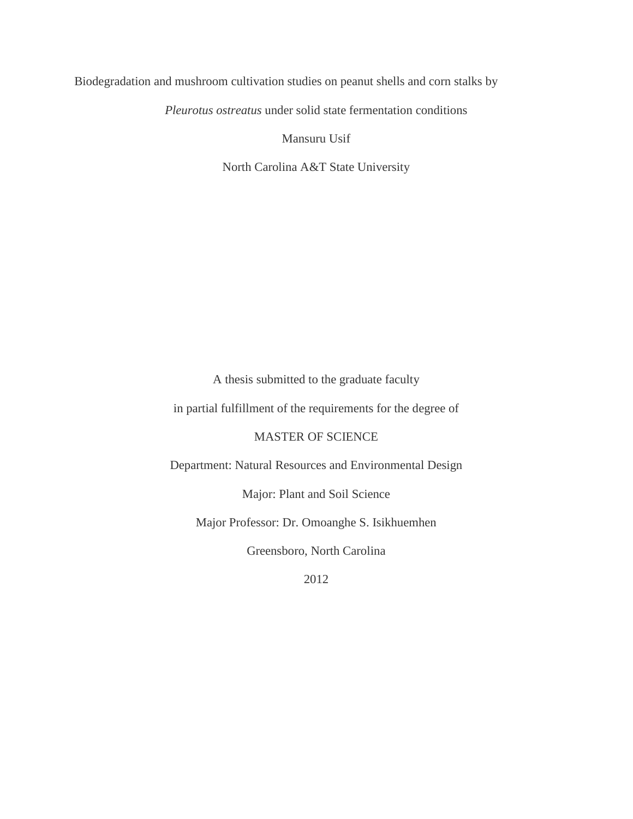Biodegradation and mushroom cultivation studies on peanut shells and corn stalks by

*Pleurotus ostreatus* under solid state fermentation conditions

Mansuru Usif

North Carolina A&T State University

A thesis submitted to the graduate faculty

in partial fulfillment of the requirements for the degree of

MASTER OF SCIENCE

Department: Natural Resources and Environmental Design

Major: Plant and Soil Science

Major Professor: Dr. Omoanghe S. Isikhuemhen

Greensboro, North Carolina

2012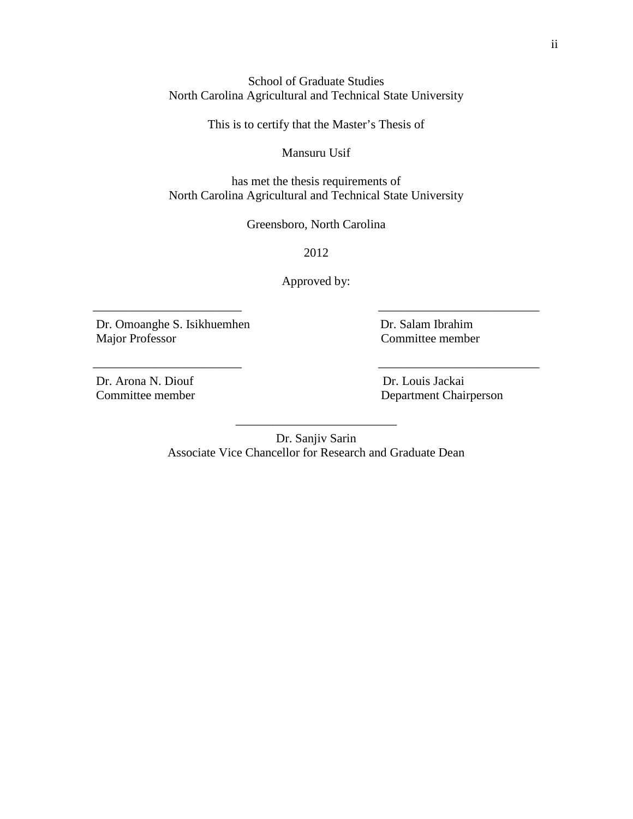School of Graduate Studies North Carolina Agricultural and Technical State University

This is to certify that the Master's Thesis of

Mansuru Usif

has met the thesis requirements of North Carolina Agricultural and Technical State University

Greensboro, North Carolina

2012

Approved by:

———————————— —————————————

———————————— —————————————

Dr. Omoanghe S. Isikhuemhen Dr. Salam Ibrahim Major Professor Committee member

Dr. Arona N. Diouf Dr. Louis Jackai

Committee member Department Chairperson

————————————— Dr. Sanjiv Sarin Associate Vice Chancellor for Research and Graduate Dean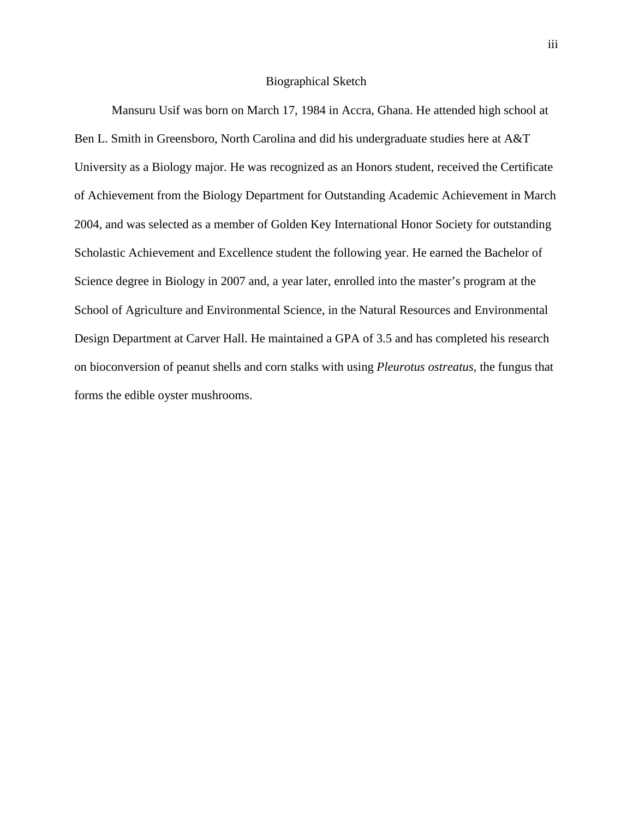#### Biographical Sketch

Mansuru Usif was born on March 17, 1984 in Accra, Ghana. He attended high school at Ben L. Smith in Greensboro, North Carolina and did his undergraduate studies here at A&T University as a Biology major. He was recognized as an Honors student, received the Certificate of Achievement from the Biology Department for Outstanding Academic Achievement in March 2004, and was selected as a member of Golden Key International Honor Society for outstanding Scholastic Achievement and Excellence student the following year. He earned the Bachelor of Science degree in Biology in 2007 and, a year later, enrolled into the master's program at the School of Agriculture and Environmental Science, in the Natural Resources and Environmental Design Department at Carver Hall. He maintained a GPA of 3.5 and has completed his research on bioconversion of peanut shells and corn stalks with using *Pleurotus ostreatus*, the fungus that forms the edible oyster mushrooms.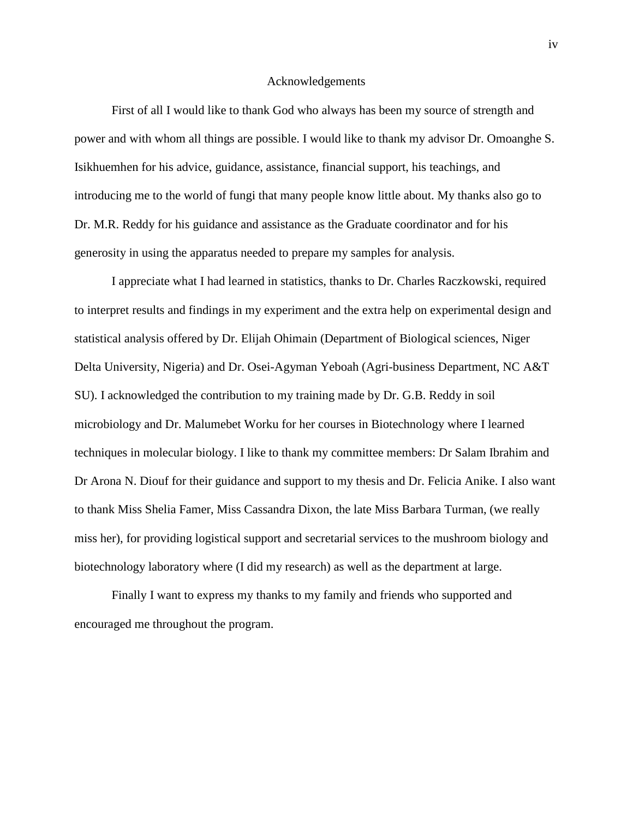#### Acknowledgements

First of all I would like to thank God who always has been my source of strength and power and with whom all things are possible. I would like to thank my advisor Dr. Omoanghe S. Isikhuemhen for his advice, guidance, assistance, financial support, his teachings, and introducing me to the world of fungi that many people know little about. My thanks also go to Dr. M.R. Reddy for his guidance and assistance as the Graduate coordinator and for his generosity in using the apparatus needed to prepare my samples for analysis.

 I appreciate what I had learned in statistics, thanks to Dr. Charles Raczkowski, required to interpret results and findings in my experiment and the extra help on experimental design and statistical analysis offered by Dr. Elijah Ohimain (Department of Biological sciences, Niger Delta University, Nigeria) and Dr. Osei-Agyman Yeboah (Agri-business Department, NC A&T SU). I acknowledged the contribution to my training made by Dr. G.B. Reddy in soil microbiology and Dr. Malumebet Worku for her courses in Biotechnology where I learned techniques in molecular biology. I like to thank my committee members: Dr Salam Ibrahim and Dr Arona N. Diouf for their guidance and support to my thesis and Dr. Felicia Anike. I also want to thank Miss Shelia Famer, Miss Cassandra Dixon, the late Miss Barbara Turman, (we really miss her), for providing logistical support and secretarial services to the mushroom biology and biotechnology laboratory where (I did my research) as well as the department at large.

Finally I want to express my thanks to my family and friends who supported and encouraged me throughout the program.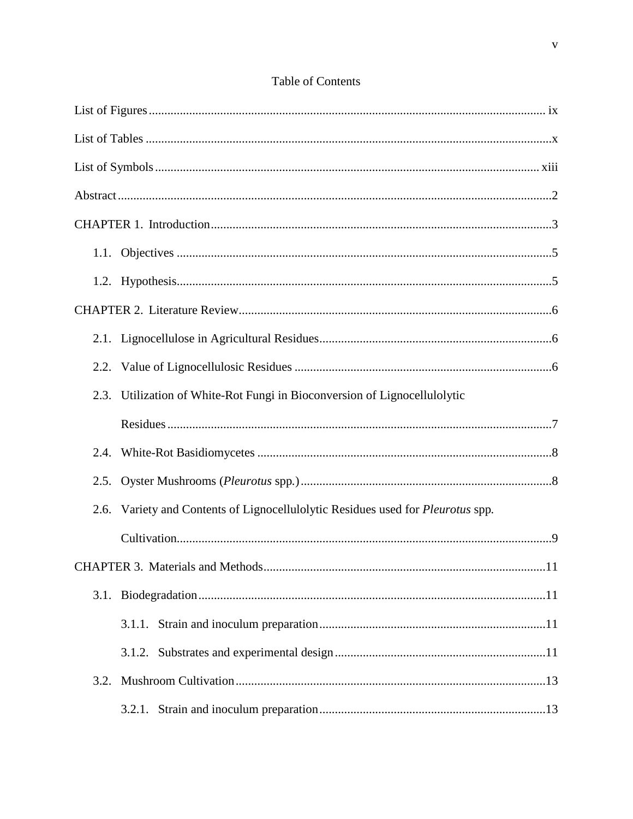| 2.3. | Utilization of White-Rot Fungi in Bioconversion of Lignocellulolytic            |
|------|---------------------------------------------------------------------------------|
|      |                                                                                 |
|      |                                                                                 |
|      |                                                                                 |
|      | 2.6. Variety and Contents of Lignocellulolytic Residues used for Pleurotus spp. |
|      |                                                                                 |
|      | 11                                                                              |
|      |                                                                                 |
|      |                                                                                 |
|      |                                                                                 |
|      |                                                                                 |
|      |                                                                                 |

#### Table of Contents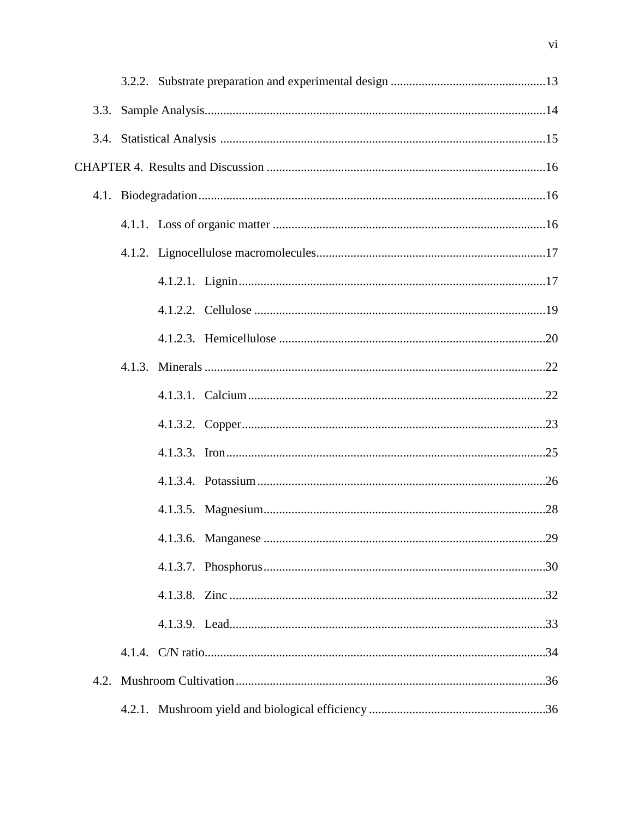| 3.3. |  |  |
|------|--|--|
|      |  |  |
|      |  |  |
|      |  |  |
|      |  |  |
|      |  |  |
|      |  |  |
|      |  |  |
|      |  |  |
|      |  |  |
|      |  |  |
|      |  |  |
|      |  |  |
|      |  |  |
|      |  |  |
|      |  |  |
|      |  |  |
|      |  |  |
|      |  |  |
|      |  |  |
| 4.2. |  |  |
|      |  |  |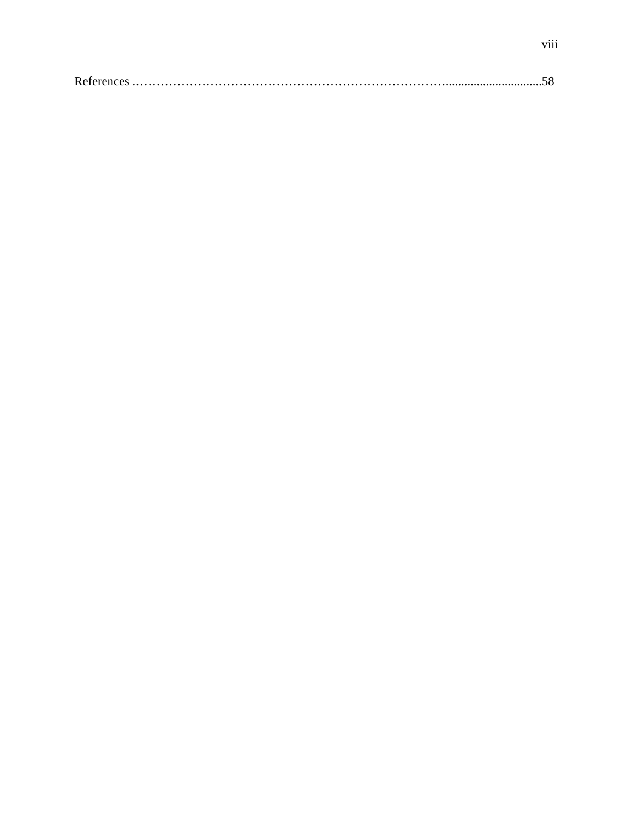|--|--|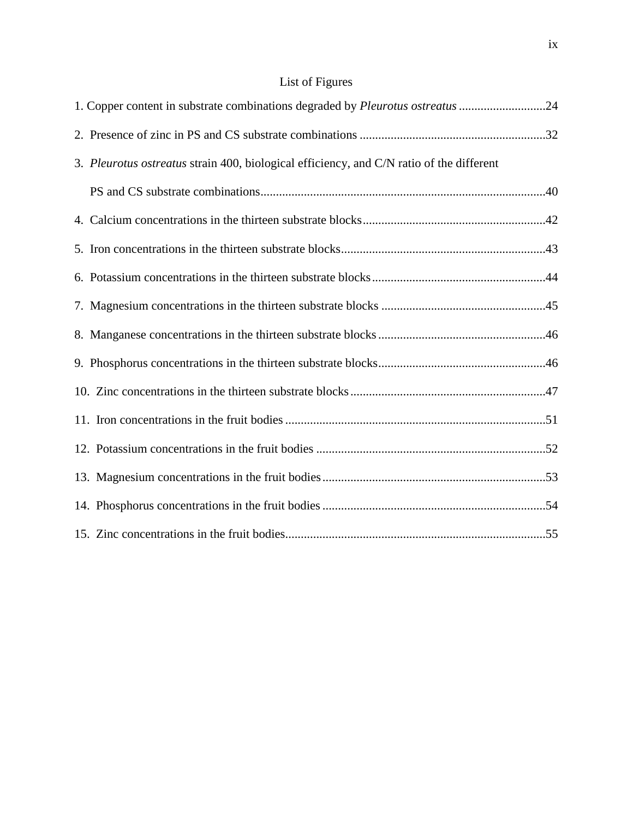# List of Figures

| 1. Copper content in substrate combinations degraded by Pleurotus ostreatus 24           |  |
|------------------------------------------------------------------------------------------|--|
|                                                                                          |  |
| 3. Pleurotus ostreatus strain 400, biological efficiency, and C/N ratio of the different |  |
|                                                                                          |  |
|                                                                                          |  |
|                                                                                          |  |
|                                                                                          |  |
|                                                                                          |  |
|                                                                                          |  |
|                                                                                          |  |
|                                                                                          |  |
|                                                                                          |  |
|                                                                                          |  |
|                                                                                          |  |
|                                                                                          |  |
|                                                                                          |  |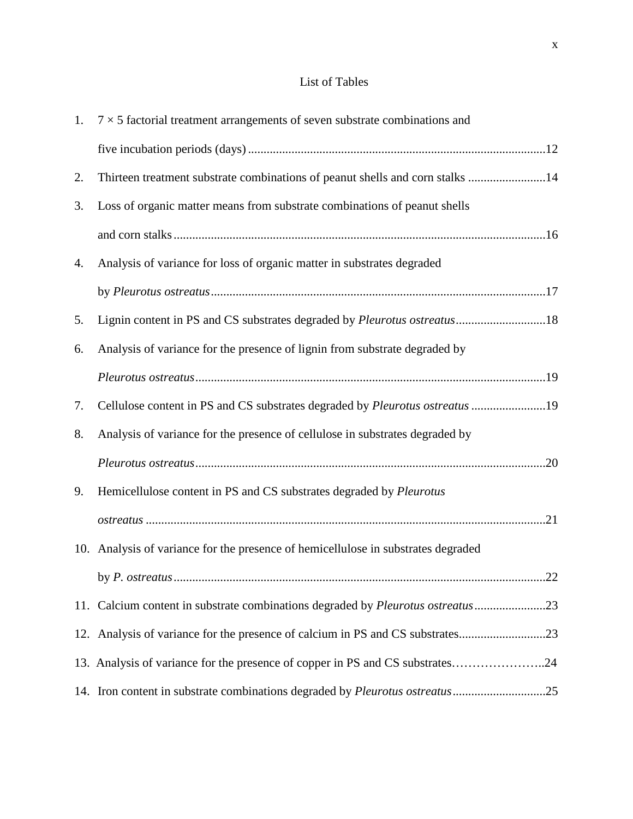### List of Tables

|    | 1. $7 \times 5$ factorial treatment arrangements of seven substrate combinations and |
|----|--------------------------------------------------------------------------------------|
|    |                                                                                      |
| 2. | Thirteen treatment substrate combinations of peanut shells and corn stalks 14        |
| 3. | Loss of organic matter means from substrate combinations of peanut shells            |
|    |                                                                                      |
| 4. | Analysis of variance for loss of organic matter in substrates degraded               |
|    |                                                                                      |
| 5. | Lignin content in PS and CS substrates degraded by Pleurotus ostreatus18             |
| 6. | Analysis of variance for the presence of lignin from substrate degraded by           |
|    |                                                                                      |
| 7. | Cellulose content in PS and CS substrates degraded by Pleurotus ostreatus 19         |
| 8. | Analysis of variance for the presence of cellulose in substrates degraded by         |
|    |                                                                                      |
| 9. | Hemicellulose content in PS and CS substrates degraded by Pleurotus                  |
|    |                                                                                      |
|    | 10. Analysis of variance for the presence of hemicellulose in substrates degraded    |
|    | .22                                                                                  |
|    | 11. Calcium content in substrate combinations degraded by Pleurotus ostreatus23      |
|    | 12. Analysis of variance for the presence of calcium in PS and CS substrates23       |
|    | 13. Analysis of variance for the presence of copper in PS and CS substrates24        |
|    | 14. Iron content in substrate combinations degraded by Pleurotus ostreatus25         |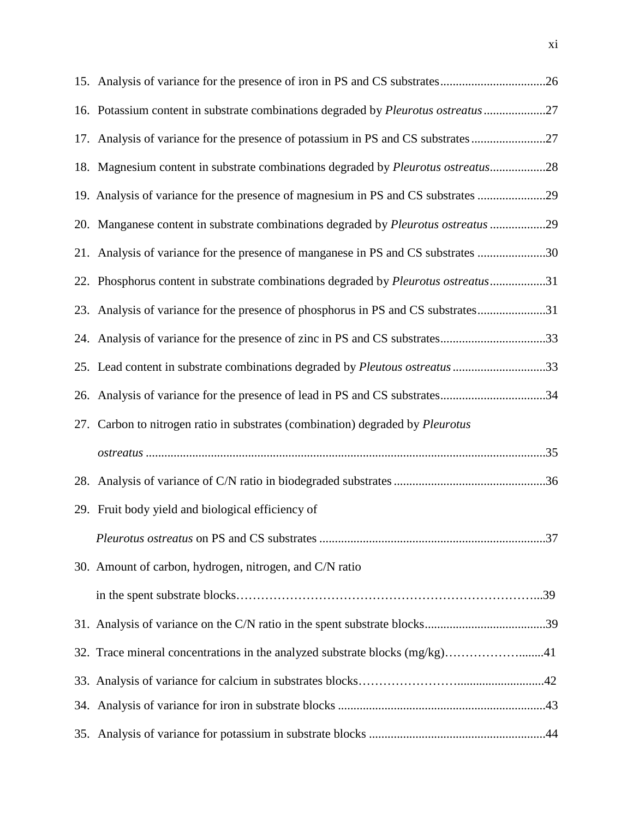| 16. Potassium content in substrate combinations degraded by Pleurotus ostreatus 27 |  |
|------------------------------------------------------------------------------------|--|
| 17. Analysis of variance for the presence of potassium in PS and CS substrates 27  |  |
| 18. Magnesium content in substrate combinations degraded by Pleurotus ostreatus28  |  |
| 19. Analysis of variance for the presence of magnesium in PS and CS substrates 29  |  |
| 20. Manganese content in substrate combinations degraded by Pleurotus ostreatus 29 |  |
| 21. Analysis of variance for the presence of manganese in PS and CS substrates 30  |  |
| 22. Phosphorus content in substrate combinations degraded by Pleurotus ostreatus31 |  |
| 23. Analysis of variance for the presence of phosphorus in PS and CS substrates31  |  |
| 24. Analysis of variance for the presence of zinc in PS and CS substrates33        |  |
| 25. Lead content in substrate combinations degraded by Pleutous ostreatus 33       |  |
| 26. Analysis of variance for the presence of lead in PS and CS substrates34        |  |
| 27. Carbon to nitrogen ratio in substrates (combination) degraded by Pleurotus     |  |
|                                                                                    |  |
|                                                                                    |  |
| 29. Fruit body yield and biological efficiency of                                  |  |
|                                                                                    |  |
| 30. Amount of carbon, hydrogen, nitrogen, and C/N ratio                            |  |
|                                                                                    |  |
|                                                                                    |  |
| 32. Trace mineral concentrations in the analyzed substrate blocks (mg/kg)41        |  |
|                                                                                    |  |
|                                                                                    |  |
|                                                                                    |  |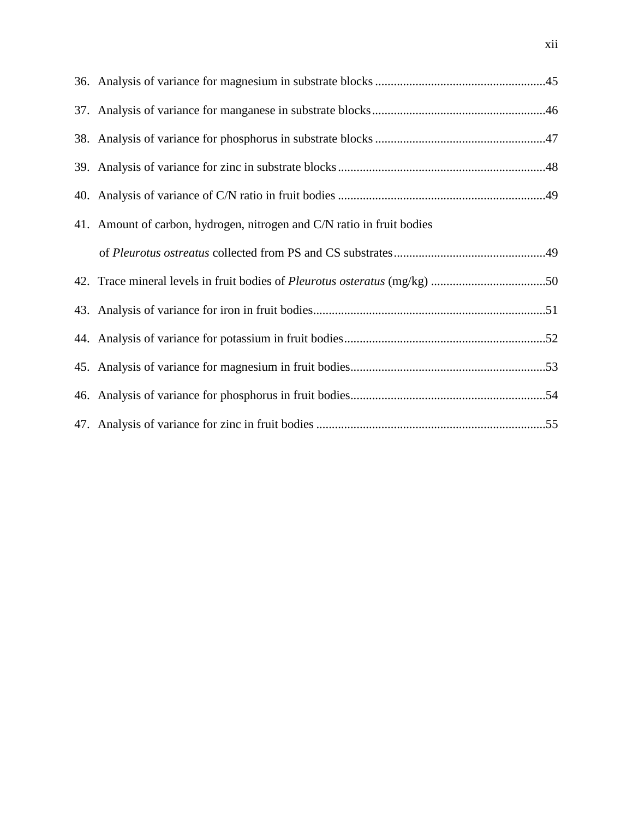| 41. Amount of carbon, hydrogen, nitrogen and C/N ratio in fruit bodies |  |
|------------------------------------------------------------------------|--|
|                                                                        |  |
|                                                                        |  |
|                                                                        |  |
|                                                                        |  |
|                                                                        |  |
|                                                                        |  |
|                                                                        |  |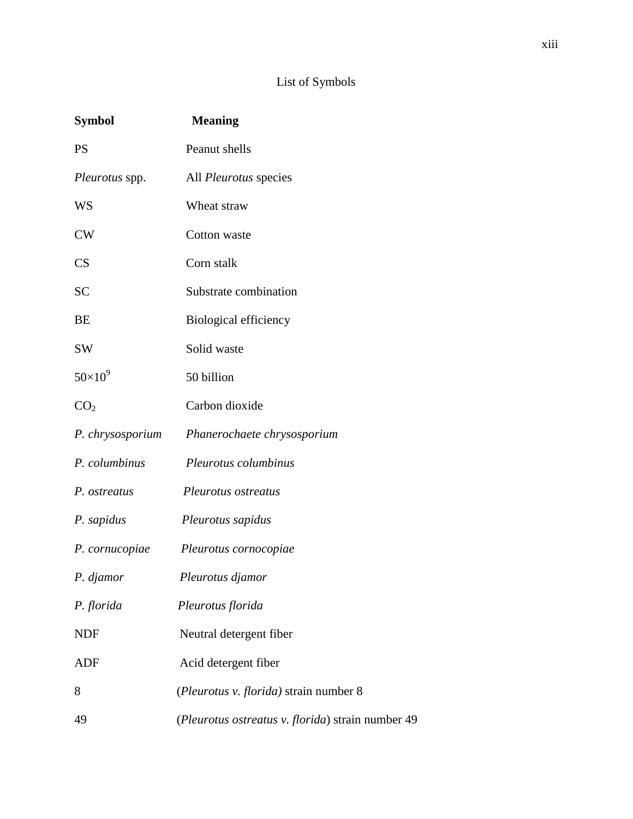## List of Symbols

| <b>Symbol</b>    | <b>Meaning</b>                                    |
|------------------|---------------------------------------------------|
| <b>PS</b>        | Peanut shells                                     |
| Pleurotus spp.   | All <i>Pleurotus</i> species                      |
| WS               | Wheat straw                                       |
| <b>CW</b>        | Cotton waste                                      |
| CS               | Corn stalk                                        |
| <b>SC</b>        | Substrate combination                             |
| BE               | <b>Biological efficiency</b>                      |
| <b>SW</b>        | Solid waste                                       |
| $50\times10^9$   | 50 billion                                        |
| CO <sub>2</sub>  | Carbon dioxide                                    |
| P. chrysosporium | Phanerochaete chrysosporium                       |
| P. columbinus    | Pleurotus columbinus                              |
| P. ostreatus     | Pleurotus ostreatus                               |
| P. sapidus       | Pleurotus sapidus                                 |
| P. cornucopiae   | Pleurotus cornocopiae                             |
| P. djamor        | Pleurotus djamor                                  |
| P. florida       | Pleurotus florida                                 |
| <b>NDF</b>       | Neutral detergent fiber                           |
| <b>ADF</b>       | Acid detergent fiber                              |
| 8                | (Pleurotus v. florida) strain number 8            |
| 49               | (Pleurotus ostreatus v. florida) strain number 49 |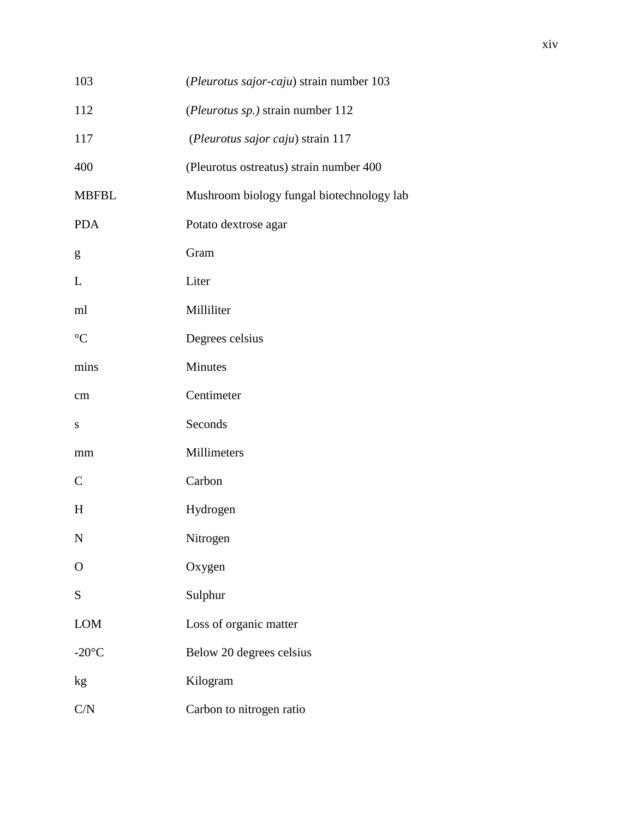| 103             | (Pleurotus sajor-caju) strain number 103  |  |
|-----------------|-------------------------------------------|--|
| 112             | (Pleurotus sp.) strain number 112         |  |
| 117             | (Pleurotus sajor caju) strain 117         |  |
| 400             | (Pleurotus ostreatus) strain number 400   |  |
| <b>MBFBL</b>    | Mushroom biology fungal biotechnology lab |  |
| <b>PDA</b>      | Potato dextrose agar                      |  |
| g               | Gram                                      |  |
| L               | Liter                                     |  |
| ml              | Milliliter                                |  |
| $\rm ^{\circ}C$ | Degrees celsius                           |  |
| mins            | Minutes                                   |  |
| cm              | Centimeter                                |  |
| ${\bf S}$       | Seconds                                   |  |
| mm              | Millimeters                               |  |
| $\mathsf{C}$    | Carbon                                    |  |
| H               | Hydrogen                                  |  |
| N               | Nitrogen                                  |  |
| $\overline{O}$  | Oxygen                                    |  |
| S               | Sulphur                                   |  |
| LOM             | Loss of organic matter                    |  |
| $-20^{\circ}$ C | Below 20 degrees celsius                  |  |
| kg              | Kilogram                                  |  |
| C/N             | Carbon to nitrogen ratio                  |  |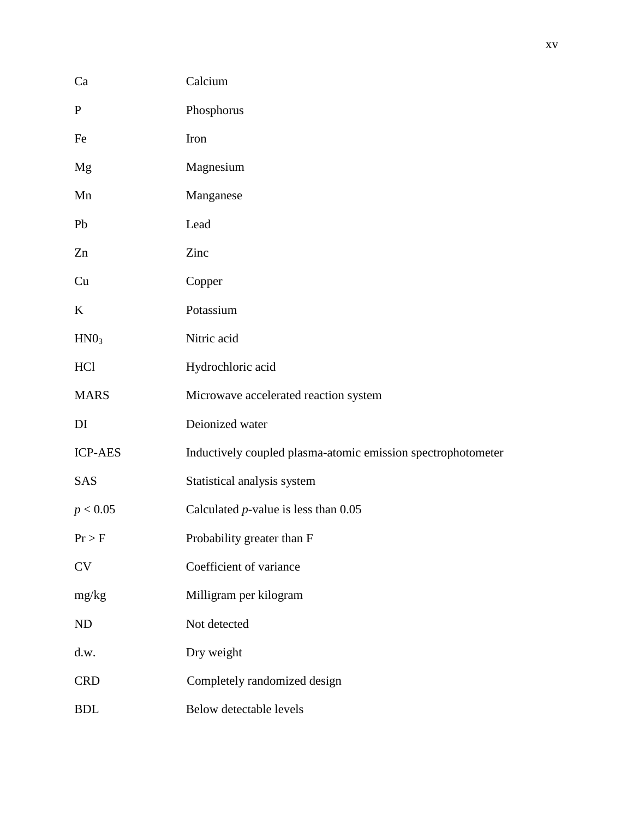| Ca               | Calcium                                                      |
|------------------|--------------------------------------------------------------|
| $\mathbf{P}$     | Phosphorus                                                   |
| Fe               | Iron                                                         |
| Mg               | Magnesium                                                    |
| Mn               | Manganese                                                    |
| Pb               | Lead                                                         |
| Zn               | Zinc                                                         |
| Cu               | Copper                                                       |
| $\bf K$          | Potassium                                                    |
| HNO <sub>3</sub> | Nitric acid                                                  |
| HC <sub>1</sub>  | Hydrochloric acid                                            |
| <b>MARS</b>      | Microwave accelerated reaction system                        |
| DI               | Deionized water                                              |
| <b>ICP-AES</b>   | Inductively coupled plasma-atomic emission spectrophotometer |
| SAS              | Statistical analysis system                                  |
| p < 0.05         | Calculated $p$ -value is less than $0.05$                    |
| Pr > F           | Probability greater than F                                   |
| CV               | Coefficient of variance                                      |
| mg/kg            | Milligram per kilogram                                       |
| ND               | Not detected                                                 |
| d.w.             | Dry weight                                                   |
| <b>CRD</b>       | Completely randomized design                                 |
| <b>BDL</b>       | Below detectable levels                                      |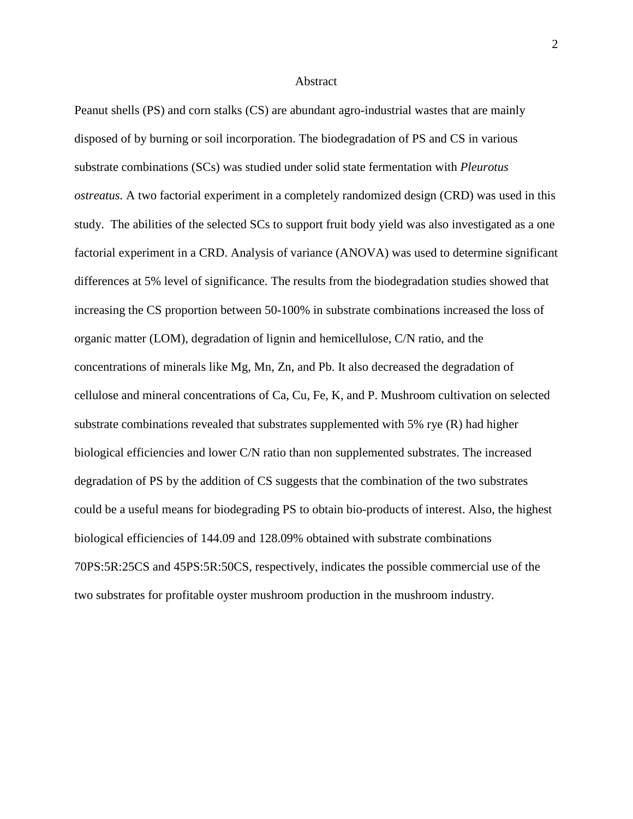#### Abstract

Peanut shells (PS) and corn stalks (CS) are abundant agro-industrial wastes that are mainly disposed of by burning or soil incorporation. The biodegradation of PS and CS in various substrate combinations (SCs) was studied under solid state fermentation with *Pleurotus ostreatus.* A two factorial experiment in a completely randomized design (CRD) was used in this study. The abilities of the selected SCs to support fruit body yield was also investigated as a one factorial experiment in a CRD. Analysis of variance (ANOVA) was used to determine significant differences at 5% level of significance. The results from the biodegradation studies showed that increasing the CS proportion between 50-100% in substrate combinations increased the loss of organic matter (LOM), degradation of lignin and hemicellulose, C/N ratio, and the concentrations of minerals like Mg, Mn, Zn, and Pb. It also decreased the degradation of cellulose and mineral concentrations of Ca, Cu, Fe, K, and P. Mushroom cultivation on selected substrate combinations revealed that substrates supplemented with 5% rye (R) had higher biological efficiencies and lower C/N ratio than non supplemented substrates. The increased degradation of PS by the addition of CS suggests that the combination of the two substrates could be a useful means for biodegrading PS to obtain bio-products of interest. Also, the highest biological efficiencies of 144.09 and 128.09% obtained with substrate combinations 70PS:5R:25CS and 45PS:5R:50CS, respectively, indicates the possible commercial use of the two substrates for profitable oyster mushroom production in the mushroom industry.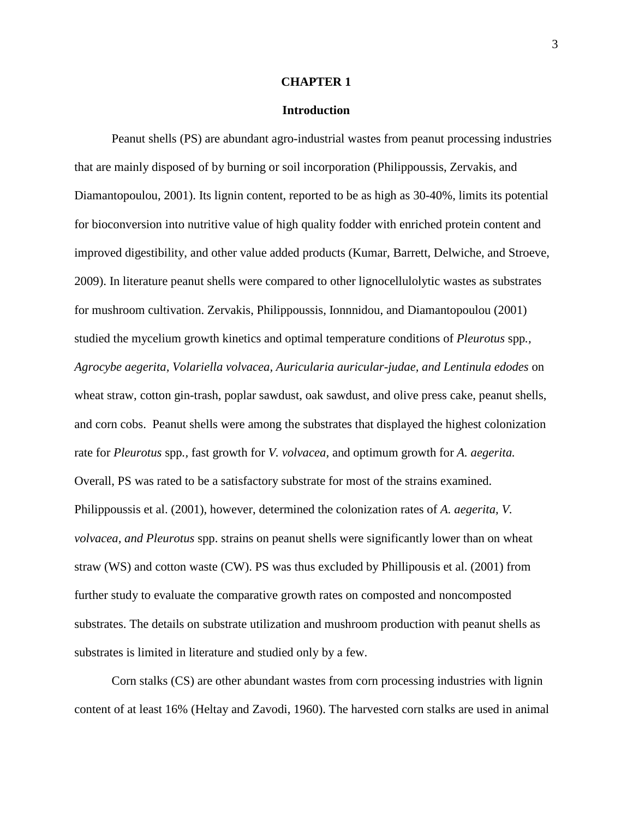#### **CHAPTER 1**

#### **Introduction**

Peanut shells (PS) are abundant agro-industrial wastes from peanut processing industries that are mainly disposed of by burning or soil incorporation (Philippoussis, Zervakis, and Diamantopoulou, 2001). Its lignin content, reported to be as high as 30-40%, limits its potential for bioconversion into nutritive value of high quality fodder with enriched protein content and improved digestibility, and other value added products (Kumar, Barrett, Delwiche, and Stroeve, 2009). In literature peanut shells were compared to other lignocellulolytic wastes as substrates for mushroom cultivation. Zervakis, Philippoussis, Ionnnidou, and Diamantopoulou (2001) studied the mycelium growth kinetics and optimal temperature conditions of *Pleurotus* spp*., Agrocybe aegerita, Volariella volvacea, Auricularia auricular-judae, and Lentinula edodes* on wheat straw, cotton gin-trash, poplar sawdust, oak sawdust, and olive press cake, peanut shells, and corn cobs. Peanut shells were among the substrates that displayed the highest colonization rate for *Pleurotus* spp*.,* fast growth for *V. volvacea,* and optimum growth for *A. aegerita.*  Overall, PS was rated to be a satisfactory substrate for most of the strains examined. Philippoussis et al. (2001), however, determined the colonization rates of *A. aegerita, V. volvacea, and Pleurotus* spp. strains on peanut shells were significantly lower than on wheat straw (WS) and cotton waste (CW). PS was thus excluded by Phillipousis et al. (2001) from further study to evaluate the comparative growth rates on composted and noncomposted substrates. The details on substrate utilization and mushroom production with peanut shells as substrates is limited in literature and studied only by a few.

Corn stalks (CS) are other abundant wastes from corn processing industries with lignin content of at least 16% (Heltay and Zavodi, 1960). The harvested corn stalks are used in animal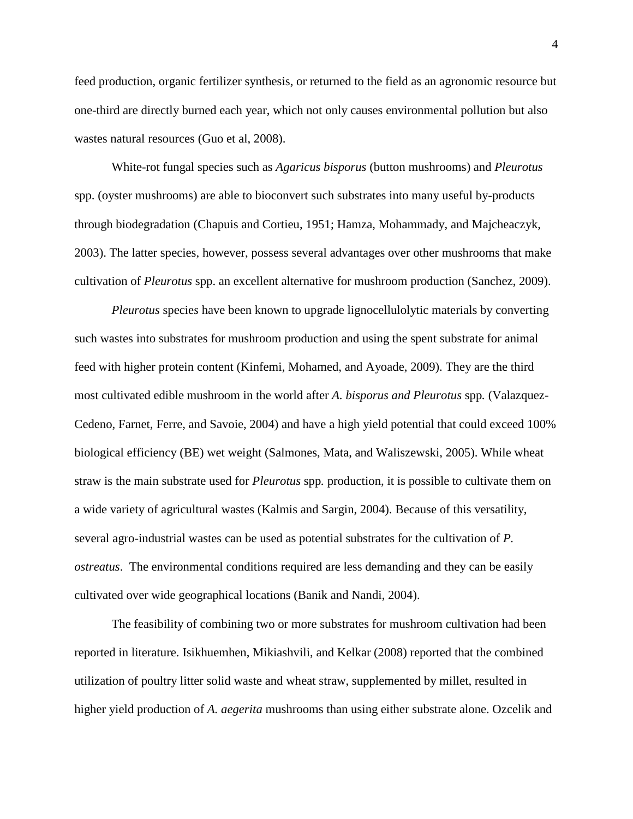feed production, organic fertilizer synthesis, or returned to the field as an agronomic resource but one-third are directly burned each year, which not only causes environmental pollution but also wastes natural resources (Guo et al, 2008).

White-rot fungal species such as *Agaricus bisporus* (button mushrooms) and *Pleurotus*  spp. (oyster mushrooms) are able to bioconvert such substrates into many useful by-products through biodegradation (Chapuis and Cortieu, 1951; Hamza, Mohammady, and Majcheaczyk, 2003). The latter species, however, possess several advantages over other mushrooms that make cultivation of *Pleurotus* spp. an excellent alternative for mushroom production (Sanchez, 2009).

*Pleurotus* specie*s* have been known to upgrade lignocellulolytic materials by converting such wastes into substrates for mushroom production and using the spent substrate for animal feed with higher protein content (Kinfemi, Mohamed, and Ayoade, 2009). They are the third most cultivated edible mushroom in the world after *A. bisporus and Pleurotus* spp*.* (Valazquez-Cedeno, Farnet, Ferre, and Savoie, 2004) and have a high yield potential that could exceed 100% biological efficiency (BE) wet weight (Salmones, Mata, and Waliszewski, 2005). While wheat straw is the main substrate used for *Pleurotus* spp*.* production, it is possible to cultivate them on a wide variety of agricultural wastes (Kalmis and Sargin, 2004). Because of this versatility, several agro-industrial wastes can be used as potential substrates for the cultivation of *P. ostreatus*. The environmental conditions required are less demanding and they can be easily cultivated over wide geographical locations (Banik and Nandi, 2004).

The feasibility of combining two or more substrates for mushroom cultivation had been reported in literature. Isikhuemhen, Mikiashvili, and Kelkar (2008) reported that the combined utilization of poultry litter solid waste and wheat straw, supplemented by millet, resulted in higher yield production of *A. aegerita* mushrooms than using either substrate alone. Ozcelik and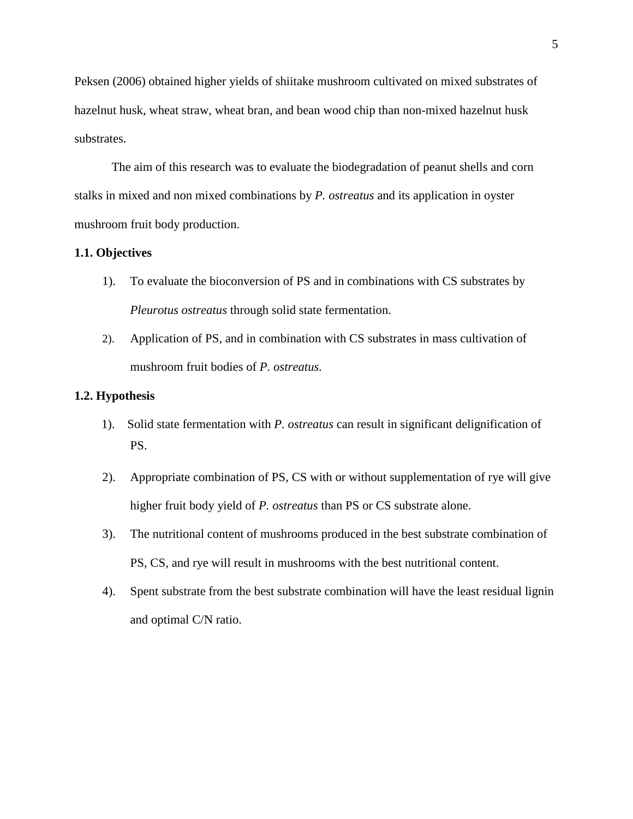Peksen (2006) obtained higher yields of shiitake mushroom cultivated on mixed substrates of hazelnut husk, wheat straw, wheat bran, and bean wood chip than non-mixed hazelnut husk substrates.

The aim of this research was to evaluate the biodegradation of peanut shells and corn stalks in mixed and non mixed combinations by *P. ostreatus* and its application in oyster mushroom fruit body production.

#### **1.1. Objectives**

- 1). To evaluate the bioconversion of PS and in combinations with CS substrates by *Pleurotus ostreatus* through solid state fermentation*.*
- 2). Application of PS, and in combination with CS substrates in mass cultivation of mushroom fruit bodies of *P. ostreatus.*

#### **1.2. Hypothesis**

- 1). Solid state fermentation with *P. ostreatus* can result in significant delignification of PS.
- 2). Appropriate combination of PS, CS with or without supplementation of rye will give higher fruit body yield of *P. ostreatus* than PS or CS substrate alone.
- 3). The nutritional content of mushrooms produced in the best substrate combination of PS, CS, and rye will result in mushrooms with the best nutritional content.
- 4). Spent substrate from the best substrate combination will have the least residual lignin and optimal C/N ratio.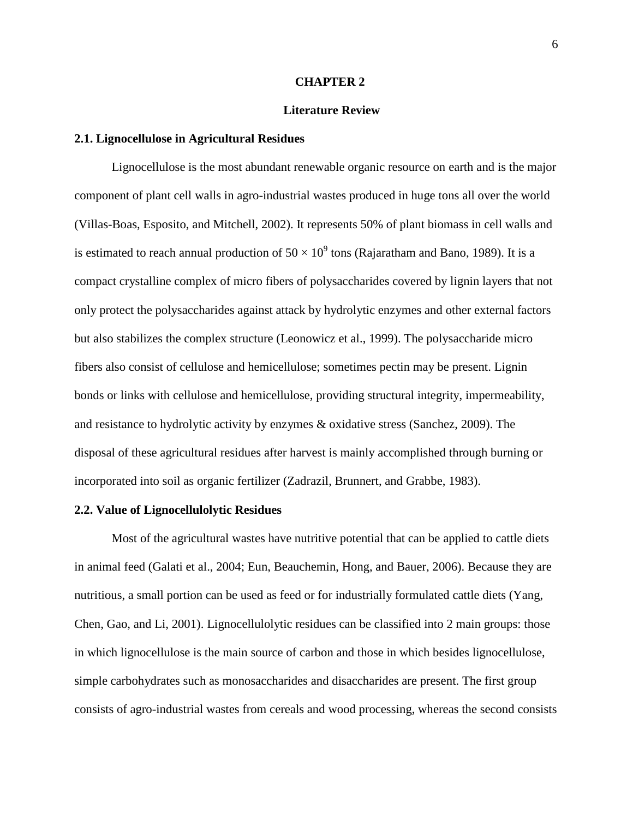#### **CHAPTER 2**

#### **Literature Review**

#### **2.1. Lignocellulose in Agricultural Residues**

 Lignocellulose is the most abundant renewable organic resource on earth and is the major component of plant cell walls in agro-industrial wastes produced in huge tons all over the world (Villas-Boas, Esposito, and Mitchell, 2002). It represents 50% of plant biomass in cell walls and is estimated to reach annual production of  $50 \times 10^9$  tons (Rajaratham and Bano, 1989). It is a compact crystalline complex of micro fibers of polysaccharides covered by lignin layers that not only protect the polysaccharides against attack by hydrolytic enzymes and other external factors but also stabilizes the complex structure (Leonowicz et al., 1999). The polysaccharide micro fibers also consist of cellulose and hemicellulose; sometimes pectin may be present. Lignin bonds or links with cellulose and hemicellulose, providing structural integrity, impermeability, and resistance to hydrolytic activity by enzymes & oxidative stress (Sanchez, 2009). The disposal of these agricultural residues after harvest is mainly accomplished through burning or incorporated into soil as organic fertilizer (Zadrazil, Brunnert, and Grabbe, 1983).

#### **2.2. Value of Lignocellulolytic Residues**

Most of the agricultural wastes have nutritive potential that can be applied to cattle diets in animal feed (Galati et al., 2004; Eun, Beauchemin, Hong, and Bauer, 2006). Because they are nutritious, a small portion can be used as feed or for industrially formulated cattle diets (Yang, Chen, Gao, and Li, 2001). Lignocellulolytic residues can be classified into 2 main groups: those in which lignocellulose is the main source of carbon and those in which besides lignocellulose, simple carbohydrates such as monosaccharides and disaccharides are present. The first group consists of agro-industrial wastes from cereals and wood processing, whereas the second consists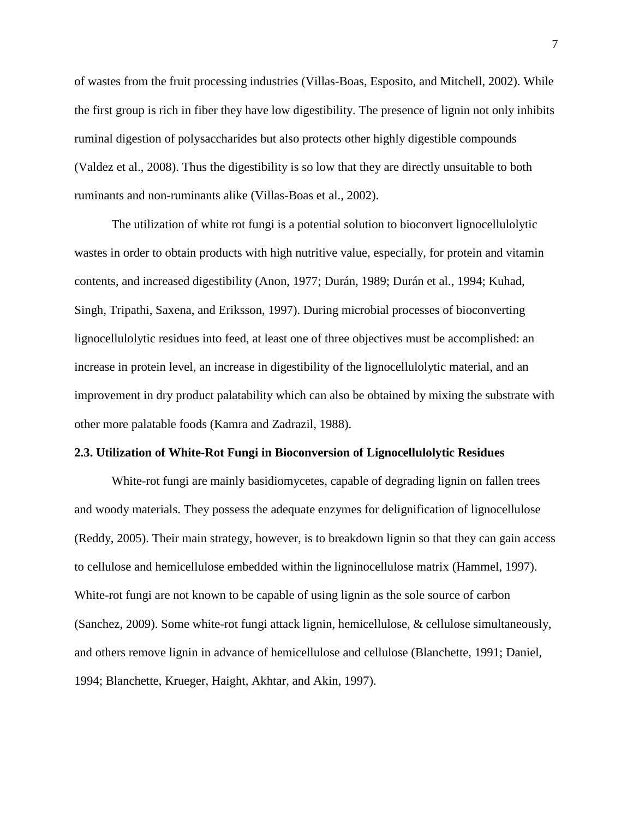of wastes from the fruit processing industries (Villas-Boas, Esposito, and Mitchell, 2002). While the first group is rich in fiber they have low digestibility. The presence of lignin not only inhibits ruminal digestion of polysaccharides but also protects other highly digestible compounds (Valdez et al., 2008). Thus the digestibility is so low that they are directly unsuitable to both ruminants and non-ruminants alike (Villas-Boas et al., 2002).

The utilization of white rot fungi is a potential solution to bioconvert lignocellulolytic wastes in order to obtain products with high nutritive value, especially, for protein and vitamin contents, and increased digestibility (Anon, 1977; Durán, 1989; Durán et al., 1994; Kuhad, Singh, Tripathi, Saxena, and Eriksson, 1997). During microbial processes of bioconverting lignocellulolytic residues into feed, at least one of three objectives must be accomplished: an increase in protein level, an increase in digestibility of the lignocellulolytic material, and an improvement in dry product palatability which can also be obtained by mixing the substrate with other more palatable foods (Kamra and Zadrazil, 1988).

#### **2.3. Utilization of White-Rot Fungi in Bioconversion of Lignocellulolytic Residues**

White-rot fungi are mainly basidiomycetes, capable of degrading lignin on fallen trees and woody materials. They possess the adequate enzymes for delignification of lignocellulose (Reddy, 2005). Their main strategy, however, is to breakdown lignin so that they can gain access to cellulose and hemicellulose embedded within the ligninocellulose matrix (Hammel, 1997). White-rot fungi are not known to be capable of using lignin as the sole source of carbon (Sanchez, 2009). Some white-rot fungi attack lignin, hemicellulose, & cellulose simultaneously, and others remove lignin in advance of hemicellulose and cellulose (Blanchette, 1991; Daniel, 1994; Blanchette, Krueger, Haight, Akhtar, and Akin, 1997).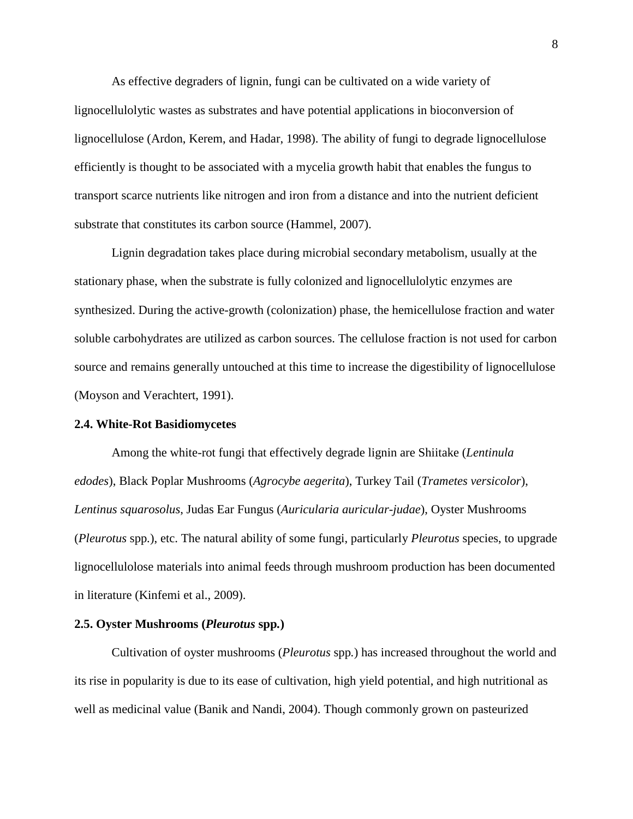As effective degraders of lignin, fungi can be cultivated on a wide variety of lignocellulolytic wastes as substrates and have potential applications in bioconversion of lignocellulose (Ardon, Kerem, and Hadar, 1998). The ability of fungi to degrade lignocellulose efficiently is thought to be associated with a mycelia growth habit that enables the fungus to transport scarce nutrients like nitrogen and iron from a distance and into the nutrient deficient substrate that constitutes its carbon source (Hammel, 2007).

Lignin degradation takes place during microbial secondary metabolism, usually at the stationary phase, when the substrate is fully colonized and lignocellulolytic enzymes are synthesized. During the active-growth (colonization) phase, the hemicellulose fraction and water soluble carbohydrates are utilized as carbon sources. The cellulose fraction is not used for carbon source and remains generally untouched at this time to increase the digestibility of lignocellulose (Moyson and Verachtert, 1991).

#### **2.4. White-Rot Basidiomycetes**

Among the white-rot fungi that effectively degrade lignin are Shiitake (*Lentinula edodes*), Black Poplar Mushrooms (*Agrocybe aegerita*), Turkey Tail (*Trametes versicolor*), *Lentinus squarosolus*, Judas Ear Fungus (*Auricularia auricular-judae*), Oyster Mushrooms (*Pleurotus* spp*.*), etc. The natural ability of some fungi, particularly *Pleurotus* species, to upgrade lignocellulolose materials into animal feeds through mushroom production has been documented in literature (Kinfemi et al., 2009).

#### **2.5. Oyster Mushrooms (***Pleurotus* **spp***.***)**

Cultivation of oyster mushrooms (*Pleurotus* spp*.*) has increased throughout the world and its rise in popularity is due to its ease of cultivation, high yield potential, and high nutritional as well as medicinal value (Banik and Nandi, 2004). Though commonly grown on pasteurized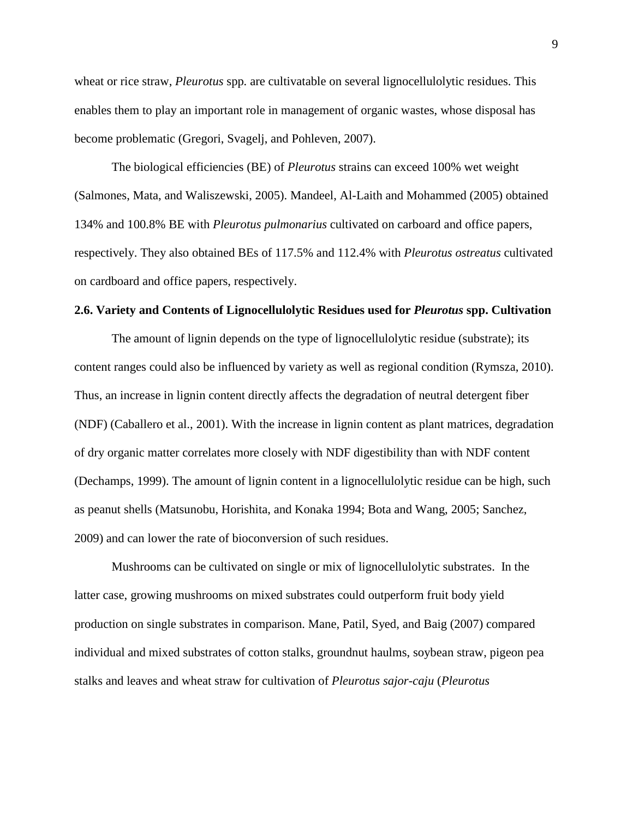wheat or rice straw, *Pleurotus* spp*.* are cultivatable on several lignocellulolytic residues. This enables them to play an important role in management of organic wastes, whose disposal has become problematic (Gregori, Svagelj, and Pohleven, 2007).

The biological efficiencies (BE) of *Pleurotus* strains can exceed 100% wet weight (Salmones, Mata, and Waliszewski, 2005). Mandeel, Al-Laith and Mohammed (2005) obtained 134% and 100.8% BE with *Pleurotus pulmonarius* cultivated on carboard and office papers, respectively. They also obtained BEs of 117.5% and 112.4% with *Pleurotus ostreatus* cultivated on cardboard and office papers, respectively.

#### **2.6. Variety and Contents of Lignocellulolytic Residues used for** *Pleurotus* **spp. Cultivation**

The amount of lignin depends on the type of lignocellulolytic residue (substrate); its content ranges could also be influenced by variety as well as regional condition (Rymsza, 2010). Thus, an increase in lignin content directly affects the degradation of neutral detergent fiber (NDF) (Caballero et al., 2001). With the increase in lignin content as plant matrices, degradation of dry organic matter correlates more closely with NDF digestibility than with NDF content (Dechamps, 1999). The amount of lignin content in a lignocellulolytic residue can be high, such as peanut shells (Matsunobu, Horishita, and Konaka 1994; Bota and Wang, 2005; Sanchez, 2009) and can lower the rate of bioconversion of such residues.

Mushrooms can be cultivated on single or mix of lignocellulolytic substrates. In the latter case, growing mushrooms on mixed substrates could outperform fruit body yield production on single substrates in comparison. Mane, Patil, Syed, and Baig (2007) compared individual and mixed substrates of cotton stalks, groundnut haulms, soybean straw, pigeon pea stalks and leaves and wheat straw for cultivation of *Pleurotus sajor-caju* (*Pleurotus*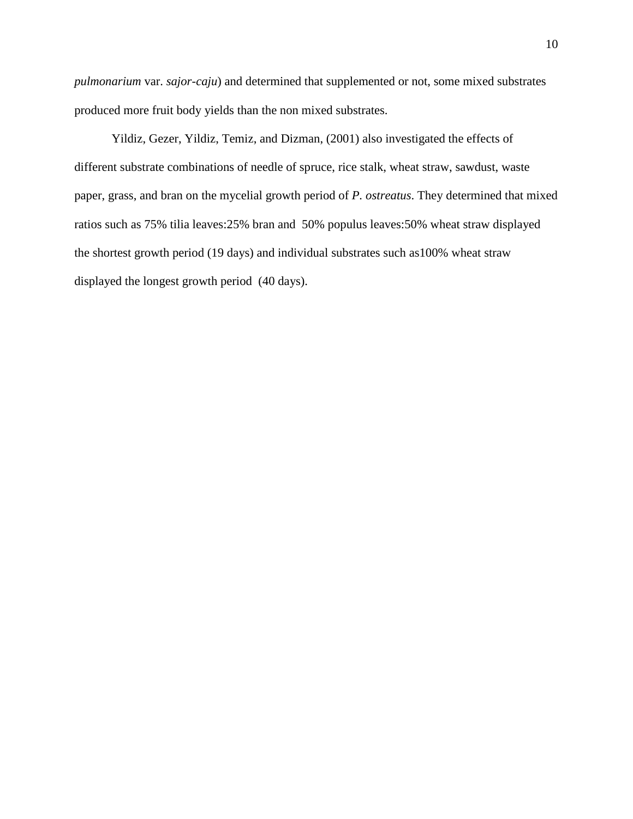*pulmonarium* var. *sajor-caju*) and determined that supplemented or not, some mixed substrates produced more fruit body yields than the non mixed substrates.

Yildiz, Gezer, Yildiz, Temiz, and Dizman, (2001) also investigated the effects of different substrate combinations of needle of spruce, rice stalk, wheat straw, sawdust, waste paper, grass, and bran on the mycelial growth period of *P. ostreatus*. They determined that mixed ratios such as 75% tilia leaves:25% bran and 50% populus leaves:50% wheat straw displayed the shortest growth period (19 days) and individual substrates such as100% wheat straw displayed the longest growth period (40 days).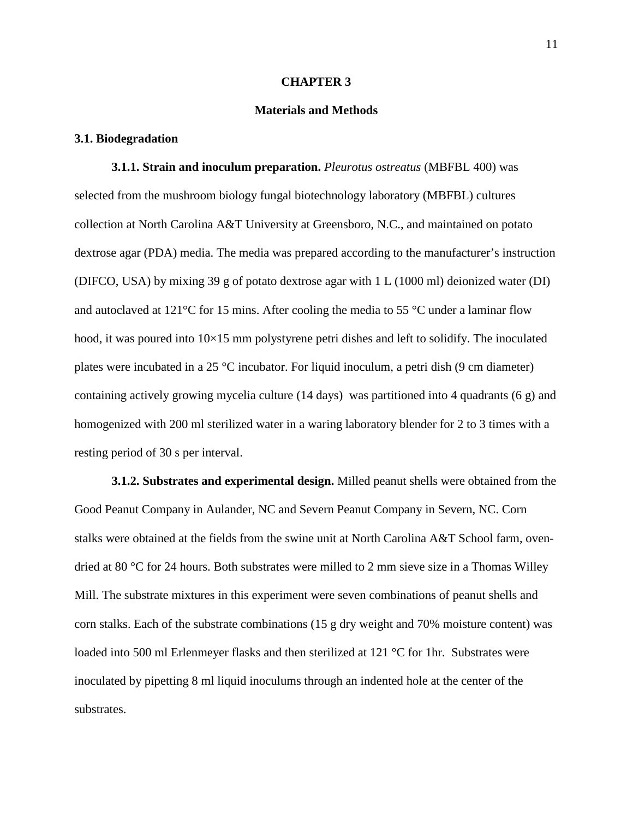#### **CHAPTER 3**

#### **Materials and Methods**

#### **3.1. Biodegradation**

**3.1.1. Strain and inoculum preparation.** *Pleurotus ostreatus* (MBFBL 400) was selected from the mushroom biology fungal biotechnology laboratory (MBFBL) cultures collection at North Carolina A&T University at Greensboro, N.C., and maintained on potato dextrose agar (PDA) media. The media was prepared according to the manufacturer's instruction (DIFCO, USA) by mixing 39 g of potato dextrose agar with 1 L (1000 ml) deionized water (DI) and autoclaved at 121 $\degree$ C for 15 mins. After cooling the media to 55  $\degree$ C under a laminar flow hood, it was poured into  $10\times15$  mm polystyrene petri dishes and left to solidify. The inoculated plates were incubated in a 25 °C incubator. For liquid inoculum, a petri dish (9 cm diameter) containing actively growing mycelia culture (14 days) was partitioned into 4 quadrants (6 g) and homogenized with 200 ml sterilized water in a waring laboratory blender for 2 to 3 times with a resting period of 30 s per interval.

**3.1.2. Substrates and experimental design.** Milled peanut shells were obtained from the Good Peanut Company in Aulander, NC and Severn Peanut Company in Severn, NC. Corn stalks were obtained at the fields from the swine unit at North Carolina A&T School farm, ovendried at 80 °C for 24 hours. Both substrates were milled to 2 mm sieve size in a Thomas Willey Mill. The substrate mixtures in this experiment were seven combinations of peanut shells and corn stalks. Each of the substrate combinations (15 g dry weight and 70% moisture content) was loaded into 500 ml Erlenmeyer flasks and then sterilized at 121 °C for 1hr. Substrates were inoculated by pipetting 8 ml liquid inoculums through an indented hole at the center of the substrates.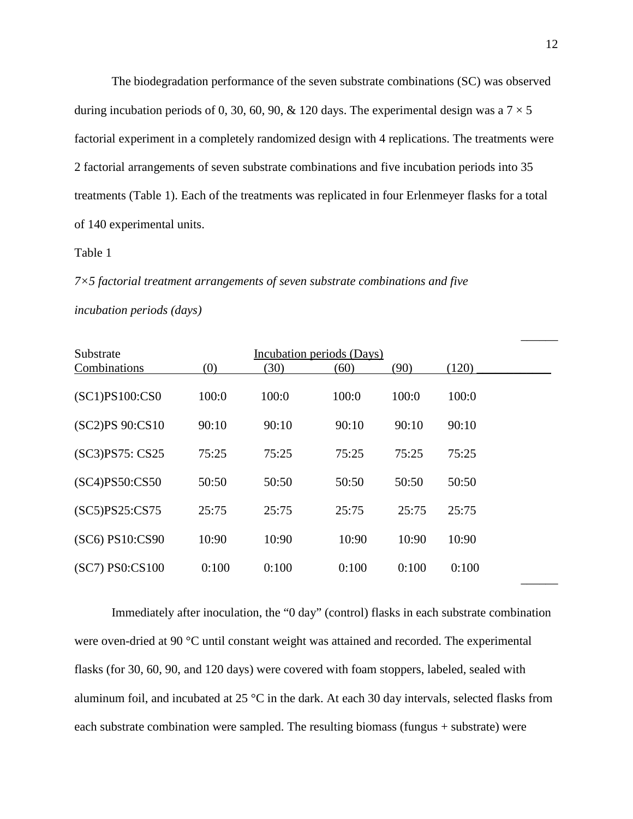The biodegradation performance of the seven substrate combinations (SC) was observed during incubation periods of 0, 30, 60, 90, & 120 days. The experimental design was a  $7 \times 5$ factorial experiment in a completely randomized design with 4 replications. The treatments were 2 factorial arrangements of seven substrate combinations and five incubation periods into 35 treatments (Table 1). Each of the treatments was replicated in four Erlenmeyer flasks for a total of 140 experimental units.

#### Table 1

*7×5 factorial treatment arrangements of seven substrate combinations and five* 

| <i>incubation periods (days)</i> |  |
|----------------------------------|--|
|                                  |  |

| Substrate       |       |       | Incubation periods (Days) |       |       |
|-----------------|-------|-------|---------------------------|-------|-------|
| Combinations    | (0)   | (30)  | (60)                      | (90)  | (120) |
| (SC1)PS100:CS0  | 100:0 | 100:0 | 100:0                     | 100:0 | 100:0 |
| (SC2)PS 90:CS10 | 90:10 | 90:10 | 90:10                     | 90:10 | 90:10 |
| (SC3)PS75: CS25 | 75:25 | 75:25 | 75:25                     | 75:25 | 75:25 |
| (SC4)PS50:CS50  | 50:50 | 50:50 | 50:50                     | 50:50 | 50:50 |
| (SC5)PS25:CS75  | 25:75 | 25:75 | 25:75                     | 25:75 | 25:75 |
| (SC6) PS10:CS90 | 10:90 | 10:90 | 10:90                     | 10:90 | 10:90 |
| (SC7) PS0:CS100 | 0:100 | 0:100 | 0:100                     | 0:100 | 0:100 |

Immediately after inoculation, the "0 day" (control) flasks in each substrate combination were oven-dried at 90 °C until constant weight was attained and recorded. The experimental flasks (for 30, 60, 90, and 120 days) were covered with foam stoppers, labeled, sealed with aluminum foil, and incubated at 25 °C in the dark. At each 30 day intervals, selected flasks from each substrate combination were sampled. The resulting biomass (fungus + substrate) were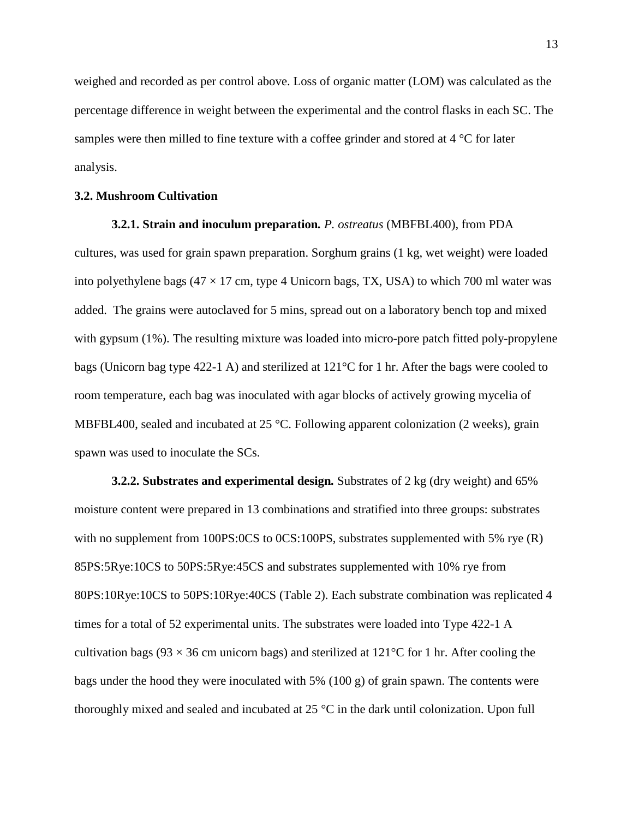weighed and recorded as per control above. Loss of organic matter (LOM) was calculated as the percentage difference in weight between the experimental and the control flasks in each SC. The samples were then milled to fine texture with a coffee grinder and stored at 4 °C for later analysis.

#### **3.2. Mushroom Cultivation**

**3.2.1. Strain and inoculum preparation***. P. ostreatus* (MBFBL400)*,* from PDA cultures, was used for grain spawn preparation. Sorghum grains (1 kg, wet weight) were loaded into polyethylene bags ( $47 \times 17$  cm, type 4 Unicorn bags, TX, USA) to which 700 ml water was added. The grains were autoclaved for 5 mins, spread out on a laboratory bench top and mixed with gypsum (1%). The resulting mixture was loaded into micro-pore patch fitted poly-propylene bags (Unicorn bag type 422-1 A) and sterilized at 121°C for 1 hr. After the bags were cooled to room temperature, each bag was inoculated with agar blocks of actively growing mycelia of MBFBL400, sealed and incubated at 25 °C. Following apparent colonization (2 weeks), grain spawn was used to inoculate the SCs.

**3.2.2. Substrates and experimental design***.* Substrates of 2 kg (dry weight) and 65% moisture content were prepared in 13 combinations and stratified into three groups: substrates with no supplement from 100PS:0CS to 0CS:100PS, substrates supplemented with 5% rye (R) 85PS:5Rye:10CS to 50PS:5Rye:45CS and substrates supplemented with 10% rye from 80PS:10Rye:10CS to 50PS:10Rye:40CS (Table 2). Each substrate combination was replicated 4 times for a total of 52 experimental units. The substrates were loaded into Type 422-1 A cultivation bags (93  $\times$  36 cm unicorn bags) and sterilized at 121 °C for 1 hr. After cooling the bags under the hood they were inoculated with 5% (100 g) of grain spawn. The contents were thoroughly mixed and sealed and incubated at 25 °C in the dark until colonization. Upon full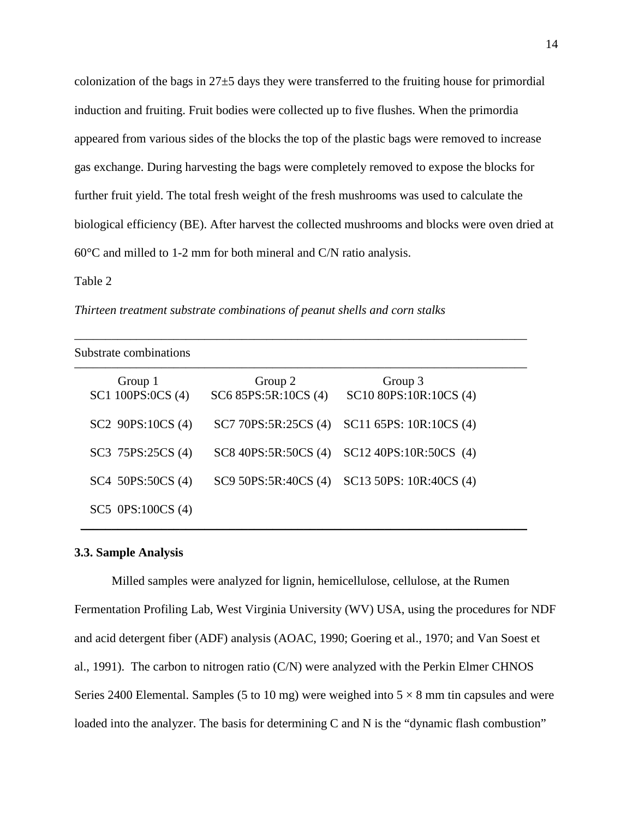colonization of the bags in 27±5 days they were transferred to the fruiting house for primordial induction and fruiting. Fruit bodies were collected up to five flushes. When the primordia appeared from various sides of the blocks the top of the plastic bags were removed to increase gas exchange. During harvesting the bags were completely removed to expose the blocks for further fruit yield. The total fresh weight of the fresh mushrooms was used to calculate the biological efficiency (BE). After harvest the collected mushrooms and blocks were oven dried at 60°C and milled to 1-2 mm for both mineral and C/N ratio analysis.

#### Table 2

*Thirteen treatment substrate combinations of peanut shells and corn stalks* 

| Substrate combinations       |                                 |                                   |  |  |  |  |  |
|------------------------------|---------------------------------|-----------------------------------|--|--|--|--|--|
| Group 1<br>SC1 100PS:0CS (4) | Group 2<br>SC6 85PS:5R:10CS (4) | Group 3<br>SC10 80PS:10R:10CS (4) |  |  |  |  |  |
| SC2 90PS:10CS (4)            | SC7 70PS:5R:25CS (4)            | SC11 65PS: 10R:10CS (4)           |  |  |  |  |  |
| SC3 75PS:25CS (4)            | SC8 40PS:5R:50CS (4)            | SC12 40PS:10R:50CS (4)            |  |  |  |  |  |
| SC4 50PS:50CS (4)            | SC9 50PS:5R:40CS (4)            | SC13 50PS: 10R:40CS (4)           |  |  |  |  |  |
| $SC5$ $0PS:100CS$ $(4)$      |                                 |                                   |  |  |  |  |  |

#### **3.3. Sample Analysis**

Milled samples were analyzed for lignin, hemicellulose, cellulose, at the Rumen Fermentation Profiling Lab, West Virginia University (WV) USA, using the procedures for NDF and acid detergent fiber (ADF) analysis (AOAC, 1990; Goering et al., 1970; and Van Soest et al., 1991). The carbon to nitrogen ratio (C/N) were analyzed with the Perkin Elmer CHNOS Series 2400 Elemental. Samples (5 to 10 mg) were weighed into  $5 \times 8$  mm tin capsules and were loaded into the analyzer. The basis for determining C and N is the "dynamic flash combustion"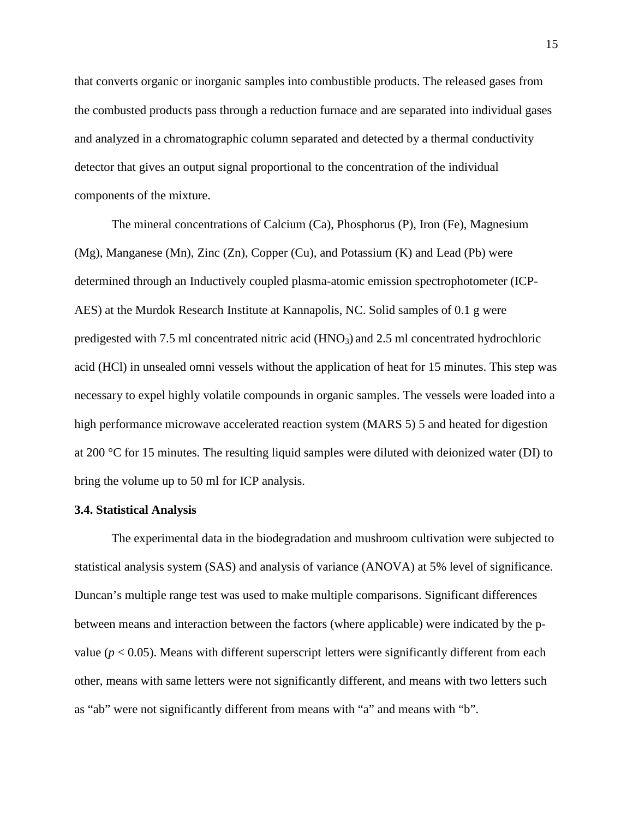that converts organic or inorganic samples into combustible products. The released gases from the combusted products pass through a reduction furnace and are separated into individual gases and analyzed in a chromatographic column separated and detected by a thermal conductivity detector that gives an output signal proportional to the concentration of the individual components of the mixture.

The mineral concentrations of Calcium (Ca), Phosphorus (P), Iron (Fe), Magnesium (Mg), Manganese (Mn), Zinc (Zn), Copper (Cu), and Potassium (K) and Lead (Pb) were determined through an Inductively coupled plasma-atomic emission spectrophotometer (ICP-AES) at the Murdok Research Institute at Kannapolis, NC. Solid samples of 0.1 g were predigested with 7.5 ml concentrated nitric acid (HNO3) and 2.5 ml concentrated hydrochloric acid (HCl) in unsealed omni vessels without the application of heat for 15 minutes. This step was necessary to expel highly volatile compounds in organic samples. The vessels were loaded into a high performance microwave accelerated reaction system (MARS 5) 5 and heated for digestion at 200 °C for 15 minutes. The resulting liquid samples were diluted with deionized water (DI) to bring the volume up to 50 ml for ICP analysis.

#### **3.4. Statistical Analysis**

The experimental data in the biodegradation and mushroom cultivation were subjected to statistical analysis system (SAS) and analysis of variance (ANOVA) at 5% level of significance. Duncan's multiple range test was used to make multiple comparisons. Significant differences between means and interaction between the factors (where applicable) were indicated by the pvalue ( $p < 0.05$ ). Means with different superscript letters were significantly different from each other, means with same letters were not significantly different, and means with two letters such as "ab" were not significantly different from means with "a" and means with "b".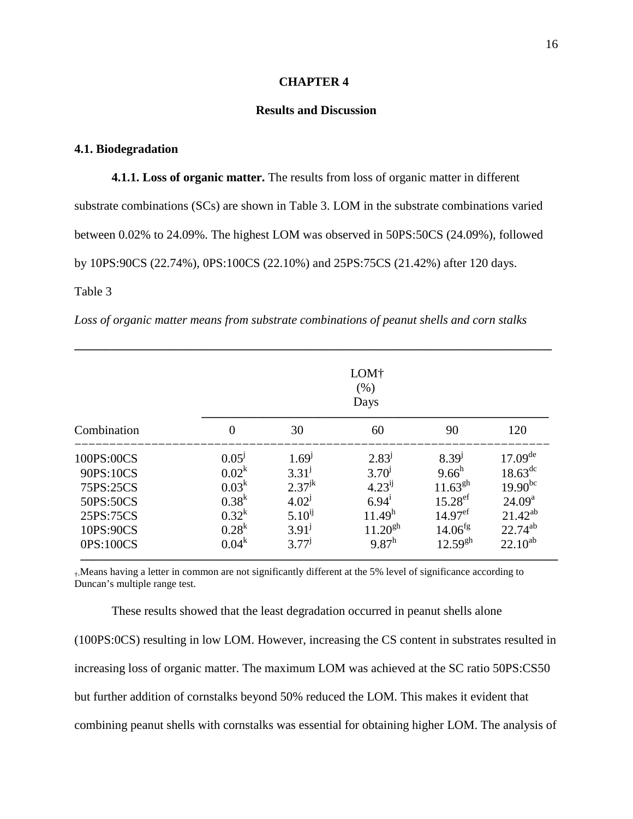#### **CHAPTER 4**

#### **Results and Discussion**

#### **4.1. Biodegradation**

**4.1.1. Loss of organic matter.** The results from loss of organic matter in different substrate combinations (SCs) are shown in Table 3. LOM in the substrate combinations varied between 0.02% to 24.09%. The highest LOM was observed in 50PS:50CS (24.09%), followed by 10PS:90CS (22.74%), 0PS:100CS (22.10%) and 25PS:75CS (21.42%) after 120 days. Table 3

|  |  |  | Loss of organic matter means from substrate combinations of peanut shells and corn stalks |  |  |  |
|--|--|--|-------------------------------------------------------------------------------------------|--|--|--|
|  |  |  |                                                                                           |  |  |  |

|             | LOM <sup>†</sup><br>(% )<br>Days |             |                    |                       |                     |  |  |
|-------------|----------------------------------|-------------|--------------------|-----------------------|---------------------|--|--|
| Combination | $\mathbf{0}$                     | 30          | 60                 | 90                    | 120                 |  |  |
| 100PS:00CS  | 0.05 <sup>J</sup>                | $1.69^{1}$  | 2.83 <sup>j</sup>  | $8.39^{1}$            | $17.09^{\text{de}}$ |  |  |
| 90PS:10CS   | $0.02^k$                         | $3.31^{j}$  | $3.70^{j}$         | $9.66^h$              | $18.63^{\rm dc}$    |  |  |
| 75PS:25CS   | $0.03^k$                         | $2.37^{jk}$ | $4.23^{ij}$        | $11.63^{gh}$          | $19.90^{bc}$        |  |  |
| 50PS:50CS   | $0.38^k$                         | $4.02^{j}$  | $6.94^{i}$         | $15.28$ <sup>ef</sup> | 24.09 <sup>a</sup>  |  |  |
| 25PS:75CS   | $0.32^k$                         | $5.10^{ij}$ | 11.49 <sup>h</sup> | $14.97$ <sup>ef</sup> | $21.42^{ab}$        |  |  |
| 10PS:90CS   | $0.28^k$                         | $3.91^{j}$  | $11.20^{gh}$       | $14.06^{fg}$          | $22.74^{ab}$        |  |  |
| 0PS:100CS   | $0.04^k$                         | $3.77^{j}$  | $9.87^{\rm h}$     | $12.59^{gh}$          | $22.10^{ab}$        |  |  |

†-Means having a letter in common are not significantly different at the 5% level of significance according to Duncan's multiple range test.

 These results showed that the least degradation occurred in peanut shells alone (100PS:0CS) resulting in low LOM. However, increasing the CS content in substrates resulted in increasing loss of organic matter. The maximum LOM was achieved at the SC ratio 50PS:CS50 but further addition of cornstalks beyond 50% reduced the LOM. This makes it evident that combining peanut shells with cornstalks was essential for obtaining higher LOM. The analysis of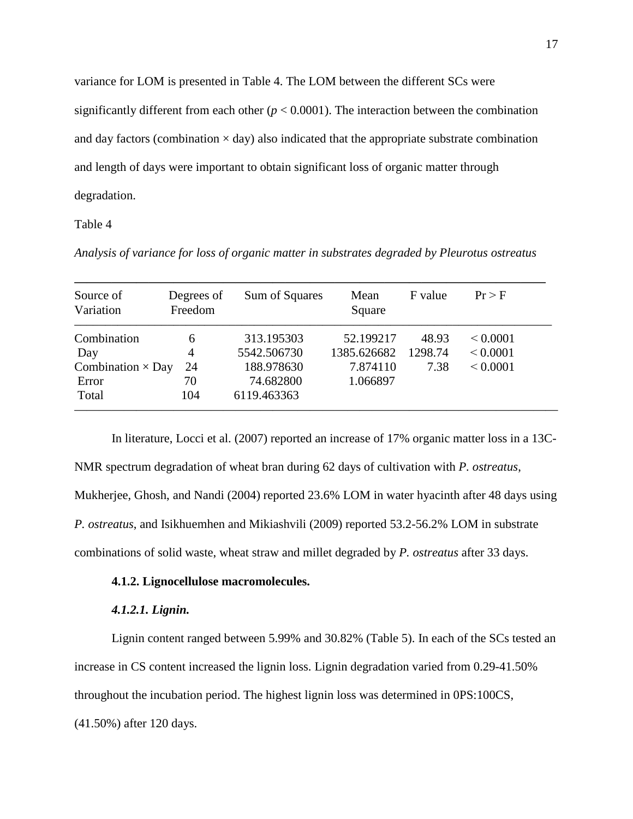variance for LOM is presented in Table 4. The LOM between the different SCs were significantly different from each other  $(p < 0.0001)$ . The interaction between the combination and day factors (combination  $\times$  day) also indicated that the appropriate substrate combination and length of days were important to obtain significant loss of organic matter through degradation.

#### Table 4

*Analysis of variance for loss of organic matter in substrates degraded by Pleurotus ostreatus* 

| Source of<br>Variation   | Degrees of<br>Freedom | Sum of Squares | Mean<br>Square | F value | Pr > F        |
|--------------------------|-----------------------|----------------|----------------|---------|---------------|
| Combination              | 6                     | 313.195303     | 52.199217      | 48.93   | ${}_{0.0001}$ |
| Day                      | 4                     | 5542.506730    | 1385.626682    | 1298.74 | ${}_{0.0001}$ |
| Combination $\times$ Day | 24                    | 188.978630     | 7.874110       | 7.38    | ${}_{0.0001}$ |
| Error                    | 70                    | 74.682800      | 1.066897       |         |               |
| Total                    | 104                   | 6119.463363    |                |         |               |

In literature, Locci et al. (2007) reported an increase of 17% organic matter loss in a 13C-NMR spectrum degradation of wheat bran during 62 days of cultivation with *P. ostreatus*, Mukherjee, Ghosh, and Nandi (2004) reported 23.6% LOM in water hyacinth after 48 days using *P. ostreatus*, and Isikhuemhen and Mikiashvili (2009) reported 53.2-56.2% LOM in substrate combinations of solid waste, wheat straw and millet degraded by *P. ostreatus* after 33 days.

#### **4.1.2. Lignocellulose macromolecules.**

#### *4.1.2.1. Lignin.*

Lignin content ranged between 5.99% and 30.82% (Table 5). In each of the SCs tested an increase in CS content increased the lignin loss. Lignin degradation varied from 0.29-41.50% throughout the incubation period. The highest lignin loss was determined in 0PS:100CS, (41.50%) after 120 days.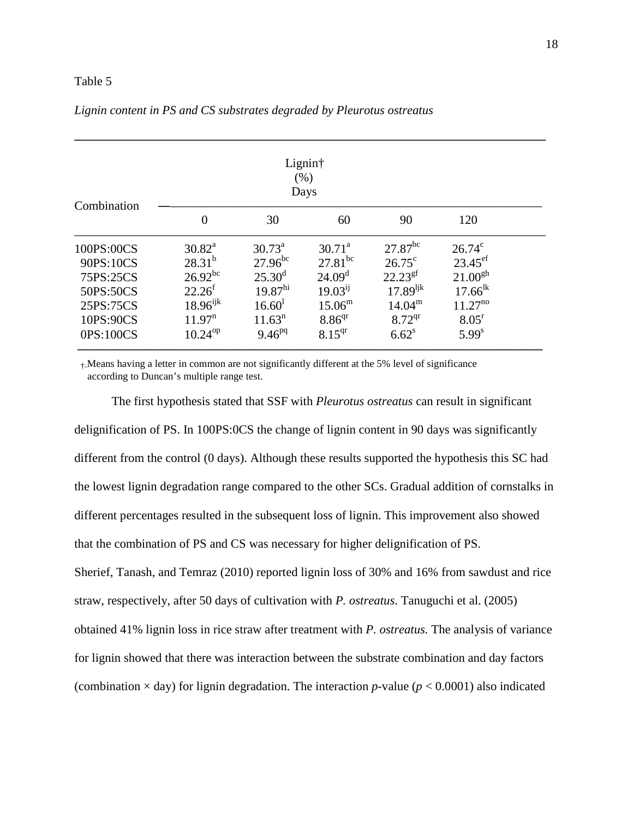#### Table 5

| Combination |                    |                     | Lignin†<br>(% )<br>Days |                       |                   |
|-------------|--------------------|---------------------|-------------------------|-----------------------|-------------------|
|             | $\overline{0}$     | 30                  | 60                      | 90                    | 120               |
| 100PS:00CS  | $30.82^a$          | $30.73^{\text{a}}$  | $30.71^{\circ}$         | $27.87$ <sup>bc</sup> | $26.74^{\circ}$   |
| 90PS:10CS   | $28.31^{b}$        | $27.96^{bc}$        | $27.81^{bc}$            | $26.75^{\circ}$       | $23.45^{\rm ef}$  |
| 75PS:25CS   | $26.92^{bc}$       | $25.30^{\rm d}$     | 24.09 <sup>d</sup>      | $22.23^{gf}$          | $21.00^{gh}$      |
| 50PS:50CS   | $22.26^{f}$        | $19.87^{\text{hi}}$ | $19.03^{ij}$            | $17.89^{ijk}$         | $17.66^{lk}$      |
| 25PS:75CS   | $18.96^{ijk}$      | 16.60 <sup>1</sup>  | $15.06^{\rm m}$         | $14.04^{\rm m}$       | $11.27^{no}$      |
| 10PS:90CS   | 11.97 <sup>n</sup> | 11.63 <sup>n</sup>  | 8.86 <sup>qr</sup>      | $8.72^{qr}$           | 8.05 <sup>r</sup> |
| 0PS:100CS   | $10.24^{op}$       | $9.46^{pq}$         | $8.15^{qr}$             | $6.62^s$              | $5.99^{s}$        |

#### *Lignin content in PS and CS substrates degraded by Pleurotus ostreatus*

†-Means having a letter in common are not significantly different at the 5% level of significance according to Duncan's multiple range test.

The first hypothesis stated that SSF with *Pleurotus ostreatus* can result in significant delignification of PS. In 100PS:0CS the change of lignin content in 90 days was significantly different from the control (0 days). Although these results supported the hypothesis this SC had the lowest lignin degradation range compared to the other SCs. Gradual addition of cornstalks in different percentages resulted in the subsequent loss of lignin. This improvement also showed that the combination of PS and CS was necessary for higher delignification of PS. Sherief, Tanash, and Temraz (2010) reported lignin loss of 30% and 16% from sawdust and rice straw, respectively, after 50 days of cultivation with *P. ostreatus*. Tanuguchi et al. (2005) obtained 41% lignin loss in rice straw after treatment with *P. ostreatus.* The analysis of variance for lignin showed that there was interaction between the substrate combination and day factors (combination  $\times$  day) for lignin degradation. The interaction *p*-value ( $p < 0.0001$ ) also indicated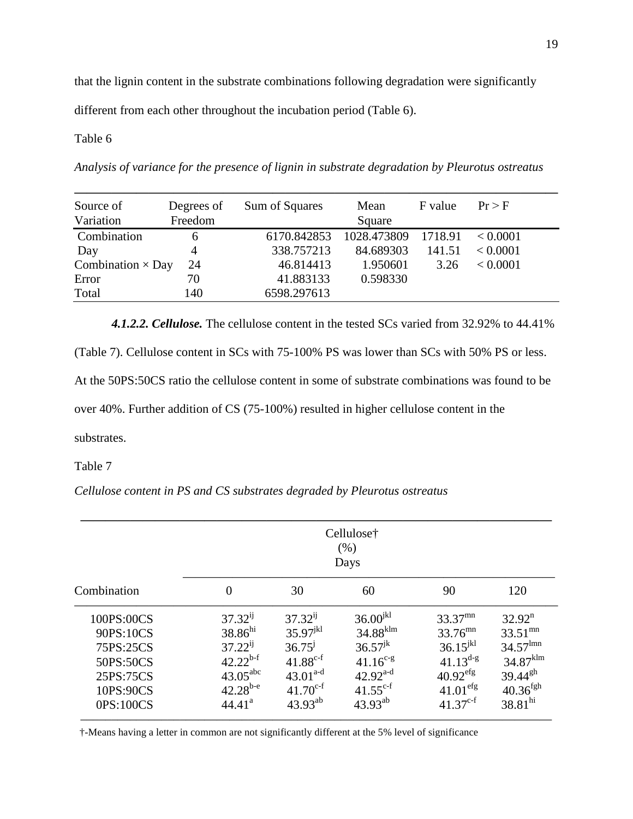that the lignin content in the substrate combinations following degradation were significantly

different from each other throughout the incubation period (Table 6).

#### Table 6

*Analysis of variance for the presence of lignin in substrate degradation by Pleurotus ostreatus* 

| Source of<br>Variation   | Degrees of<br>Freedom | Sum of Squares | Mean<br>Square | F value | Pr > F   |
|--------------------------|-----------------------|----------------|----------------|---------|----------|
|                          |                       |                |                |         |          |
| Combination              | 6                     | 6170.842853    | 1028.473809    | 1718.91 | < 0.0001 |
| Day                      | 4                     | 338.757213     | 84.689303      | 141.51  | < 0.0001 |
| Combination $\times$ Day | 24                    | 46.814413      | 1.950601       | 3.26    | < 0.0001 |
| Error                    | 70                    | 41.883133      | 0.598330       |         |          |
| Total                    | 140                   | 6598.297613    |                |         |          |
|                          |                       |                |                |         |          |

*4.1.2.2. Cellulose.* The cellulose content in the tested SCs varied from 32.92% to 44.41%

(Table 7). Cellulose content in SCs with 75-100% PS was lower than SCs with 50% PS or less.

At the 50PS:50CS ratio the cellulose content in some of substrate combinations was found to be

over 40%. Further addition of CS (75-100%) resulted in higher cellulose content in the

substrates.

Table 7

*Cellulose content in PS and CS substrates degraded by Pleurotus ostreatus* 

| Combination | $\theta$             | 30            | 60                     | 90                     | 120                                        |
|-------------|----------------------|---------------|------------------------|------------------------|--------------------------------------------|
| 100PS:00CS  | $37.32^{ij}$         | $37.32^{ij}$  | $36.00^{jkl}$          | $33.37$ <sup>mn</sup>  | $32.92^n$                                  |
| 90PS:10CS   | $38.86^{hi}$         | $35.97^{jkl}$ | $34.88$ <sup>klm</sup> | $33.76^{mn}$           | $33.51^{mn}$                               |
| 75PS:25CS   | $37.22^{ij}$         | $36.75^{j}$   | $36.57^{jk}$           | $36.15^{jkl}$          | $34.57$ <sup><math>\text{lmn}</math></sup> |
| 50PS:50CS   | $42.22^{b-f}$        | $41.88^{c-f}$ | $41.16^{c-g}$          | $41.13^{d-g}$          | $34.87$ <sup>klm</sup>                     |
| 25PS:75CS   | $43.05^{\text{abc}}$ | $43.01^{a-d}$ | $42.92^{a-d}$          | $40.92$ <sup>efg</sup> | $39.44^{gh}$                               |
| 10PS:90CS   | $42.28^{b-e}$        | $41.70^{c-f}$ | $41.55^{c-f}$          | $41.01$ <sup>efg</sup> | $40.36^{fgh}$                              |
| 0PS:100CS   | 44.41 <sup>a</sup>   | $43.93^{ab}$  | $43.93^{ab}$           | $41.37^{c-f}$          | $38.81^{\text{hi}}$                        |

†-Means having a letter in common are not significantly different at the 5% level of significance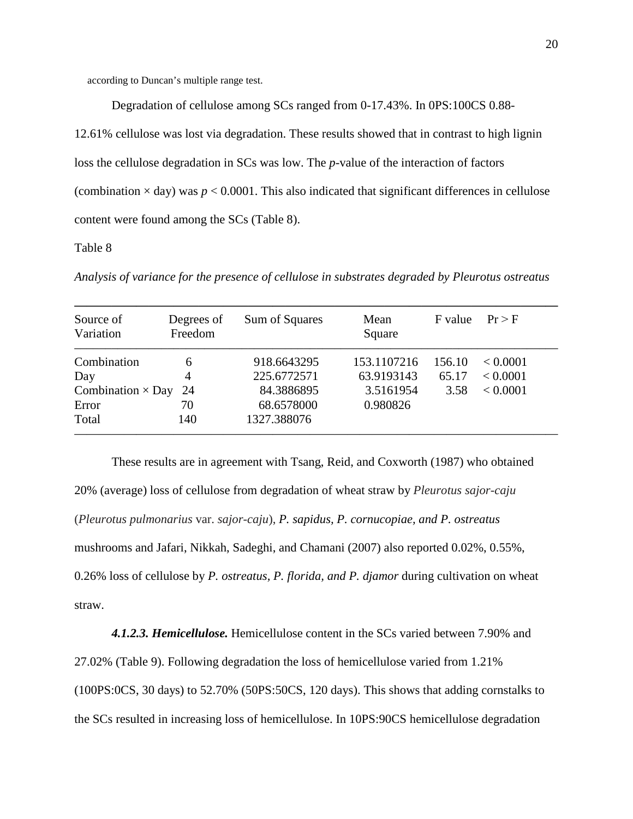according to Duncan's multiple range test.

Degradation of cellulose among SCs ranged from 0-17.43%. In 0PS:100CS 0.88-

12.61% cellulose was lost via degradation. These results showed that in contrast to high lignin loss the cellulose degradation in SCs was low. The *p*-value of the interaction of factors (combination  $\times$  day) was  $p < 0.0001$ . This also indicated that significant differences in cellulose content were found among the SCs (Table 8).

#### Table 8

*Analysis of variance for the presence of cellulose in substrates degraded by Pleurotus ostreatus* 

| Source of<br>Variation   | Degrees of<br>Freedom | Sum of Squares | Mean<br>Square | F value | Pr > F   |
|--------------------------|-----------------------|----------------|----------------|---------|----------|
| Combination              | 6                     | 918.6643295    | 153.1107216    | 156.10  | < 0.0001 |
| Day                      | 4                     | 225.6772571    | 63.9193143     | 65.17   | < 0.0001 |
| Combination $\times$ Day | 24                    | 84.3886895     | 3.5161954      | 3.58    | < 0.0001 |
| Error                    | 70                    | 68.6578000     | 0.980826       |         |          |
| Total                    | 140                   | 1327.388076    |                |         |          |

 These results are in agreement with Tsang, Reid, and Coxworth (1987) who obtained 20% (average) loss of cellulose from degradation of wheat straw by *Pleurotus sajor-caju*  (*Pleurotus pulmonarius* var. *sajor-caju*), *P. sapidus, P. cornucopiae, and P. ostreatus*  mushrooms and Jafari, Nikkah, Sadeghi, and Chamani (2007) also reported 0.02%, 0.55%, 0.26% loss of cellulose by *P. ostreatus, P. florida, and P. djamor* during cultivation on wheat straw.

*4.1.2.3. Hemicellulose.* Hemicellulose content in the SCs varied between 7.90% and 27.02% (Table 9). Following degradation the loss of hemicellulose varied from 1.21% (100PS:0CS, 30 days) to 52.70% (50PS:50CS, 120 days). This shows that adding cornstalks to the SCs resulted in increasing loss of hemicellulose. In 10PS:90CS hemicellulose degradation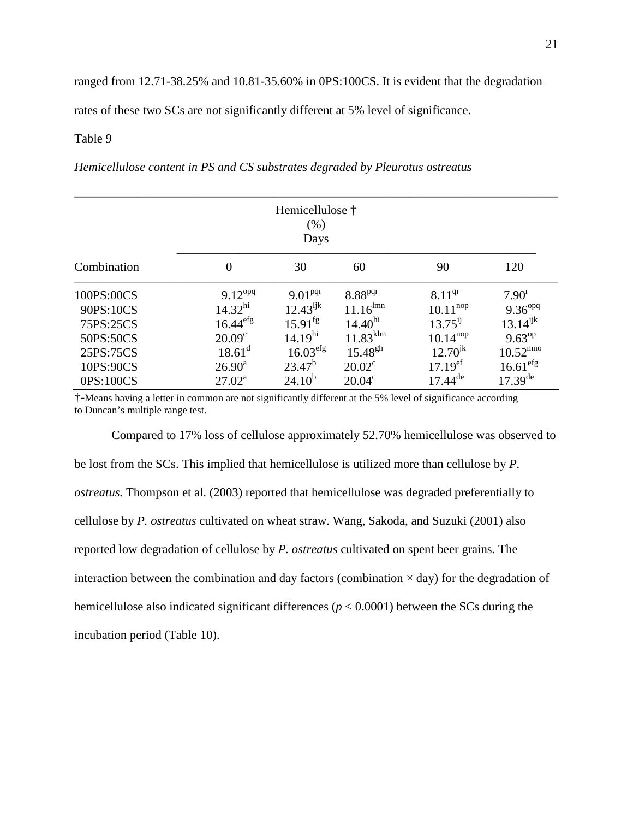ranged from 12.71-38.25% and 10.81-35.60% in 0PS:100CS. It is evident that the degradation

rates of these two SCs are not significantly different at 5% level of significance.

#### Table 9

*Hemicellulose content in PS and CS substrates degraded by Pleurotus ostreatus* 

| Hemicellulose †<br>(% )<br>Days |                        |                       |                        |                       |                      |  |  |  |
|---------------------------------|------------------------|-----------------------|------------------------|-----------------------|----------------------|--|--|--|
| Combination                     | 0                      | 30                    | 60                     | 90                    | 120                  |  |  |  |
| 100PS:00CS                      | $9.12^{opq}$           | 9.01 <sup>pqr</sup>   | 8.88 <sup>pqr</sup>    | $8.11^{qr}$           | $7.90^{r}$           |  |  |  |
| 90PS:10CS                       | 14.32 <sup>hi</sup>    | $12.43^{ijk}$         | $11.16^{lmn}$          | $10.11^{nop}$         | $9.36^{opq}$         |  |  |  |
| 75PS:25CS                       | $16.44$ <sup>efg</sup> | $15.91$ <sup>fg</sup> | $14.40^{\text{hi}}$    | $13.75^{ij}$          | $13.14^{ijk}$        |  |  |  |
| 50PS:50CS                       | 20.09 <sup>c</sup>     | 14.19 <sup>hi</sup>   | $11.83$ <sup>klm</sup> | $10.14^{nop}$         | $9.63^{op}$          |  |  |  |
| 25PS:75CS                       | $18.61^d$              | 16.03 <sup>erg</sup>  | $15.48^{gh}$           | $12.70^{jk}$          | $10.52^{mno}$        |  |  |  |
| 10PS:90CS                       | $26.90^{\text{a}}$     | $23.47^b$             | $20.02^{\circ}$        | $17.19$ <sup>ef</sup> | 16.61 <sup>efg</sup> |  |  |  |
| 0PS:100CS                       | $27.02^{\rm a}$        | $24.10^{b}$           | $20.04^{\circ}$        | $17.44^{\text{de}}$   | $17.39^{\text{de}}$  |  |  |  |

†-Means having a letter in common are not significantly different at the 5% level of significance according to Duncan's multiple range test.

 Compared to 17% loss of cellulose approximately 52.70% hemicellulose was observed to be lost from the SCs. This implied that hemicellulose is utilized more than cellulose by *P. ostreatus.* Thompson et al. (2003) reported that hemicellulose was degraded preferentially to cellulose by *P. ostreatus* cultivated on wheat straw. Wang, Sakoda, and Suzuki (2001) also reported low degradation of cellulose by *P. ostreatus* cultivated on spent beer grains*.* The interaction between the combination and day factors (combination  $\times$  day) for the degradation of hemicellulose also indicated significant differences (*p* < 0.0001) between the SCs during the incubation period (Table 10).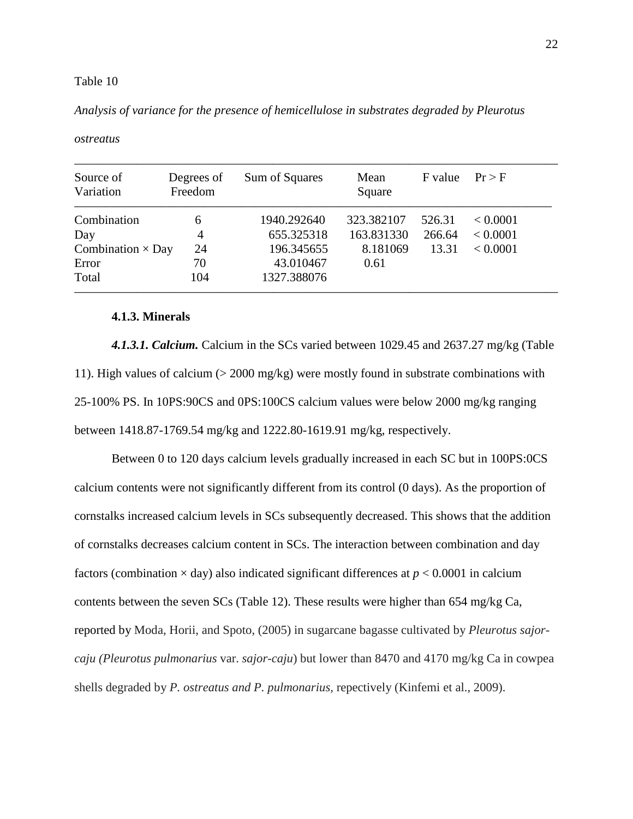*Analysis of variance for the presence of hemicellulose in substrates degraded by Pleurotus* 

| Source of<br>Variation   | Degrees of<br>Freedom | Sum of Squares | Mean<br>Square | F value | Pr > F   |
|--------------------------|-----------------------|----------------|----------------|---------|----------|
| Combination              | 6                     | 1940.292640    | 323.382107     | 526.31  | < 0.0001 |
| Day                      | 4                     | 655.325318     | 163.831330     | 266.64  | < 0.0001 |
| Combination $\times$ Day | 24                    | 196.345655     | 8.181069       | 13.31   | < 0.0001 |
| Error                    | 70                    | 43.010467      | 0.61           |         |          |
| Total                    | 104                   | 1327.388076    |                |         |          |

*ostreatus* 

### **4.1.3. Minerals**

*4.1.3.1. Calcium.* Calcium in the SCs varied between 1029.45 and 2637.27 mg/kg (Table 11). High values of calcium (> 2000 mg/kg) were mostly found in substrate combinations with 25-100% PS. In 10PS:90CS and 0PS:100CS calcium values were below 2000 mg/kg ranging between 1418.87-1769.54 mg/kg and 1222.80-1619.91 mg/kg, respectively.

Between 0 to 120 days calcium levels gradually increased in each SC but in 100PS:0CS calcium contents were not significantly different from its control (0 days). As the proportion of cornstalks increased calcium levels in SCs subsequently decreased. This shows that the addition of cornstalks decreases calcium content in SCs. The interaction between combination and day factors (combination  $\times$  day) also indicated significant differences at  $p < 0.0001$  in calcium contents between the seven SCs (Table 12). These results were higher than 654 mg/kg Ca, reported by Moda, Horii, and Spoto, (2005) in sugarcane bagasse cultivated by *Pleurotus sajorcaju (Pleurotus pulmonarius* var. *sajor-caju*) but lower than 8470 and 4170 mg/kg Ca in cowpea shells degraded by *P. ostreatus and P. pulmonarius,* repectively (Kinfemi et al., 2009).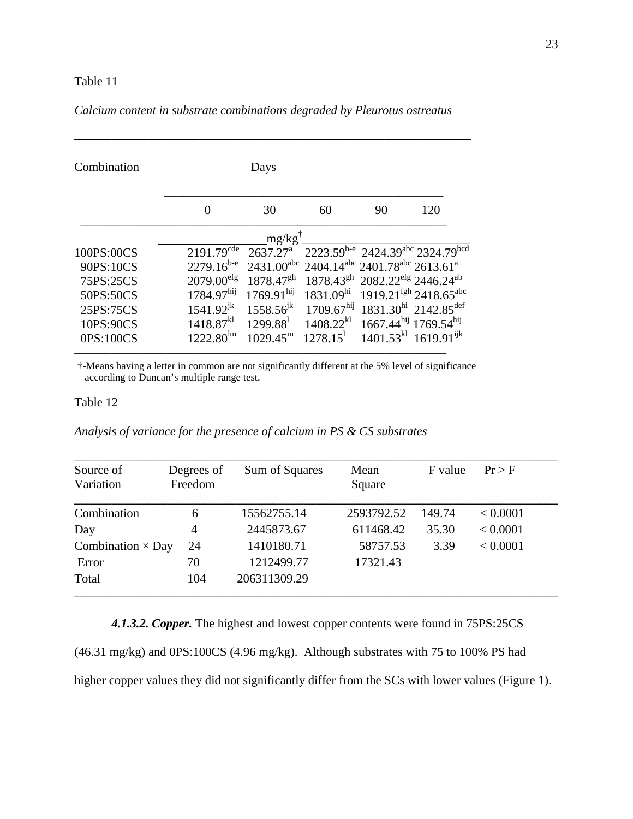| Combination |                        | Days                   |                                                                                           |    |     |
|-------------|------------------------|------------------------|-------------------------------------------------------------------------------------------|----|-----|
|             | $\Omega$               | 30                     | 60                                                                                        | 90 | 120 |
|             |                        | $mg/kg$ <sup>†</sup>   |                                                                                           |    |     |
| 100PS:00CS  | $2191.79^{\text{cde}}$ | 2637.27 <sup>a</sup>   | 2223.59b-e 2424.39abc 2324.79bcd                                                          |    |     |
| 90PS:10CS   | $2279.16^{b-e}$        |                        | 2431.00 <sup>abc</sup> 2404.14 <sup>abc</sup> 2401.78 <sup>abc</sup> 2613.61 <sup>a</sup> |    |     |
| 75PS:25CS   | 2079.00 <sup>efg</sup> | $1878.47^{gh}$         | $1878.43^{gh}$ 2082.22 <sup>efg</sup> 2446.24 <sup>ab</sup>                               |    |     |
| 50PS:50CS   | 1784.97 <sup>hij</sup> | $1769.91^{\text{hij}}$ | $1831.09^{\text{hi}}$ 1919.21 <sup>fgh</sup> 2418.65 <sup>abc</sup>                       |    |     |
| 25PS:75CS   | $1541.92^{jk}$         |                        | $1558.56^{jk}$ 1709.67 <sup>hij</sup> 1831.30 <sup>hi</sup> 2142.85 <sup>def</sup>        |    |     |
| 10PS:90CS   | $1418.87^{k}$          | $1299.88^{\text{l}}$   | $1408.22^{kl}$ 1667.44 <sup>hij</sup> 1769.54 <sup>hij</sup>                              |    |     |
| 0PS:100CS   | $1222.80^{\text{lm}}$  |                        | $1029.45^{\text{m}}$ $1278.15^{\text{l}}$ $1401.53^{\text{kl}}$ $1619.91^{\text{ijk}}$    |    |     |

# *Calcium content in substrate combinations degraded by Pleurotus ostreatus*

†-Means having a letter in common are not significantly different at the 5% level of significance according to Duncan's multiple range test.

#### Table 12

*Analysis of variance for the presence of calcium in PS & CS substrates* 

| Source of                | Degrees of | Sum of Squares | Mean       | F value | Pr > F   |
|--------------------------|------------|----------------|------------|---------|----------|
| Variation                | Freedom    |                | Square     |         |          |
| Combination              | 6          | 15562755.14    | 2593792.52 | 149.74  | < 0.0001 |
| Day                      | 4          | 2445873.67     | 611468.42  | 35.30   | < 0.0001 |
| Combination $\times$ Day | 24         | 1410180.71     | 58757.53   | 3.39    | < 0.0001 |
| Error                    | 70         | 1212499.77     | 17321.43   |         |          |
| Total                    | 104        | 206311309.29   |            |         |          |

*4.1.3.2. Copper.* The highest and lowest copper contents were found in 75PS:25CS

(46.31 mg/kg) and 0PS:100CS (4.96 mg/kg). Although substrates with 75 to 100% PS had higher copper values they did not significantly differ from the SCs with lower values (Figure 1).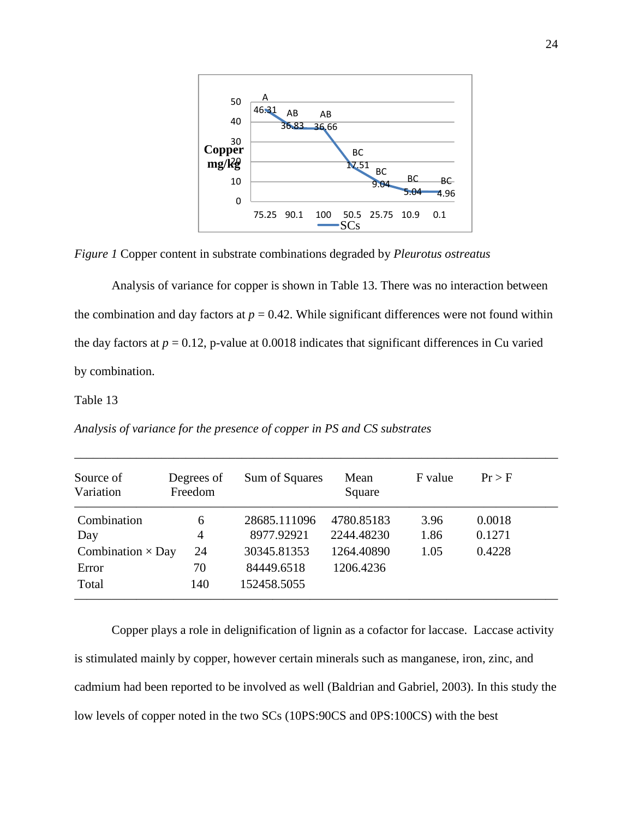

*Figure 1* Copper content in substrate combinations degraded by *Pleurotus ostreatus*

Analysis of variance for copper is shown in Table 13. There was no interaction between the combination and day factors at  $p = 0.42$ . While significant differences were not found within the day factors at  $p = 0.12$ , p-value at 0.0018 indicates that significant differences in Cu varied by combination.

## Table 13

*Analysis of variance for the presence of copper in PS and CS substrates* 

| Source of<br>Variation   | Degrees of<br>Freedom | Sum of Squares | Mean<br>Square | F value | Pr > F |
|--------------------------|-----------------------|----------------|----------------|---------|--------|
| Combination              | 6                     | 28685.111096   | 4780.85183     | 3.96    | 0.0018 |
| Day                      | 4                     | 8977.92921     | 2244.48230     | 1.86    | 0.1271 |
| Combination $\times$ Day | 24                    | 30345.81353    | 1264.40890     | 1.05    | 0.4228 |
| Error                    | 70                    | 84449.6518     | 1206.4236      |         |        |
| Total                    | 140                   | 152458.5055    |                |         |        |

\_\_\_\_\_\_\_\_\_\_\_\_\_\_\_\_\_\_\_\_\_\_\_\_\_\_\_\_\_\_\_\_\_\_\_\_\_\_\_\_\_\_\_\_\_\_\_\_\_\_\_\_\_\_\_\_\_\_\_\_\_\_\_\_\_\_\_\_\_\_\_\_\_\_\_\_\_\_

Copper plays a role in delignification of lignin as a cofactor for laccase. Laccase activity is stimulated mainly by copper, however certain minerals such as manganese, iron, zinc, and cadmium had been reported to be involved as well (Baldrian and Gabriel, 2003). In this study the low levels of copper noted in the two SCs (10PS:90CS and 0PS:100CS) with the best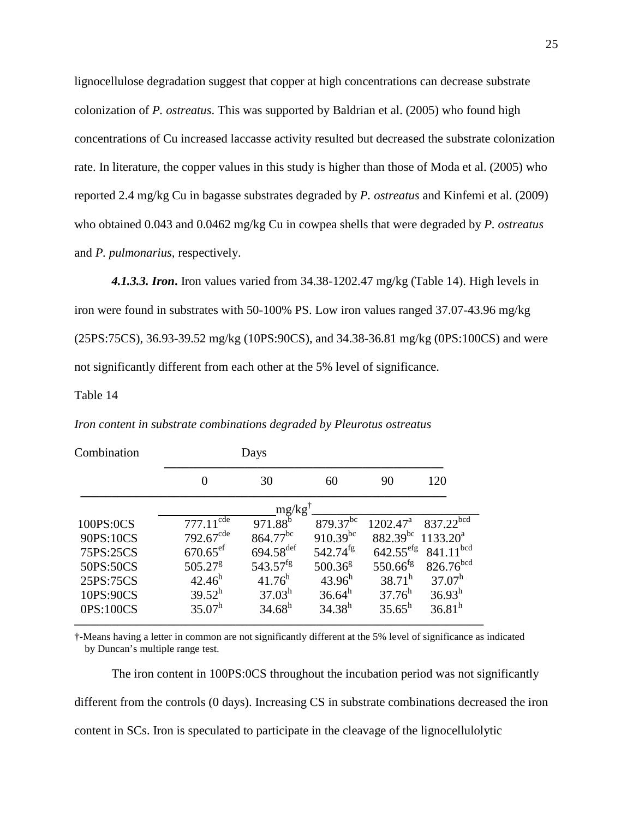lignocellulose degradation suggest that copper at high concentrations can decrease substrate colonization of *P. ostreatus*. This was supported by Baldrian et al. (2005) who found high concentrations of Cu increased laccasse activity resulted but decreased the substrate colonization rate. In literature, the copper values in this study is higher than those of Moda et al. (2005) who reported 2.4 mg/kg Cu in bagasse substrates degraded by *P. ostreatus* and Kinfemi et al. (2009) who obtained 0.043 and 0.0462 mg/kg Cu in cowpea shells that were degraded by *P. ostreatus* and *P. pulmonarius,* respectively.

*4.1.3.3. Iron***.** Iron values varied from 34.38-1202.47 mg/kg (Table 14). High levels in iron were found in substrates with 50-100% PS. Low iron values ranged 37.07-43.96 mg/kg (25PS:75CS), 36.93-39.52 mg/kg (10PS:90CS), and 34.38-36.81 mg/kg (0PS:100CS) and were not significantly different from each other at the 5% level of significance.

#### Table 14

| Combination |                        | Days                    |                        |                        |                       |
|-------------|------------------------|-------------------------|------------------------|------------------------|-----------------------|
|             |                        | 30                      | 60                     | 90                     | 120                   |
|             |                        | $mg/kg$ <sup>t</sup>    |                        |                        |                       |
| 100PS:0CS   | $777.11^{\text{cde}}$  | 971.88 <sup>b</sup>     | $879.37^{bc}$          | $1202.47^{\text{a}}$   | 837.22bcd             |
| 90PS:10CS   | $792.67^{\text{cde}}$  | $864.77^{bc}$           | $910.39^{bc}$          | $882.39^{bc}$          | $1133.20^a$           |
| 75PS:25CS   | $670.65$ <sup>ef</sup> | $694.58$ <sup>def</sup> | $542.74$ <sup>fg</sup> | $642.55^{\text{efg}}$  | $841.11^{bcd}$        |
| 50PS:50CS   | $505.27^8$             | $543.57^{fg}$           | 500.36 <sup>g</sup>    | $550.66$ <sup>fg</sup> | 826.76 <sup>bcd</sup> |
| 25PS:75CS   | $42.46^h$              | $41.76^h$               | $43.96^h$              | $38.71^{\rm h}$        | $37.07^h$             |
| 10PS:90CS   | $39.52^h$              | $37.03^h$               | $36.64^h$              | $37.76^h$              | $36.93^h$             |
| 0PS:100CS   | $35.07^h$              | $34.68^h$               | $34.38^h$              | $35.65^h$              | $36.81^{\rm h}$       |
|             |                        |                         |                        |                        |                       |

*Iron content in substrate combinations degraded by Pleurotus ostreatus* 

†-Means having a letter in common are not significantly different at the 5% level of significance as indicated by Duncan's multiple range test.

The iron content in 100PS:0CS throughout the incubation period was not significantly different from the controls (0 days). Increasing CS in substrate combinations decreased the iron content in SCs. Iron is speculated to participate in the cleavage of the lignocellulolytic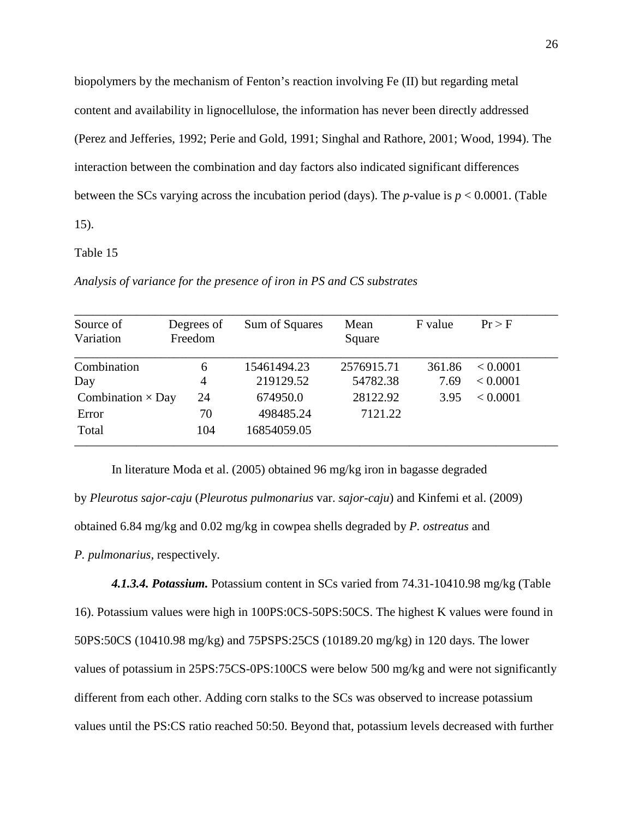biopolymers by the mechanism of Fenton's reaction involving Fe (II) but regarding metal content and availability in lignocellulose, the information has never been directly addressed (Perez and Jefferies, 1992; Perie and Gold, 1991; Singhal and Rathore, 2001; Wood, 1994). The interaction between the combination and day factors also indicated significant differences between the SCs varying across the incubation period (days). The *p-*value is *p* < 0.0001. (Table 15).

## Table 15

| Source of                | Degrees of | Sum of Squares | Mean       | F value | Pr > F   |
|--------------------------|------------|----------------|------------|---------|----------|
| Variation                | Freedom    |                | Square     |         |          |
| Combination              | 6          | 15461494.23    | 2576915.71 | 361.86  | < 0.0001 |
| Day                      | 4          | 219129.52      | 54782.38   | 7.69    | < 0.0001 |
| Combination $\times$ Day | 24         | 674950.0       | 28122.92   | 3.95    | < 0.0001 |
| Error                    | 70         | 498485.24      | 7121.22    |         |          |
| Total                    | 104        | 16854059.05    |            |         |          |

*Analysis of variance for the presence of iron in PS and CS substrates* 

In literature Moda et al. (2005) obtained 96 mg/kg iron in bagasse degraded by *Pleurotus sajor-caju* (*Pleurotus pulmonarius* var. *sajor-caju*) and Kinfemi et al. (2009) obtained 6.84 mg/kg and 0.02 mg/kg in cowpea shells degraded by *P. ostreatus* and *P. pulmonarius,* respectively.

*4.1.3.4. Potassium.* Potassium content in SCs varied from 74.31-10410.98 mg/kg (Table 16). Potassium values were high in 100PS:0CS-50PS:50CS. The highest K values were found in 50PS:50CS (10410.98 mg/kg) and 75PSPS:25CS (10189.20 mg/kg) in 120 days. The lower values of potassium in 25PS:75CS-0PS:100CS were below 500 mg/kg and were not significantly different from each other. Adding corn stalks to the SCs was observed to increase potassium values until the PS:CS ratio reached 50:50. Beyond that, potassium levels decreased with further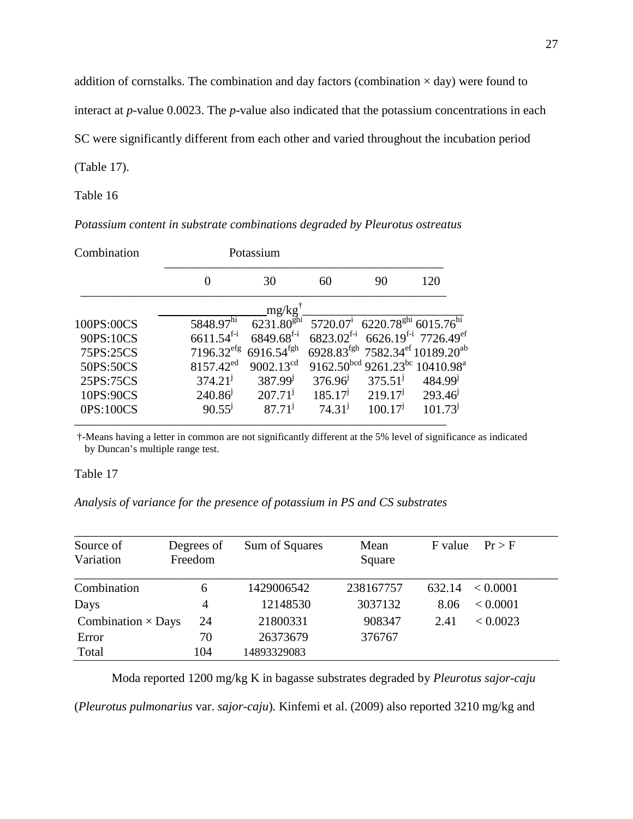addition of cornstalks. The combination and day factors (combination  $\times$  day) were found to

interact at *p*-value 0.0023. The *p*-value also indicated that the potassium concentrations in each

SC were significantly different from each other and varied throughout the incubation period

(Table 17).

Table 16

*Potassium content in substrate combinations degraded by Pleurotus ostreatus* 

| Combination |                          | Potassium                |                     |                                                                   |                                                                       |
|-------------|--------------------------|--------------------------|---------------------|-------------------------------------------------------------------|-----------------------------------------------------------------------|
|             |                          | 30                       | 60                  | 90                                                                | 120                                                                   |
|             |                          | mg/kg'                   |                     |                                                                   |                                                                       |
| 100PS:00CS  | 5848.97hi                | $6231.80^{\text{ghi}}$   |                     | 5720.07 <sup>i</sup> 6220.78 <sup>ghi</sup> 6015.76 <sup>hi</sup> |                                                                       |
| 90PS:10CS   | $6611.54^{f-i}$          | $6849.68$ <sup>f-i</sup> |                     |                                                                   | $6823.02$ <sup>f-i</sup> 6626.19 <sup>f-i</sup> 7726.49 <sup>ef</sup> |
| 75PS:25CS   | $7196.32$ <sup>efg</sup> | $6916.54$ <sup>fgh</sup> |                     |                                                                   | 6928.83 <sup>fgh</sup> 7582.34 <sup>ef</sup> 10189.20 <sup>ab</sup>   |
| 50PS:50CS   | $8157.42^{ed}$           | $9002.13^{cd}$           |                     |                                                                   | 9162.50 bcd 9261.23 bc 10410.98 <sup>a</sup>                          |
| 25PS:75CS   | 374.21 <sup>j</sup>      | $387.99^{j}$             | 376.96 <sup>j</sup> | 375.51 <sup>j</sup>                                               | $484.99^{j}$                                                          |
| 10PS:90CS   | 240.86 <sup>j</sup>      | 207.71 <sup>j</sup>      | 185.17 <sup>j</sup> | 219.17 <sup>j</sup>                                               | 293.46                                                                |
| 0PS:100CS   | $90.55^{j}$              | 87.71 <sup>j</sup>       | 74.31 <sup>j</sup>  | 100.17 <sup>j</sup>                                               | 101.73 <sup>j</sup>                                                   |
|             |                          |                          |                     |                                                                   |                                                                       |

 †-Means having a letter in common are not significantly different at the 5% level of significance as indicated by Duncan's multiple range test.

Table 17

*Analysis of variance for the presence of potassium in PS and CS substrates* 

| Source of<br>Variation    | Degrees of<br>Freedom | Sum of Squares | Mean<br>Square | F value | Pr > F   |
|---------------------------|-----------------------|----------------|----------------|---------|----------|
| Combination               | 6                     | 1429006542     | 238167757      | 632.14  | < 0.0001 |
| Days                      | 4                     | 12148530       | 3037132        | 8.06    | < 0.0001 |
| Combination $\times$ Days | 24                    | 21800331       | 908347         | 2.41    | < 0.0023 |
| Error                     | 70                    | 26373679       | 376767         |         |          |
| Total                     | 104                   | 14893329083    |                |         |          |

Moda reported 1200 mg/kg K in bagasse substrates degraded by *Pleurotus sajor-caju*  (*Pleurotus pulmonarius* var. *sajor-caju*)*.* Kinfemi et al. (2009) also reported 3210 mg/kg and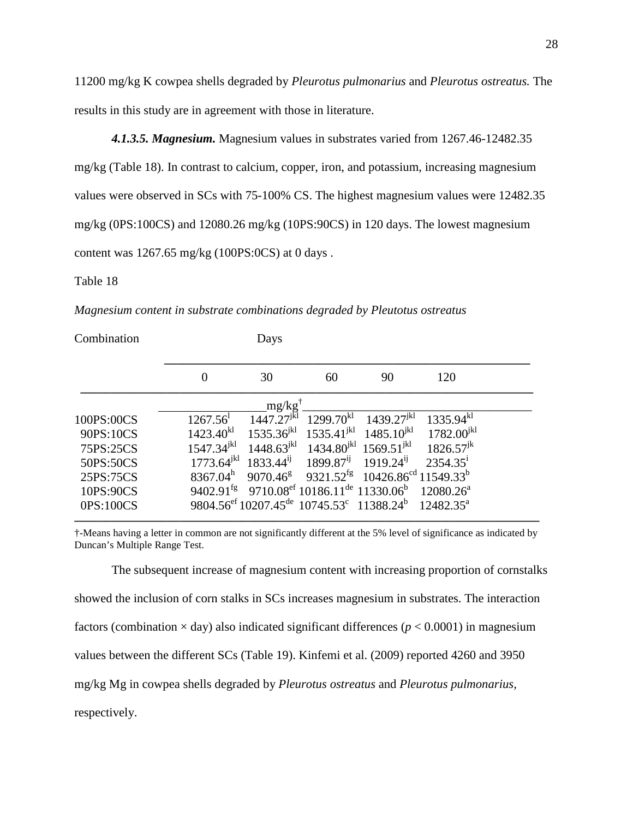11200 mg/kg K cowpea shells degraded by *Pleurotus pulmonarius* and *Pleurotus ostreatus.* The results in this study are in agreement with those in literature.

*4.1.3.5. Magnesium.* Magnesium values in substrates varied from 1267.46-12482.35 mg/kg (Table 18). In contrast to calcium, copper, iron, and potassium, increasing magnesium values were observed in SCs with 75-100% CS. The highest magnesium values were 12482.35 mg/kg (0PS:100CS) and 12080.26 mg/kg (10PS:90CS) in 120 days. The lowest magnesium content was 1267.65 mg/kg (100PS:0CS) at 0 days .

### Table 18

*Magnesium content in substrate combinations degraded by Pleutotus ostreatus* 

| Combination |                         | Days            |                                                                                          |                                              |                       |  |
|-------------|-------------------------|-----------------|------------------------------------------------------------------------------------------|----------------------------------------------|-----------------------|--|
|             | 0                       | 30              | 60                                                                                       | 90                                           | 120                   |  |
|             |                         | mg/kg           |                                                                                          |                                              |                       |  |
| 100PS:00CS  | $1267.56$ <sup>1</sup>  | $1447.27^{jkl}$ | $1299.70^{kl}$                                                                           | $1439.27^{jkl}$                              | $1335.94^{kl}$        |  |
| 90PS:10CS   | $1423.40^{k}$           | $1535.36^{jkl}$ | $1535.41^{jkl}$                                                                          | $1485.10^{jkl}$                              | $1782.00^{jkl}$       |  |
| 75PS:25CS   | $1547.34^{jkl}$         | $1448.63^{jkl}$ |                                                                                          | $1434.80^{jkl}$ 1569.51 <sup>jkl</sup>       | $1826.57^{jk}$        |  |
| 50PS:50CS   | $1773.64^{jkl}$         | $1833.44^{i}$   | $1899.87^{i}$                                                                            | $1919.24^{i}$                                | $2354.35^1$           |  |
| 25PS:75CS   | $8367.04^h$             | $9070.46^8$     | $9321.52^{fg}$                                                                           | $10426.86^{\text{cd}}$ 11549.33 <sup>b</sup> |                       |  |
| 10PS:90CS   | $9402.91$ <sup>fg</sup> |                 | 9710.08 <sup>ef</sup> 10186.11 <sup>de</sup> 11330.06 <sup>b</sup>                       |                                              | $12080.26^a$          |  |
| 0PS:100CS   |                         |                 | 9804.56 <sup>ef</sup> 10207.45 <sup>de</sup> 10745.53 <sup>c</sup> 11388.24 <sup>b</sup> |                                              | $12482.35^{\text{a}}$ |  |

†-Means having a letter in common are not significantly different at the 5% level of significance as indicated by Duncan's Multiple Range Test.

The subsequent increase of magnesium content with increasing proportion of cornstalks showed the inclusion of corn stalks in SCs increases magnesium in substrates. The interaction factors (combination  $\times$  day) also indicated significant differences ( $p < 0.0001$ ) in magnesium values between the different SCs (Table 19). Kinfemi et al. (2009) reported 4260 and 3950 mg/kg Mg in cowpea shells degraded by *Pleurotus ostreatus* and *Pleurotus pulmonarius,*  respectively.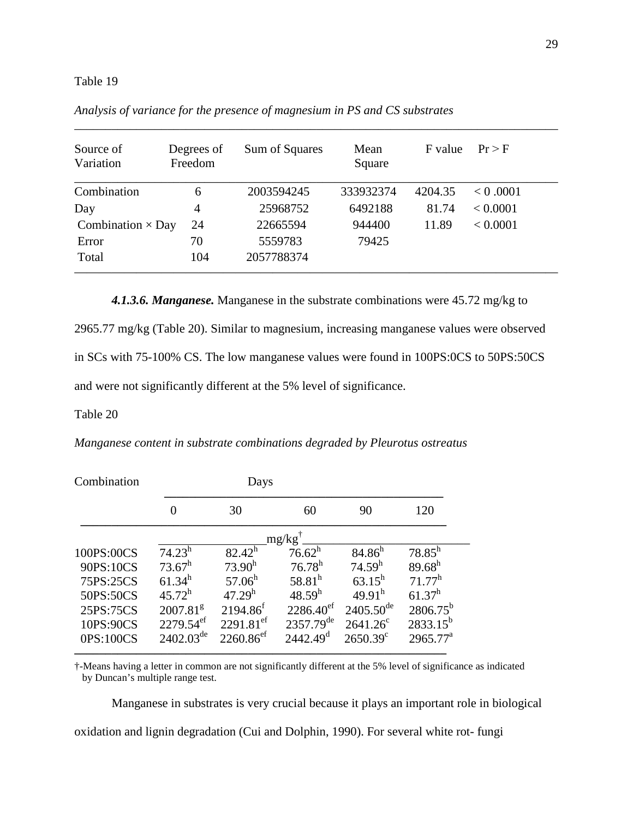| Source of<br>Variation   | Degrees of<br>Freedom | Sum of Squares | Mean<br>Square | F value | Pr > F   |
|--------------------------|-----------------------|----------------|----------------|---------|----------|
| Combination              | 6                     | 2003594245     | 333932374      | 4204.35 | < 0.0001 |
| Day                      | 4                     | 25968752       | 6492188        | 81.74   | < 0.0001 |
| Combination $\times$ Day | 24                    | 22665594       | 944400         | 11.89   | < 0.0001 |
| Error                    | 70                    | 5559783        | 79425          |         |          |
| Total                    | 104                   | 2057788374     |                |         |          |

\_\_\_\_\_\_\_\_\_\_\_\_\_\_\_\_\_\_\_\_\_\_\_\_\_\_\_\_\_\_\_\_\_\_\_\_\_\_\_\_\_\_\_\_\_\_\_\_\_\_\_\_\_\_\_\_\_\_\_\_\_\_\_\_\_\_\_\_\_\_\_\_\_\_\_\_\_\_

*Analysis of variance for the presence of magnesium in PS and CS substrates* 

*4.1.3.6. Manganese.* Manganese in the substrate combinations were 45.72 mg/kg to

2965.77 mg/kg (Table 20). Similar to magnesium, increasing manganese values were observed in SCs with 75-100% CS. The low manganese values were found in 100PS:0CS to 50PS:50CS and were not significantly different at the 5% level of significance.

#### Table 20

*Manganese content in substrate combinations degraded by Pleurotus ostreatus*

| Combination | Days                    |                         |                       |                       |                      |  |  |
|-------------|-------------------------|-------------------------|-----------------------|-----------------------|----------------------|--|--|
|             | 0                       | 30                      | 60                    | 90                    | 120                  |  |  |
|             |                         |                         | $mg/kg$ <sup>1</sup>  |                       |                      |  |  |
| 100PS:00CS  | $74.23^h$               | $82.42^h$               | $76.62^h$             | $84.86^h$             | $78.85^h$            |  |  |
| 90PS:10CS   | $73.67^h$               | $73.90^h$               | $76.78^h$             | 74.59 <sup>h</sup>    | $89.68^{h}$          |  |  |
| 75PS:25CS   | $61.34^h$               | $57.06^h$               | $58.81^h$             | $63.15^h$             | $71.77^h$            |  |  |
| 50PS:50CS   | $45.72^h$               | $47.29^h$               | $48.59^h$             | $49.91^{\rm h}$       | $61.37^h$            |  |  |
| 25PS:75CS   | 2007.81 <sup>g</sup>    | $2194.86^{f}$           | $2286.40^{\text{ef}}$ | $2405.50^{\text{de}}$ | $2806.75^{\rm b}$    |  |  |
| 10PS:90CS   | $2279.54$ <sup>ef</sup> | $2291.81$ <sup>ef</sup> | $2357.79^{\text{de}}$ | $2641.26^{\circ}$     | $2833.15^{b}$        |  |  |
| 0PS:100CS   | $2402.03^{\text{de}}$   | $2260.86$ <sup>ef</sup> | 2442.49 <sup>d</sup>  | $2650.39^{\circ}$     | $2965.77^{\text{a}}$ |  |  |

**––––––––––––––––––––––––––––––––––––––––––––––––––––––––––––** 

†-Means having a letter in common are not significantly different at the 5% level of significance as indicated by Duncan's multiple range test.

Manganese in substrates is very crucial because it plays an important role in biological oxidation and lignin degradation (Cui and Dolphin, 1990). For several white rot- fungi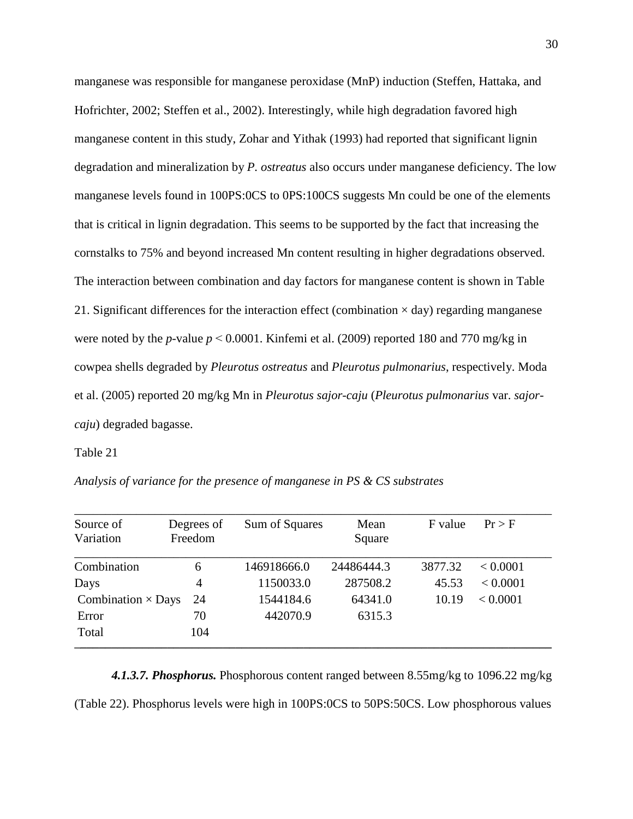manganese was responsible for manganese peroxidase (MnP) induction (Steffen, Hattaka, and Hofrichter, 2002; Steffen et al., 2002). Interestingly, while high degradation favored high manganese content in this study, Zohar and Yithak (1993) had reported that significant lignin degradation and mineralization by *P. ostreatus* also occurs under manganese deficiency. The low manganese levels found in 100PS:0CS to 0PS:100CS suggests Mn could be one of the elements that is critical in lignin degradation. This seems to be supported by the fact that increasing the cornstalks to 75% and beyond increased Mn content resulting in higher degradations observed. The interaction between combination and day factors for manganese content is shown in Table 21. Significant differences for the interaction effect (combination  $\times$  day) regarding manganese were noted by the *p*-value  $p < 0.0001$ . Kinfemi et al. (2009) reported 180 and 770 mg/kg in cowpea shells degraded by *Pleurotus ostreatus* and *Pleurotus pulmonarius*, respectively. Moda et al. (2005) reported 20 mg/kg Mn in *Pleurotus sajor-caju* (*Pleurotus pulmonarius* var. *sajorcaju*) degraded bagasse.

Table 21

*Analysis of variance for the presence of manganese in PS & CS substrates*

| Source of<br>Variation    | Degrees of<br>Freedom | Sum of Squares | Mean<br>Square | F value | Pr > F   |
|---------------------------|-----------------------|----------------|----------------|---------|----------|
| Combination               | 6                     | 146918666.0    | 24486444.3     | 3877.32 | < 0.0001 |
| Days                      | 4                     | 1150033.0      | 287508.2       | 45.53   | < 0.0001 |
| Combination $\times$ Days | 24                    | 1544184.6      | 64341.0        | 10.19   | < 0.0001 |
| Error                     | 70                    | 442070.9       | 6315.3         |         |          |
| Total                     | 104                   |                |                |         |          |

*4.1.3.7. Phosphorus.* Phosphorous content ranged between 8.55mg/kg to 1096.22 mg/kg (Table 22). Phosphorus levels were high in 100PS:0CS to 50PS:50CS. Low phosphorous values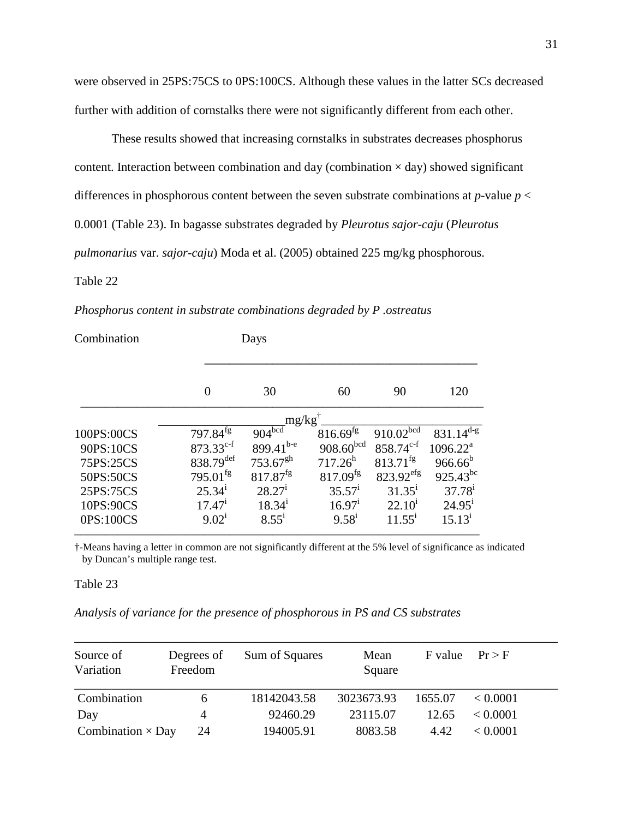were observed in 25PS:75CS to 0PS:100CS. Although these values in the latter SCs decreased further with addition of cornstalks there were not significantly different from each other.

These results showed that increasing cornstalks in substrates decreases phosphorus content. Interaction between combination and day (combination  $\times$  day) showed significant differences in phosphorous content between the seven substrate combinations at *p*-value *p* < 0.0001 (Table 23). In bagasse substrates degraded by *Pleurotus sajor-caju* (*Pleurotus pulmonarius* var. *sajor-caju*) Moda et al. (2005) obtained 225 mg/kg phosphorous.

#### Table 22

*Phosphorus content in substrate combinations degraded by P .ostreatus* 

| Combination |                        | Days                  |                        |                 |                      |
|-------------|------------------------|-----------------------|------------------------|-----------------|----------------------|
|             | 0                      | 30                    | 60                     |                 | 120                  |
|             |                        | $mg/kg^{\dagger}$     |                        |                 |                      |
| 100PS:00CS  | $797.84^{fg}$          | $904^{bcd}$           | $816.69$ <sup>fg</sup> | $910.02^{bcd}$  | $831.14^{d-g}$       |
| 90PS:10CS   | $873.33^{c-f}$         | 899.41 <sup>b-e</sup> | $908.60^{bcd}$         | $858.74^{c-f}$  | 1096.22 <sup>a</sup> |
| 75PS:25CS   | 838.79def              | $753.67^{gh}$         | $717.26^h$             | $813.71^{fg}$   | $966.66^{b}$         |
| 50PS:50CS   | $795.01$ <sup>fg</sup> | $817.87^{fg}$         | $817.09$ <sup>fg</sup> | $823.92^{erg}$  | $925.43^{bc}$        |
| 25PS:75CS   | $25.34^{i}$            | $28.27^{\rm i}$       | $35.57^{\rm i}$        | $31.35^{\rm i}$ | $37.78^{i}$          |
| 10PS:90CS   | 17.47 <sup>1</sup>     | 18.34 <sup>1</sup>    | $16.97^{\rm i}$        | $22.10^1$       | $24.95^{\rm i}$      |
| 0PS:100CS   | 9.02 <sup>1</sup>      | $8.55^{\rm i}$        | 9.58 <sup>1</sup>      | $11.55^{\rm i}$ | $15.13^{i}$          |

†-Means having a letter in common are not significantly different at the 5% level of significance as indicated by Duncan's multiple range test.

Table 23

*Analysis of variance for the presence of phosphorous in PS and CS substrates*

| Source of<br>Variation   | Degrees of<br>Freedom | Sum of Squares | Mean<br>Square | F value | Pr > F   |
|--------------------------|-----------------------|----------------|----------------|---------|----------|
| Combination              | <sub>0</sub>          | 18142043.58    | 3023673.93     | 1655.07 | < 0.0001 |
| Day                      | 4                     | 92460.29       | 23115.07       | 12.65   | < 0.0001 |
| Combination $\times$ Day | 24                    | 194005.91      | 8083.58        | 4.42    | < 0.0001 |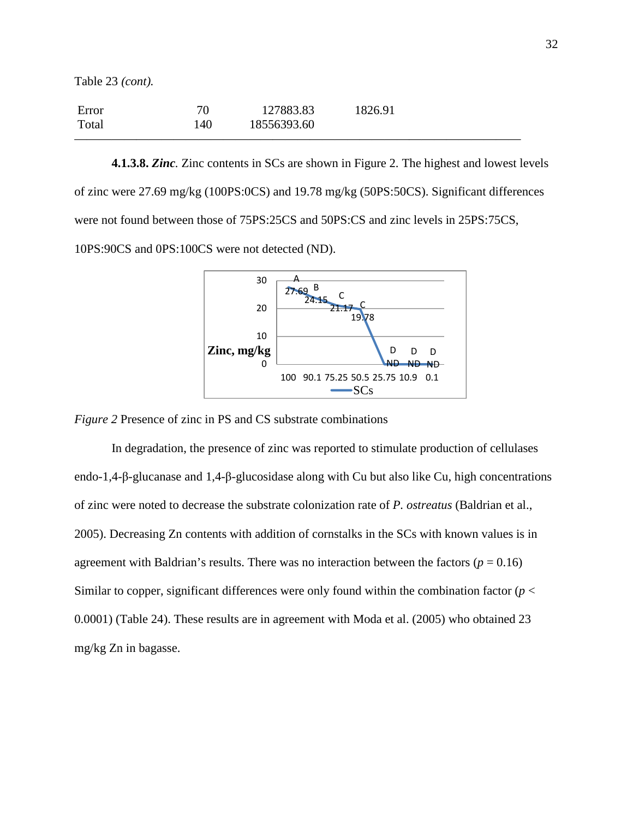Table 23 *(cont).*

| Error |     | 127883.83   | 1826.91 |
|-------|-----|-------------|---------|
| Total | 140 | 18556393.60 |         |
|       |     |             |         |

**4.1.3.8.** *Zinc.* Zinc contents in SCs are shown in Figure 2. The highest and lowest levels of zinc were 27.69 mg/kg (100PS:0CS) and 19.78 mg/kg (50PS:50CS). Significant differences were not found between those of 75PS:25CS and 50PS:CS and zinc levels in 25PS:75CS, 10PS:90CS and 0PS:100CS were not detected (ND).



*Figure 2* Presence of zinc in PS and CS substrate combinations

In degradation, the presence of zinc was reported to stimulate production of cellulases endo-1,4-β-glucanase and 1,4-β-glucosidase along with Cu but also like Cu, high concentrations of zinc were noted to decrease the substrate colonization rate of *P. ostreatus* (Baldrian et al., 2005). Decreasing Zn contents with addition of cornstalks in the SCs with known values is in agreement with Baldrian's results. There was no interaction between the factors ( $p = 0.16$ ) Similar to copper, significant differences were only found within the combination factor (*p* < 0.0001) (Table 24). These results are in agreement with Moda et al. (2005) who obtained 23 mg/kg Zn in bagasse.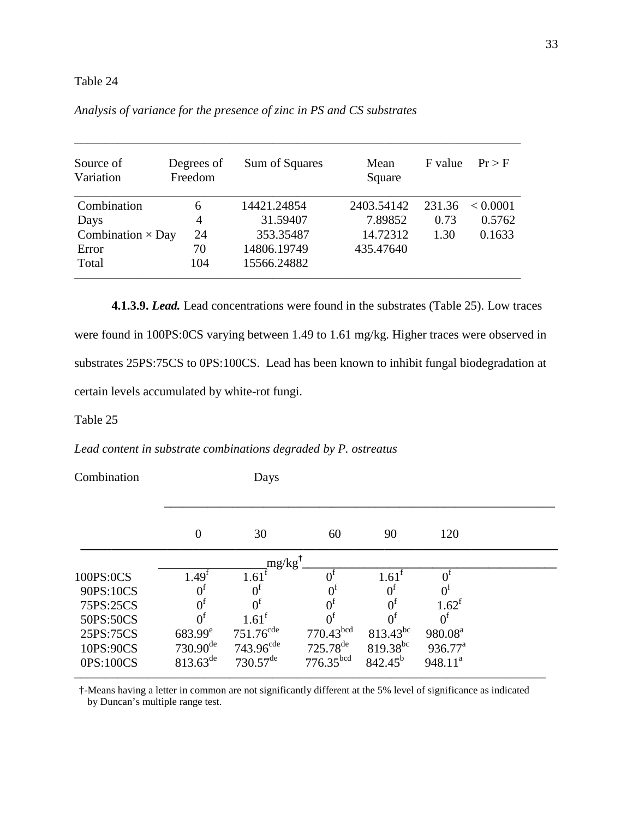| Source of<br>Variation   | Degrees of<br>Freedom | Sum of Squares | Mean<br>Square | F value | Pr > F   |
|--------------------------|-----------------------|----------------|----------------|---------|----------|
| Combination              | 6                     | 14421.24854    | 2403.54142     | 231.36  | < 0.0001 |
| Days                     | $\overline{4}$        | 31.59407       | 7.89852        | 0.73    | 0.5762   |
| Combination $\times$ Day | 24                    | 353.35487      | 14.72312       | 1.30    | 0.1633   |
| Error                    | 70                    | 14806.19749    | 435.47640      |         |          |
| Total                    | 104                   | 15566.24882    |                |         |          |

\_\_\_\_\_\_\_\_\_\_\_\_\_\_\_\_\_\_\_\_\_\_\_\_\_\_\_\_\_\_\_\_\_\_\_\_\_\_\_\_\_\_\_\_\_\_\_\_\_\_\_\_\_\_\_\_\_\_\_\_\_\_\_\_\_\_\_\_\_\_\_\_

# *Analysis of variance for the presence of zinc in PS and CS substrates*

**4.1.3.9.** *Lead.* Lead concentrations were found in the substrates (Table 25). Low traces were found in 100PS:0CS varying between 1.49 to 1.61 mg/kg. Higher traces were observed in substrates 25PS:75CS to 0PS:100CS. Lead has been known to inhibit fungal biodegradation at certain levels accumulated by white-rot fungi.

## Table 25

*Lead content in substrate combinations degraded by P. ostreatus* 

| Combination |                   | Days                   |                         |                |                     |  |
|-------------|-------------------|------------------------|-------------------------|----------------|---------------------|--|
|             | 0                 | 30                     | 60                      | 90             | 120                 |  |
|             |                   | $mg/kg^{\dagger}$      |                         |                |                     |  |
| 100PS:0CS   | 1.49 <sup>t</sup> | 1.61                   |                         | $1.61^{\rm f}$ |                     |  |
| 90PS:10CS   | $0^1$             |                        |                         |                |                     |  |
| 75PS:25CS   | $0^{\rm t}$       |                        |                         |                | $1.62^t$            |  |
| 50PS:50CS   | 0 <sup>f</sup>    | $1.61^{\text{t}}$      | $0^{\rm f}$             |                |                     |  |
| 25PS:75CS   | $683.99^e$        | $751.76^{\text{cde}}$  | $770.43$ <sup>bcd</sup> | $813.43^{bc}$  | 980.08 <sup>a</sup> |  |
| 10PS:90CS   | $730.90^{de}$     | 743.96 <sup>cde</sup>  | $725.78^{de}$           | $819.38^{bc}$  | $936.77^{\text{a}}$ |  |
| 0PS:100CS   | $813.63^{de}$     | $730.57$ <sup>de</sup> | 776.35 <sup>bcd</sup>   | $842.45^{b}$   | $948.11^{a}$        |  |
|             |                   |                        |                         |                |                     |  |

†-Means having a letter in common are not significantly different at the 5% level of significance as indicated by Duncan's multiple range test.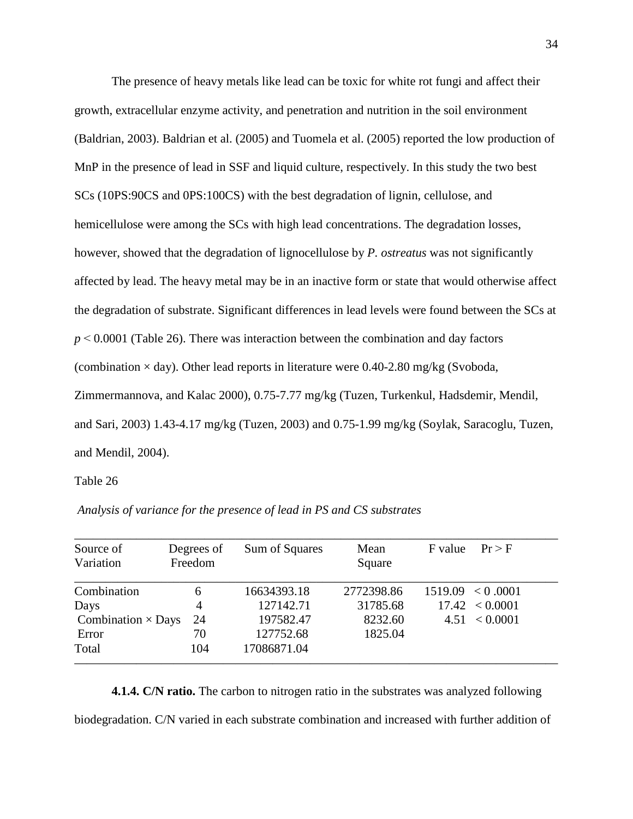The presence of heavy metals like lead can be toxic for white rot fungi and affect their growth, extracellular enzyme activity, and penetration and nutrition in the soil environment (Baldrian, 2003). Baldrian et al. (2005) and Tuomela et al. (2005) reported the low production of MnP in the presence of lead in SSF and liquid culture, respectively. In this study the two best SCs (10PS:90CS and 0PS:100CS) with the best degradation of lignin, cellulose, and hemicellulose were among the SCs with high lead concentrations. The degradation losses, however, showed that the degradation of lignocellulose by *P. ostreatus* was not significantly affected by lead. The heavy metal may be in an inactive form or state that would otherwise affect the degradation of substrate. Significant differences in lead levels were found between the SCs at *p* ˂ 0.0001 (Table 26). There was interaction between the combination and day factors (combination  $\times$  day). Other lead reports in literature were 0.40-2.80 mg/kg (Svoboda, Zimmermannova, and Kalac 2000), 0.75-7.77 mg/kg (Tuzen, Turkenkul, Hadsdemir, Mendil, and Sari, 2003) 1.43-4.17 mg/kg (Tuzen, 2003) and 0.75-1.99 mg/kg (Soylak, Saracoglu, Tuzen, and Mendil, 2004).

Table 26

| Source of<br>Variation    | Degrees of<br>Freedom | Sum of Squares | Mean<br>Square | F value | Pr > F             |
|---------------------------|-----------------------|----------------|----------------|---------|--------------------|
| Combination               | 6                     | 16634393.18    | 2772398.86     |         | 1519.09 < 0.0001   |
| Days                      | 4                     | 127142.71      | 31785.68       |         | $17.42 \le 0.0001$ |
| Combination $\times$ Days | 24                    | 197582.47      | 8232.60        |         | $4.51 \le 0.0001$  |
| Error                     | 70                    | 127752.68      | 1825.04        |         |                    |
| Total                     | 104                   | 17086871.04    |                |         |                    |

 *Analysis of variance for the presence of lead in PS and CS substrates* 

**4.1.4. C/N ratio.** The carbon to nitrogen ratio in the substrates was analyzed following biodegradation. C/N varied in each substrate combination and increased with further addition of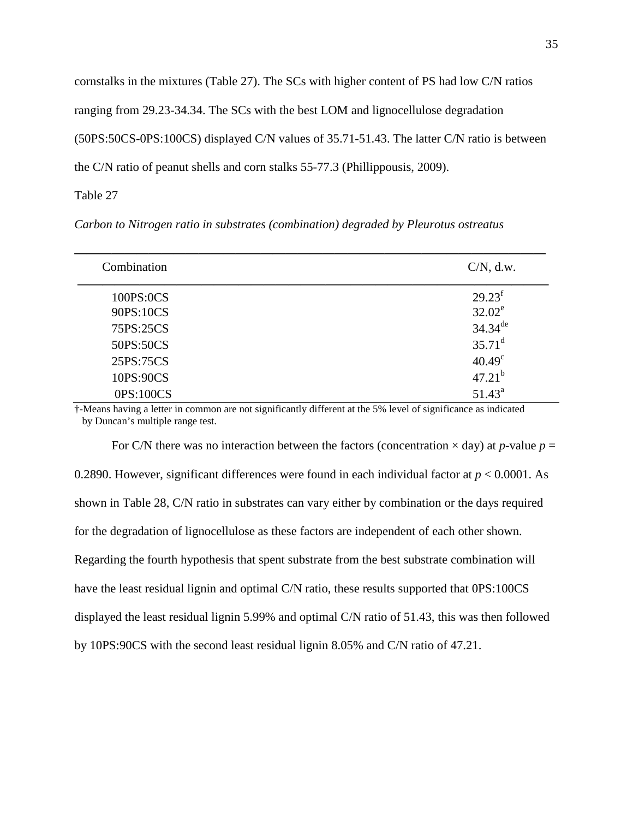cornstalks in the mixtures (Table 27). The SCs with higher content of PS had low C/N ratios ranging from 29.23-34.34. The SCs with the best LOM and lignocellulose degradation (50PS:50CS-0PS:100CS) displayed C/N values of 35.71-51.43. The latter C/N ratio is between the C/N ratio of peanut shells and corn stalks 55-77.3 (Phillippousis, 2009).

Table 27

*Carbon to Nitrogen ratio in substrates (combination) degraded by Pleurotus ostreatus* 

| Combination | $C/N$ , d.w.    |
|-------------|-----------------|
| 100PS:0CS   | $29.23^f$       |
| 90PS:10CS   | $32.02^e$       |
| 75PS:25CS   | $34.34^{de}$    |
| 50PS:50CS   | $35.71^d$       |
| 25PS:75CS   | $40.49^{\circ}$ |
| 10PS:90CS   | $47.21^{b}$     |
| 0PS:100CS   | $51.43^{\circ}$ |

†-Means having a letter in common are not significantly different at the 5% level of significance as indicated by Duncan's multiple range test.

For C/N there was no interaction between the factors (concentration  $\times$  day) at *p*-value  $p =$ 0.2890. However, significant differences were found in each individual factor at *p* < 0.0001. As shown in Table 28, C/N ratio in substrates can vary either by combination or the days required for the degradation of lignocellulose as these factors are independent of each other shown. Regarding the fourth hypothesis that spent substrate from the best substrate combination will have the least residual lignin and optimal C/N ratio, these results supported that 0PS:100CS displayed the least residual lignin 5.99% and optimal C/N ratio of 51.43, this was then followed by 10PS:90CS with the second least residual lignin 8.05% and C/N ratio of 47.21.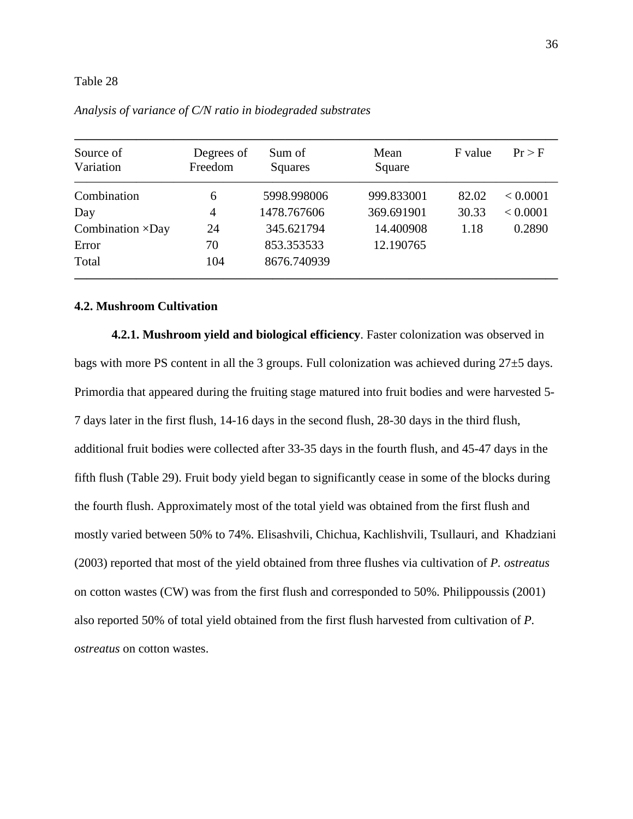| Source of<br>Variation   | Degrees of<br>Freedom | Sum of<br>Squares | Mean<br>Square | F value | Pr > F   |
|--------------------------|-----------------------|-------------------|----------------|---------|----------|
| Combination              | 6                     | 5998.998006       | 999.833001     | 82.02   | < 0.0001 |
| Day                      | 4                     | 1478.767606       | 369.691901     | 30.33   | < 0.0001 |
| Combination $\times$ Day | 24                    | 345.621794        | 14.400908      | 1.18    | 0.2890   |
| Error                    | 70                    | 853.353533        | 12.190765      |         |          |
| Total                    | 104                   | 8676.740939       |                |         |          |

*Analysis of variance of C/N ratio in biodegraded substrates* 

## **4.2. Mushroom Cultivation**

**4.2.1. Mushroom yield and biological efficiency**. Faster colonization was observed in bags with more PS content in all the 3 groups. Full colonization was achieved during 27±5 days. Primordia that appeared during the fruiting stage matured into fruit bodies and were harvested 5- 7 days later in the first flush, 14-16 days in the second flush, 28-30 days in the third flush, additional fruit bodies were collected after 33-35 days in the fourth flush, and 45-47 days in the fifth flush (Table 29). Fruit body yield began to significantly cease in some of the blocks during the fourth flush. Approximately most of the total yield was obtained from the first flush and mostly varied between 50% to 74%. Elisashvili, Chichua, Kachlishvili, Tsullauri, and Khadziani (2003) reported that most of the yield obtained from three flushes via cultivation of *P. ostreatus* on cotton wastes (CW) was from the first flush and corresponded to 50%. Philippoussis (2001) also reported 50% of total yield obtained from the first flush harvested from cultivation of *P. ostreatus* on cotton wastes.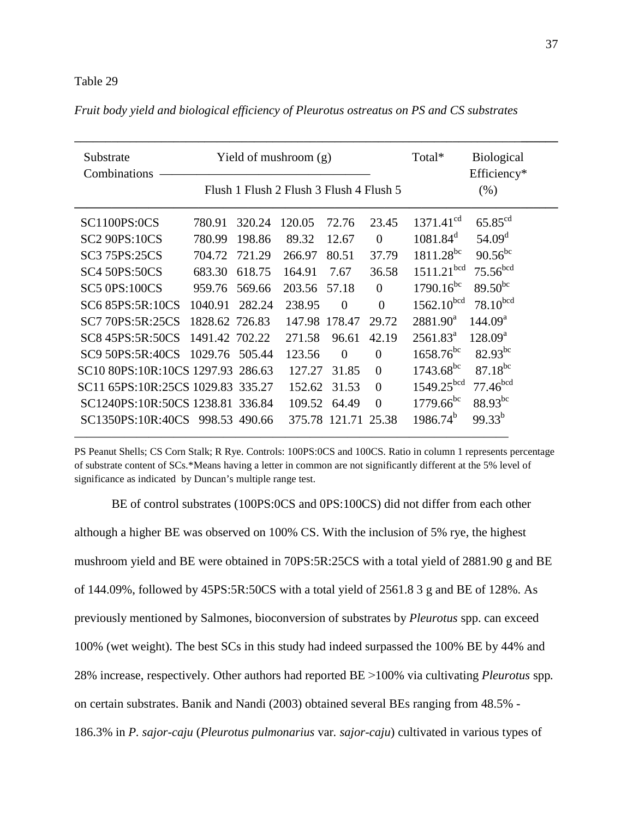|                          |        |                                                                                                                                                                                   |                |                                                                        | Total*                                                         | <b>Biological</b>                                                                     |
|--------------------------|--------|-----------------------------------------------------------------------------------------------------------------------------------------------------------------------------------|----------------|------------------------------------------------------------------------|----------------------------------------------------------------|---------------------------------------------------------------------------------------|
|                          |        |                                                                                                                                                                                   |                |                                                                        |                                                                | Efficiency*                                                                           |
|                          |        |                                                                                                                                                                                   |                |                                                                        |                                                                | $(\% )$                                                                               |
|                          |        |                                                                                                                                                                                   |                |                                                                        |                                                                |                                                                                       |
| 780.91                   | 320.24 | 120.05                                                                                                                                                                            | 72.76          | 23.45                                                                  | 1371.41 <sup>cd</sup>                                          | $65.85^{cd}$                                                                          |
| 780.99                   | 198.86 | 89.32                                                                                                                                                                             | 12.67          | $\Omega$                                                               | $1081.84^d$                                                    | 54.09 <sup>d</sup>                                                                    |
| 704.72                   | 721.29 | 266.97                                                                                                                                                                            | 80.51          | 37.79                                                                  |                                                                | $90.56^{bc}$                                                                          |
| 683.30                   | 618.75 | 164.91                                                                                                                                                                            | 7.67           | 36.58                                                                  |                                                                | 75.56 <sup>bcd</sup>                                                                  |
| 959.76                   | 569.66 | 203.56                                                                                                                                                                            | 57.18          | $\Omega$                                                               | $1790.16^{bc}$                                                 | $89.50^{bc}$                                                                          |
| 1040.91                  | 282.24 | 238.95                                                                                                                                                                            | $\overline{0}$ | $\Omega$                                                               |                                                                | 78.10 <sup>bcd</sup>                                                                  |
|                          |        |                                                                                                                                                                                   |                | 29.72                                                                  | $2881.90^a$                                                    | 144.09 <sup>a</sup>                                                                   |
|                          |        | 271.58                                                                                                                                                                            | 96.61          | 42.19                                                                  | 2561.83 <sup>a</sup>                                           | $128.09^a$                                                                            |
| SC9 50PS:5R:40CS 1029.76 | 505.44 | 123.56                                                                                                                                                                            | $\theta$       | $\Omega$                                                               | $1658.76^{bc}$                                                 | $82.93^{bc}$                                                                          |
|                          |        |                                                                                                                                                                                   | 31.85          | $\overline{0}$                                                         | $1743.68^{bc}$                                                 | $87.18^{bc}$                                                                          |
|                          |        |                                                                                                                                                                                   | 31.53          | $\overline{0}$                                                         |                                                                | 77.46 <sup>bcd</sup>                                                                  |
|                          |        |                                                                                                                                                                                   | 64.49          | $\theta$                                                               | $1779.66^{bc}$                                                 | $88.93^{bc}$                                                                          |
|                          |        |                                                                                                                                                                                   |                |                                                                        | $1986.74^{b}$                                                  | $99.33^{b}$                                                                           |
|                          |        | 1828.62 726.83<br>1491.42 702.22<br>SC10 80PS:10R:10CS 1297.93 286.63<br>SC11 65PS:10R:25CS 1029.83 335.27<br>SC1240PS:10R:50CS 1238.81 336.84<br>SC1350PS:10R:40CS 998.53 490.66 |                | Yield of mushroom $(g)$<br>147.98 178.47<br>127.27<br>152.62<br>109.52 | Flush 1 Flush 2 Flush 3 Flush 4 Flush 5<br>375.78 121.71 25.38 | $1811.28^{bc}$<br>1511.21 <sup>bcd</sup><br>$1562.10^{bcd}$<br>1549.25 <sup>bcd</sup> |

*Fruit body yield and biological efficiency of Pleurotus ostreatus on PS and CS substrates* 

PS Peanut Shells; CS Corn Stalk; R Rye. Controls: 100PS:0CS and 100CS. Ratio in column 1 represents percentage of substrate content of SCs.\*Means having a letter in common are not significantly different at the 5% level of significance as indicated by Duncan's multiple range test.

———————————————————————————————————

BE of control substrates (100PS:0CS and 0PS:100CS) did not differ from each other although a higher BE was observed on 100% CS. With the inclusion of 5% rye, the highest mushroom yield and BE were obtained in 70PS:5R:25CS with a total yield of 2881.90 g and BE of 144.09%, followed by 45PS:5R:50CS with a total yield of 2561.8 3 g and BE of 128%. As previously mentioned by Salmones, bioconversion of substrates by *Pleurotus* spp. can exceed 100% (wet weight). The best SCs in this study had indeed surpassed the 100% BE by 44% and 28% increase, respectively. Other authors had reported BE ˃100% via cultivating *Pleurotus* spp*.* on certain substrates. Banik and Nandi (2003) obtained several BEs ranging from 48.5% - 186.3% in *P. sajor-caju* (*Pleurotus pulmonarius* var*. sajor-caju*) cultivated in various types of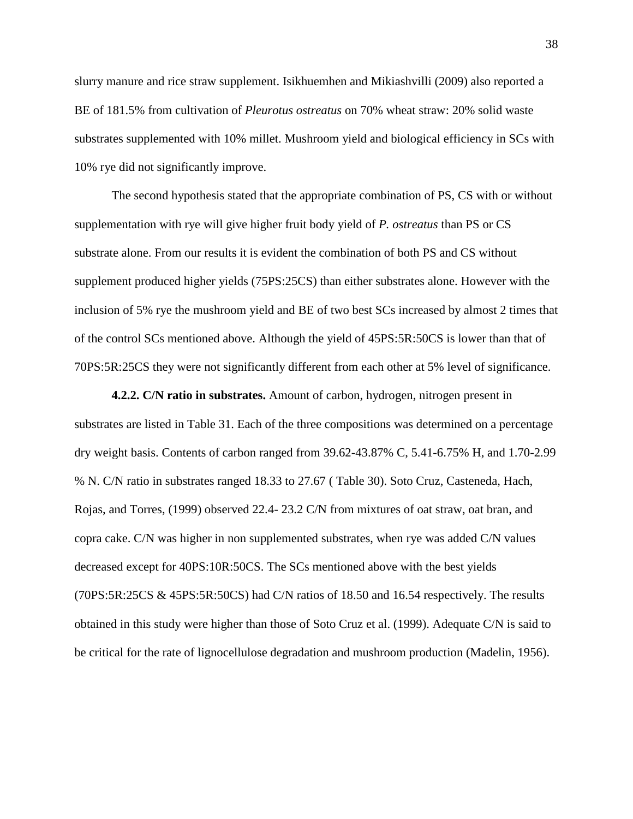slurry manure and rice straw supplement. Isikhuemhen and Mikiashvilli (2009) also reported a BE of 181.5% from cultivation of *Pleurotus ostreatus* on 70% wheat straw: 20% solid waste substrates supplemented with 10% millet. Mushroom yield and biological efficiency in SCs with 10% rye did not significantly improve.

The second hypothesis stated that the appropriate combination of PS, CS with or without supplementation with rye will give higher fruit body yield of *P. ostreatus* than PS or CS substrate alone. From our results it is evident the combination of both PS and CS without supplement produced higher yields (75PS:25CS) than either substrates alone. However with the inclusion of 5% rye the mushroom yield and BE of two best SCs increased by almost 2 times that of the control SCs mentioned above. Although the yield of 45PS:5R:50CS is lower than that of 70PS:5R:25CS they were not significantly different from each other at 5% level of significance.

**4.2.2. C/N ratio in substrates.** Amount of carbon, hydrogen, nitrogen present in substrates are listed in Table 31. Each of the three compositions was determined on a percentage dry weight basis. Contents of carbon ranged from 39.62-43.87% C, 5.41-6.75% H, and 1.70-2.99 % N. C/N ratio in substrates ranged 18.33 to 27.67 ( Table 30). Soto Cruz, Casteneda, Hach, Rojas, and Torres, (1999) observed 22.4- 23.2 C/N from mixtures of oat straw, oat bran, and copra cake. C/N was higher in non supplemented substrates, when rye was added C/N values decreased except for 40PS:10R:50CS. The SCs mentioned above with the best yields (70PS:5R:25CS & 45PS:5R:50CS) had C/N ratios of 18.50 and 16.54 respectively. The results obtained in this study were higher than those of Soto Cruz et al. (1999). Adequate C/N is said to be critical for the rate of lignocellulose degradation and mushroom production (Madelin, 1956).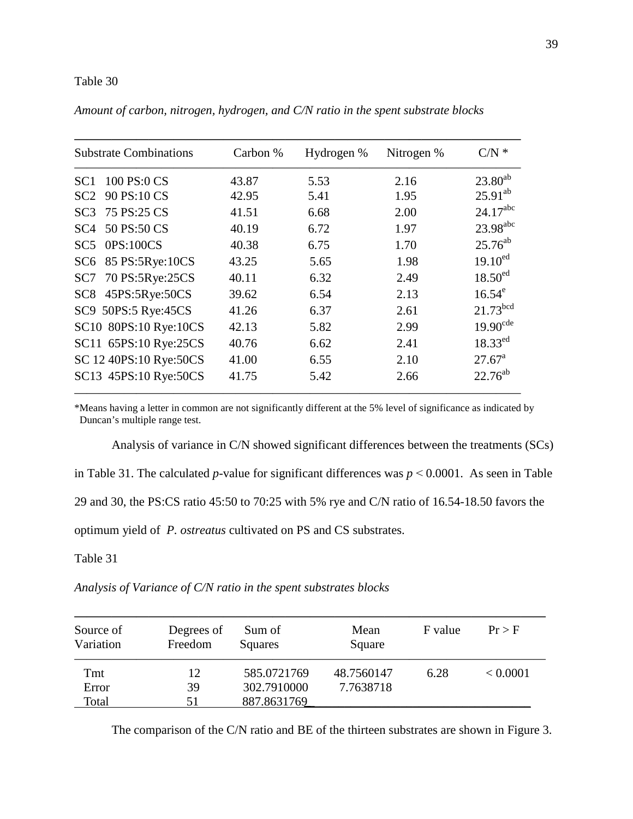| <b>Substrate Combinations</b>  | Carbon % | Hydrogen % | Nitrogen % | $C/N$ *                |
|--------------------------------|----------|------------|------------|------------------------|
| 100 PS:0 CS<br>SC <sub>1</sub> | 43.87    | 5.53       | 2.16       | $23.80^{ab}$           |
| 90 PS:10 CS<br>SC2             | 42.95    | 5.41       | 1.95       | $25.91^{ab}$           |
| 75 PS:25 CS<br>SC <sub>3</sub> | 41.51    | 6.68       | 2.00       | $24.17^{abc}$          |
| 50 PS:50 CS<br>SC <sub>4</sub> | 40.19    | 6.72       | 1.97       | 23.98 <sup>abc</sup>   |
| $SC5$ $0PS:100CS$              | 40.38    | 6.75       | 1.70       | $25.76^{ab}$           |
| SC6 85 PS:5Rye:10CS            | 43.25    | 5.65       | 1.98       | $19.10^{ed}$           |
| 70 PS:5Rye:25CS<br>SC7         | 40.11    | 6.32       | 2.49       | 18.50 <sup>ed</sup>    |
| 45PS:5Rye:50CS<br>SC8          | 39.62    | 6.54       | 2.13       | $16.54^e$              |
| SC9 50PS:5 Rye:45CS            | 41.26    | 6.37       | 2.61       | $21.73^{bcd}$          |
| SC10 80PS:10 Rye:10CS          | 42.13    | 5.82       | 2.99       | $19.90$ <sup>cde</sup> |
| SC11 65PS:10 Rye:25CS          | 40.76    | 6.62       | 2.41       | $18.33^{ed}$           |
| SC 12 40PS:10 Rye:50CS         | 41.00    | 6.55       | 2.10       | $27.67^{\rm a}$        |
| SC13 45PS:10 Rye:50CS          | 41.75    | 5.42       | 2.66       | $22.76^{ab}$           |

*Amount of carbon, nitrogen, hydrogen, and C/N ratio in the spent substrate blocks* 

\*Means having a letter in common are not significantly different at the 5% level of significance as indicated by Duncan's multiple range test.

Analysis of variance in C/N showed significant differences between the treatments (SCs) in Table 31. The calculated *p*-value for significant differences was  $p \le 0.0001$ . As seen in Table 29 and 30, the PS:CS ratio 45:50 to 70:25 with 5% rye and C/N ratio of 16.54-18.50 favors the optimum yield of *P. ostreatus* cultivated on PS and CS substrates.

Table 31

*Analysis of Variance of C/N ratio in the spent substrates blocks* 

| Source of<br>Variation | Degrees of<br>Freedom | Sum of<br>Squares | Mean<br>Square | F value | $Pr$ > F |
|------------------------|-----------------------|-------------------|----------------|---------|----------|
| Tmt                    | 12                    | 585.0721769       | 48.7560147     | 6.28    | < 0.0001 |
| Error                  | 39                    | 302.7910000       | 7.7638718      |         |          |
| Total                  | 51                    | 887.8631769       |                |         |          |

The comparison of the C/N ratio and BE of the thirteen substrates are shown in Figure 3.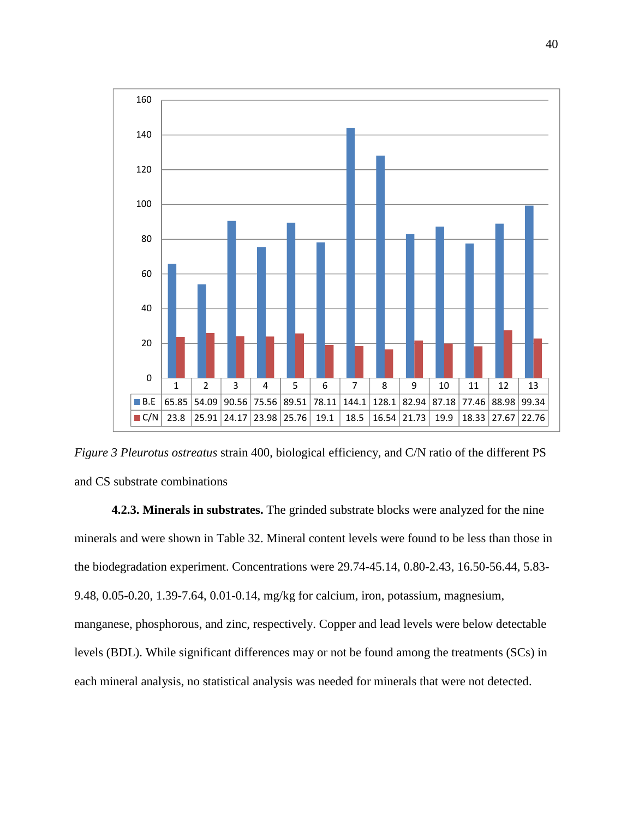

*Figure 3 Pleurotus ostreatus* strain 400, biological efficiency, and C/N ratio of the different PS and CS substrate combinations

**4.2.3. Minerals in substrates.** The grinded substrate blocks were analyzed for the nine minerals and were shown in Table 32. Mineral content levels were found to be less than those in the biodegradation experiment. Concentrations were 29.74-45.14, 0.80-2.43, 16.50-56.44, 5.83- 9.48, 0.05-0.20, 1.39-7.64, 0.01-0.14, mg/kg for calcium, iron, potassium, magnesium, manganese, phosphorous, and zinc, respectively. Copper and lead levels were below detectable levels (BDL). While significant differences may or not be found among the treatments (SCs) in each mineral analysis, no statistical analysis was needed for minerals that were not detected.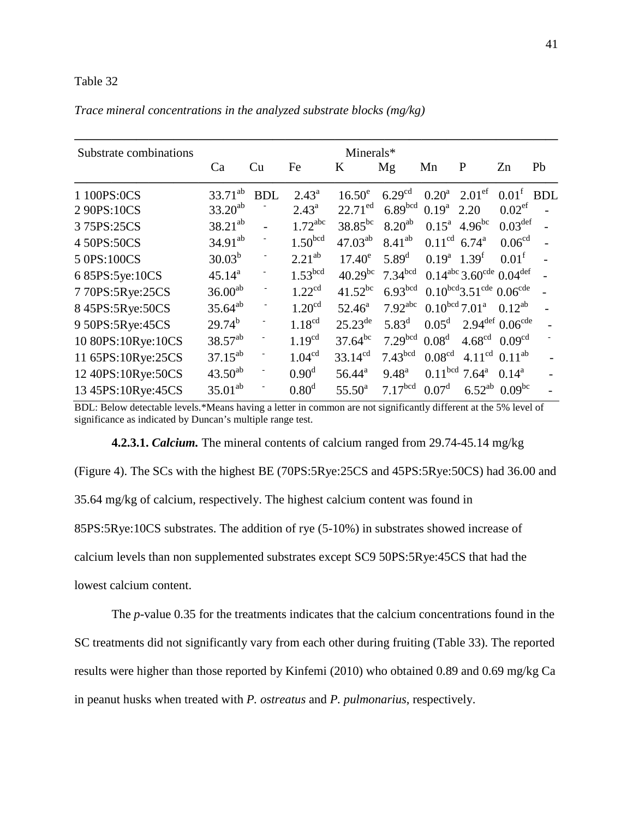|  | Trace mineral concentrations in the analyzed substrate blocks ( $mg/kg$ ) |  |  |  |
|--|---------------------------------------------------------------------------|--|--|--|
|  |                                                                           |  |  |  |

| Substrate combinations |                     |                          |                       | Minerals*       |                       |                            |                                               |                                       |            |
|------------------------|---------------------|--------------------------|-----------------------|-----------------|-----------------------|----------------------------|-----------------------------------------------|---------------------------------------|------------|
|                        | Ca                  | Cu                       | Fe                    | K               | Mg                    | Mn                         | P                                             | Zn                                    | Pb         |
| 1 100PS:0CS            | $33.71^{ab}$        | <b>BDL</b>               | $2.43^{\circ}$        | $16.50^e$       | 6.29 <sup>cd</sup>    | 0.20 <sup>a</sup>          | 2.01 <sup>ef</sup>                            | 0.01 <sup>f</sup>                     | <b>BDL</b> |
| 2 90PS:10CS            | $33.20^{ab}$        |                          | $2.43^{\circ}$        | $22.71^{ed}$    | 6.89 <sup>bcd</sup>   | 0.19 <sup>a</sup>          | 2.20                                          | 0.02 <sup>ef</sup>                    |            |
| 375PS:25CS             | $38.21^{ab}$        |                          | $1.72$ <sup>abc</sup> | $38.85^{bc}$    | $8.20^{ab}$           | $0.15^{\rm a}$             | $4.96^{bc}$                                   | $0.03^{\text{def}}$                   |            |
| 4 50PS:50CS            | $34.91^{ab}$        |                          | 1.50 <sup>bcd</sup>   | $47.03^{ab}$    | $8.41^{ab}$           | 0.11 <sup>cd</sup>         | $6.74^{\rm a}$                                | 0.06 <sup>cd</sup>                    |            |
| 5 0PS:100CS            | $30.03^{b}$         | -                        | $2.21^{ab}$           | $17.40^e$       | $5.89^{d}$            | $0.19^a$ 1.39 <sup>f</sup> |                                               | $0.01^{\rm f}$                        |            |
| 6 85PS:5ye:10CS        | $45.14^{a}$         |                          | 1.53 <sup>bcd</sup>   | $40.29^{bc}$    | 7.34 <sup>bcd</sup>   |                            | $0.14^{abc}$ 3.60 <sup>cde</sup> $0.04^{def}$ |                                       |            |
| 7 70PS:5Rye:25CS       | 36.00 <sup>ab</sup> |                          | 1.22 <sup>cd</sup>    | $41.52^{bc}$    | 6.93 <sup>bcd</sup>   |                            | $0.10^{bcd}$ 3.51 <sup>cde</sup> $0.06^{cde}$ |                                       |            |
| 8 45PS:5Rye:50CS       | $35.64^{ab}$        |                          | 1.20 <sup>cd</sup>    | $52.46^{\circ}$ | $7.92$ <sup>abc</sup> |                            | $0.10^{bcd}$ 7.01 <sup>a</sup>                | $0.12^{ab}$                           |            |
| 9 50PS:5Rye:45CS       | $29.74^{b}$         |                          | 1.18 <sup>cd</sup>    | $25.23^{de}$    | $5.83^{\rm d}$        | $0.05^d$                   |                                               | $2.94^{\text{def}} 0.06^{\text{cde}}$ |            |
| 10 80PS:10Rye:10CS     | $38.57^{ab}$        |                          | 1.19 <sup>cd</sup>    | $37.64^{bc}$    | 7.29 <sup>bcd</sup>   | 0.08 <sup>d</sup>          | 4.68 <sup>cd</sup>                            | 0.09 <sup>cd</sup>                    |            |
| 11 65PS:10Rye:25CS     | $37.15^{ab}$        | $\overline{\phantom{a}}$ | 1.04 <sup>cd</sup>    | $33.14^{cd}$    | 7.43 <sup>bcd</sup>   | 0.08 <sup>cd</sup>         |                                               | 4.11 <sup>cd</sup> 0.11 <sup>ab</sup> |            |
| 12 40PS:10Rye:50CS     | $43.50^{ab}$        | $\overline{\phantom{a}}$ | 0.90 <sup>d</sup>     | $56.44^a$       | $9.48^{a}$            |                            | $0.11^{bcd}$ 7.64 <sup>a</sup>                | $0.14^a$                              |            |
| 13 45PS:10Rye:45CS     | $35.01^{ab}$        | $\overline{\phantom{a}}$ | 0.80 <sup>d</sup>     | $55.50^a$       | 7.17 <sup>bcd</sup>   | 0.07 <sup>d</sup>          | $6.52^{ab}$                                   | $0.09^{bc}$                           |            |

BDL: Below detectable levels.\*Means having a letter in common are not significantly different at the 5% level of significance as indicated by Duncan's multiple range test.

**4.2.3.1.** *Calcium.* The mineral contents of calcium ranged from 29.74-45.14 mg/kg (Figure 4). The SCs with the highest BE (70PS:5Rye:25CS and 45PS:5Rye:50CS) had 36.00 and 35.64 mg/kg of calcium, respectively. The highest calcium content was found in 85PS:5Rye:10CS substrates. The addition of rye (5-10%) in substrates showed increase of calcium levels than non supplemented substrates except SC9 50PS:5Rye:45CS that had the lowest calcium content.

The *p*-value 0.35 for the treatments indicates that the calcium concentrations found in the SC treatments did not significantly vary from each other during fruiting (Table 33). The reported results were higher than those reported by Kinfemi (2010) who obtained 0.89 and 0.69 mg/kg Ca in peanut husks when treated with *P. ostreatus* and *P. pulmonarius*, respectively.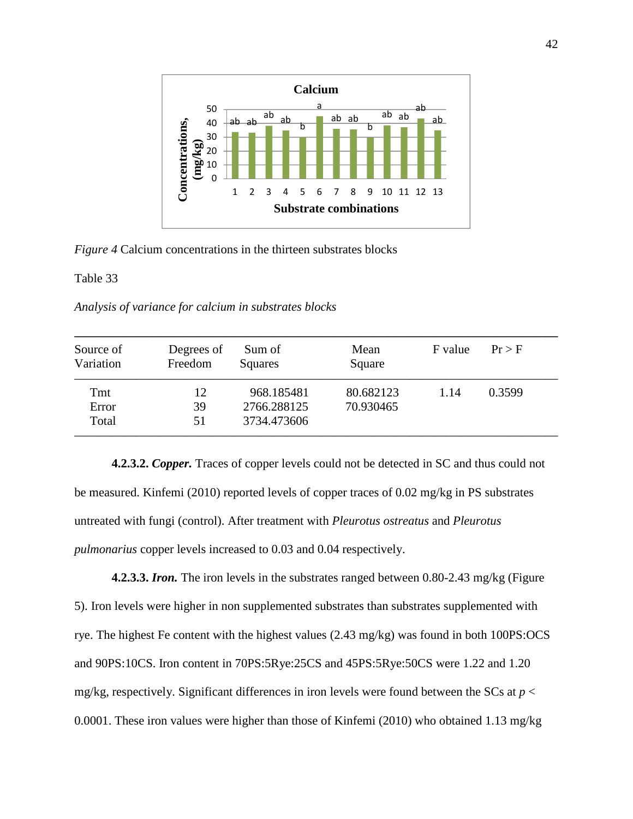

*Figure 4* Calcium concentrations in the thirteen substrates blocks

Table 33

*Analysis of variance for calcium in substrates blocks* 

| Source of<br>Variation | Degrees of<br>Freedom | Sum of<br>Squares | Mean<br>Square | F value | $Pr$ > F |
|------------------------|-----------------------|-------------------|----------------|---------|----------|
| Tmt                    | 12                    | 968.185481        | 80.682123      | 1.14    | 0.3599   |
| Error                  | 39                    | 2766.288125       | 70.930465      |         |          |
| Total                  | 51                    | 3734.473606       |                |         |          |

**4.2.3.2.** *Copper.* Traces of copper levels could not be detected in SC and thus could not be measured. Kinfemi (2010) reported levels of copper traces of 0.02 mg/kg in PS substrates untreated with fungi (control). After treatment with *Pleurotus ostreatus* and *Pleurotus pulmonarius* copper levels increased to 0.03 and 0.04 respectively.

**4.2.3.3.** *Iron.* The iron levels in the substrates ranged between 0.80-2.43 mg/kg (Figure 5). Iron levels were higher in non supplemented substrates than substrates supplemented with rye. The highest Fe content with the highest values (2.43 mg/kg) was found in both 100PS:OCS and 90PS:10CS. Iron content in 70PS:5Rye:25CS and 45PS:5Rye:50CS were 1.22 and 1.20 mg/kg, respectively. Significant differences in iron levels were found between the SCs at  $p <$ 0.0001. These iron values were higher than those of Kinfemi (2010) who obtained 1.13 mg/kg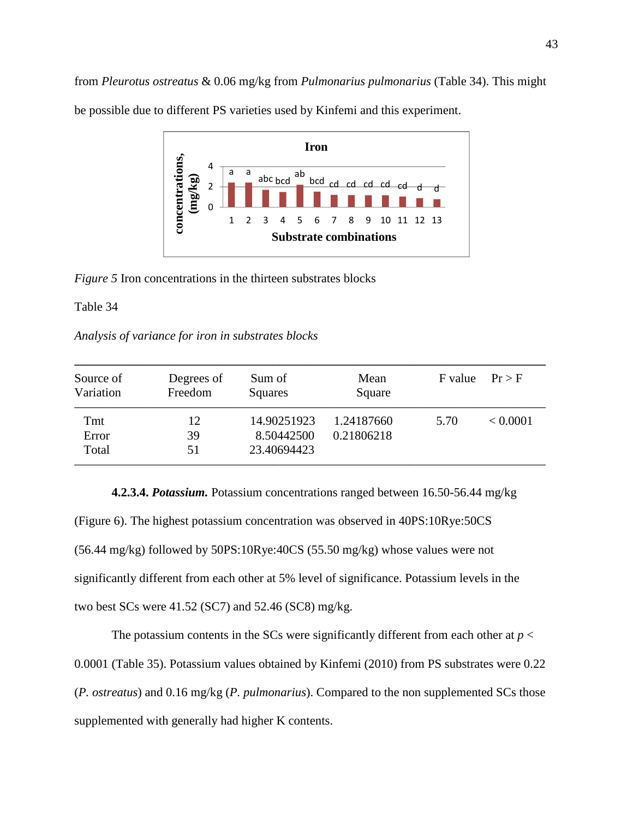from *Pleurotus ostreatus* & 0.06 mg/kg from *Pulmonarius pulmonarius* (Table 34). This might

**Ironconcentrations,**  concentrations. 4 a a ab<br>abode cd cd cd cd cd d d **(mg/kg)** abc bcd 2 0 1 2 3 4 5 6 7 8 9 10 11 12 13 **Substrate combinations**

be possible due to different PS varieties used by Kinfemi and this experiment.

*Figure 5* Iron concentrations in the thirteen substrates blocks

## Table 34

*Analysis of variance for iron in substrates blocks* 

| Source of<br>Variation | Degrees of<br>Freedom | Sum of<br>Squares | Mean<br>Square | F value | $Pr$ > F |
|------------------------|-----------------------|-------------------|----------------|---------|----------|
| Tmt                    | 12                    | 14.90251923       | 1.24187660     | 5.70    | < 0.0001 |
| Error                  | 39                    | 8.50442500        | 0.21806218     |         |          |
| Total                  | 51                    | 23.40694423       |                |         |          |

**4.2.3.4.** *Potassium.* Potassium concentrations ranged between 16.50-56.44 mg/kg (Figure 6). The highest potassium concentration was observed in 40PS:10Rye:50CS (56.44 mg/kg) followed by 50PS:10Rye:40CS (55.50 mg/kg) whose values were not significantly different from each other at 5% level of significance. Potassium levels in the two best SCs were 41.52 (SC7) and 52.46 (SC8) mg/kg.

The potassium contents in the SCs were significantly different from each other at  $p <$ 0.0001 (Table 35). Potassium values obtained by Kinfemi (2010) from PS substrates were 0.22 (*P. ostreatus*) and 0.16 mg/kg (*P. pulmonarius*). Compared to the non supplemented SCs those supplemented with generally had higher K contents.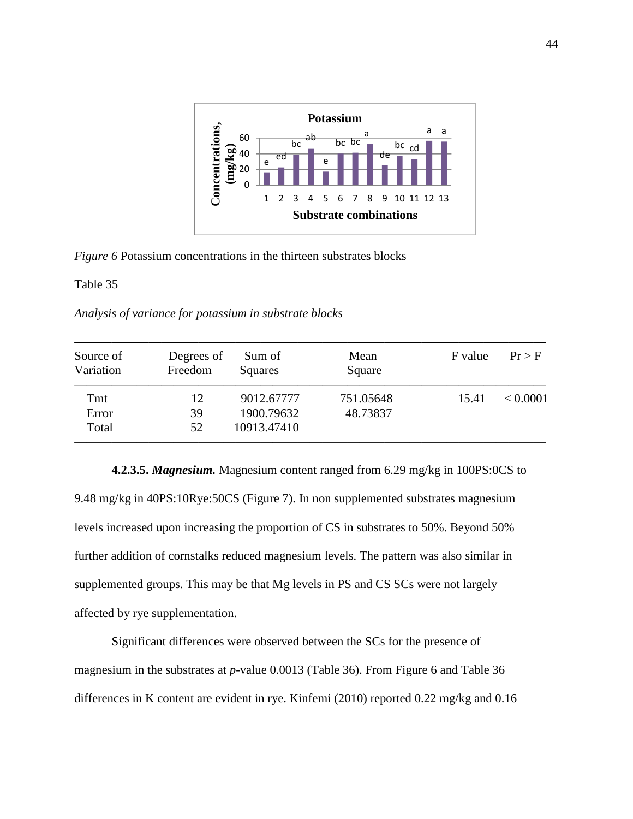

*Figure 6* Potassium concentrations in the thirteen substrates blocks

Table 35

*Analysis of variance for potassium in substrate blocks* 

| Source of<br>Variation | Degrees of<br>Freedom | Sum of<br>Squares | Mean<br>Square | F value | Pr > F   |
|------------------------|-----------------------|-------------------|----------------|---------|----------|
| Tmt                    | 12                    | 9012.67777        | 751.05648      | 15.41   | < 0.0001 |
| Error                  | 39                    | 1900.79632        | 48.73837       |         |          |
| Total                  | 52                    | 10913.47410       |                |         |          |

 **4.2.3.5.** *Magnesium.* Magnesium content ranged from 6.29 mg/kg in 100PS:0CS to 9.48 mg/kg in 40PS:10Rye:50CS (Figure 7). In non supplemented substrates magnesium levels increased upon increasing the proportion of CS in substrates to 50%. Beyond 50% further addition of cornstalks reduced magnesium levels. The pattern was also similar in supplemented groups. This may be that Mg levels in PS and CS SCs were not largely affected by rye supplementation.

 Significant differences were observed between the SCs for the presence of magnesium in the substrates at *p*-value 0.0013 (Table 36). From Figure 6 and Table 36 differences in K content are evident in rye. Kinfemi (2010) reported 0.22 mg/kg and 0.16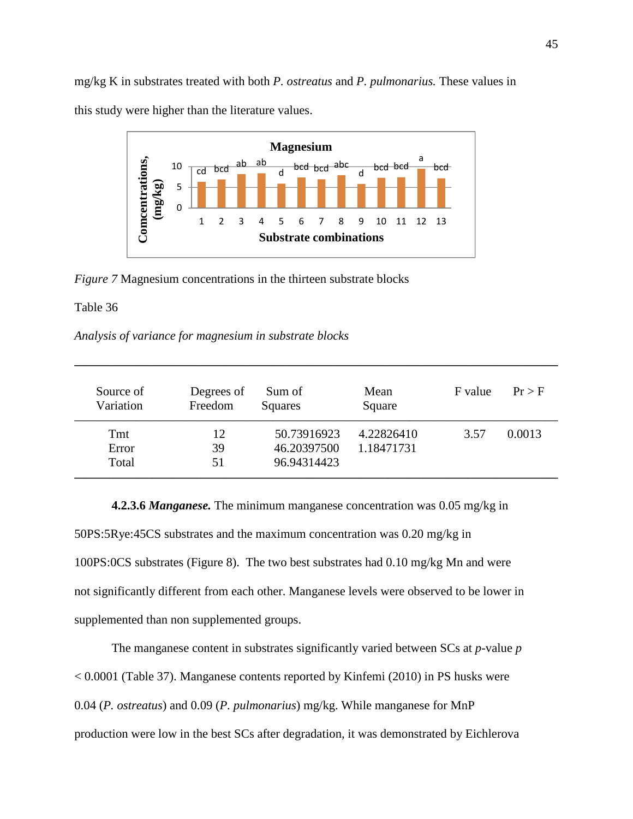mg/kg K in substrates treated with both *P. ostreatus* and *P. pulmonarius.* These values in this study were higher than the literature values.



*Figure 7* Magnesium concentrations in the thirteen substrate blocks

### Table 36

#### *Analysis of variance for magnesium in substrate blocks*

| Source of<br>Variation | Degrees of<br>Freedom | Sum of<br>Squares | Mean<br>Square | F value | $Pr$ > F |
|------------------------|-----------------------|-------------------|----------------|---------|----------|
| Tmt                    | 12                    | 50.73916923       | 4.22826410     | 3.57    | 0.0013   |
| Error                  | 39                    | 46.20397500       | 1.18471731     |         |          |
| Total                  | 51                    | 96.94314423       |                |         |          |

**———————————————————————————————————————** 

**4.2.3.6** *Manganese.* The minimum manganese concentration was 0.05 mg/kg in 50PS:5Rye:45CS substrates and the maximum concentration was 0.20 mg/kg in 100PS:0CS substrates (Figure 8). The two best substrates had 0.10 mg/kg Mn and were not significantly different from each other. Manganese levels were observed to be lower in supplemented than non supplemented groups.

The manganese content in substrates significantly varied between SCs at *p*-value *p*  < 0.0001 (Table 37). Manganese contents reported by Kinfemi (2010) in PS husks were 0.04 (*P. ostreatus*) and 0.09 (*P. pulmonarius*) mg/kg. While manganese for MnP production were low in the best SCs after degradation, it was demonstrated by Eichlerova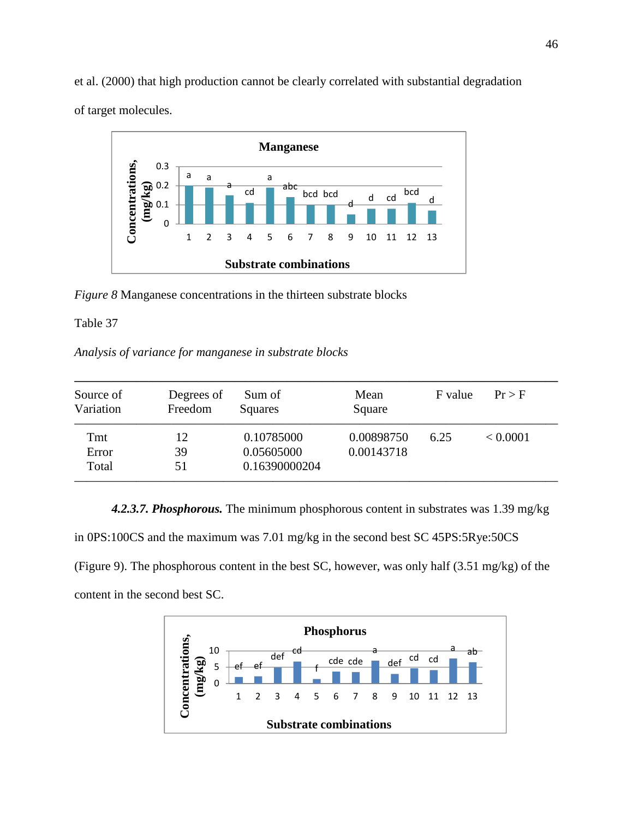et al. (2000) that high production cannot be clearly correlated with substantial degradation of target molecules.



*Figure 8* Manganese concentrations in the thirteen substrate blocks

Table 37

*Analysis of variance for manganese in substrate blocks* 

| Source of<br>Variation | Degrees of<br>Freedom | Sum of<br>Squares | Mean<br>Square | F value | $Pr$ > F |
|------------------------|-----------------------|-------------------|----------------|---------|----------|
| Tmt                    | 12                    | 0.10785000        | 0.00898750     | 6.25    | < 0.0001 |
| Error                  | 39                    | 0.05605000        | 0.00143718     |         |          |
| Total                  | 51                    | 0.16390000204     |                |         |          |

*4.2.3.7. Phosphorous.* The minimum phosphorous content in substrates was 1.39 mg/kg in 0PS:100CS and the maximum was 7.01 mg/kg in the second best SC 45PS:5Rye:50CS (Figure 9). The phosphorous content in the best SC, however, was only half (3.51 mg/kg) of the content in the second best SC.

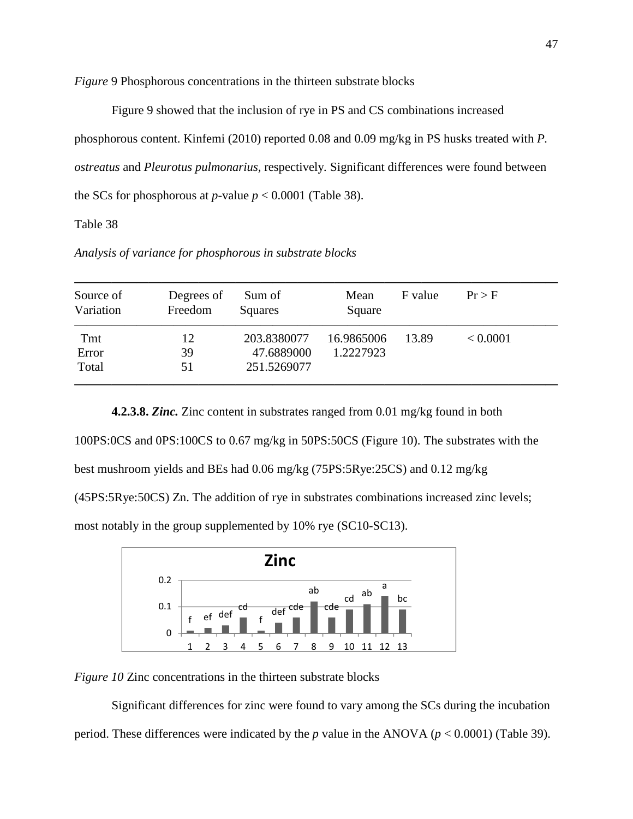*Figure* 9 Phosphorous concentrations in the thirteen substrate blocks

Figure 9 showed that the inclusion of rye in PS and CS combinations increased phosphorous content. Kinfemi (2010) reported 0.08 and 0.09 mg/kg in PS husks treated with *P. ostreatus* and *Pleurotus pulmonarius,* respectively*.* Significant differences were found between the SCs for phosphorous at *p*-value  $p < 0.0001$  (Table 38).

Table 38

*Analysis of variance for phosphorous in substrate blocks* 

| Source of<br>Variation | Degrees of<br>Freedom | Sum of<br>Squares | Mean<br>Square | F value | $Pr$ > F |
|------------------------|-----------------------|-------------------|----------------|---------|----------|
| Tmt                    | 12                    | 203.8380077       | 16.9865006     | 13.89   | < 0.0001 |
| Error                  | 39                    | 47.6889000        | 1.2227923      |         |          |
| Total                  | 51                    | 251.5269077       |                |         |          |

**4.2.3.8.** *Zinc.* Zinc content in substrates ranged from 0.01 mg/kg found in both 100PS:0CS and 0PS:100CS to 0.67 mg/kg in 50PS:50CS (Figure 10). The substrates with the best mushroom yields and BEs had 0.06 mg/kg (75PS:5Rye:25CS) and 0.12 mg/kg (45PS:5Rye:50CS) Zn. The addition of rye in substrates combinations increased zinc levels; most notably in the group supplemented by 10% rye (SC10-SC13).



*Figure 10* Zinc concentrations in the thirteen substrate blocks

Significant differences for zinc were found to vary among the SCs during the incubation period. These differences were indicated by the *p* value in the ANOVA (*p* < 0.0001) (Table 39).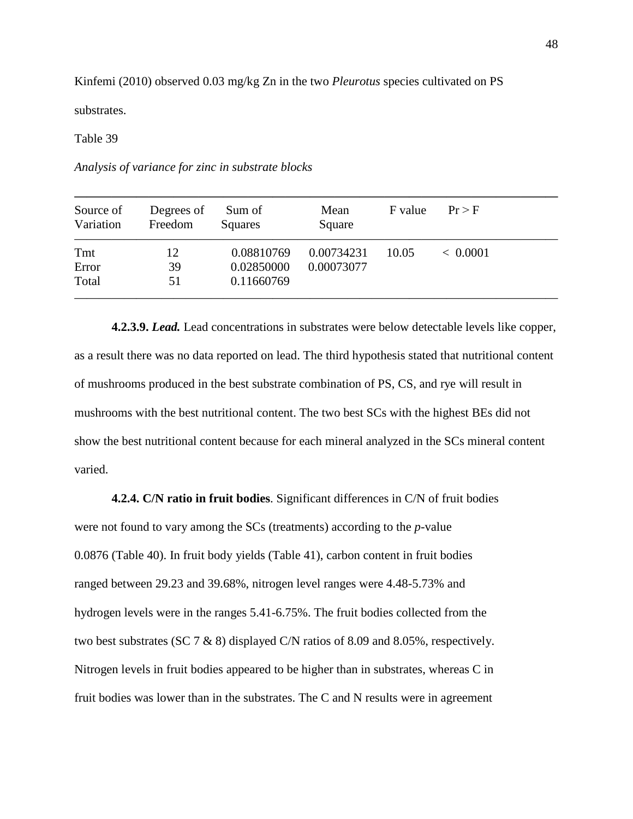Kinfemi (2010) observed 0.03 mg/kg Zn in the two *Pleurotus* species cultivated on PS

substrates.

Table 39

*Analysis of variance for zinc in substrate blocks* 

| Source of<br>Variation | Degrees of<br>Freedom | Sum of<br>Squares | Mean<br>Square | F value | Pr > F   |
|------------------------|-----------------------|-------------------|----------------|---------|----------|
| Tmt                    | 12                    | 0.08810769        | 0.00734231     | 10.05   | < 0.0001 |
| Error                  | 39                    | 0.02850000        | 0.00073077     |         |          |
| Total                  | 51                    | 0.11660769        |                |         |          |

**4.2.3.9.** *Lead.* Lead concentrations in substrates were below detectable levels like copper, as a result there was no data reported on lead. The third hypothesis stated that nutritional content of mushrooms produced in the best substrate combination of PS, CS, and rye will result in mushrooms with the best nutritional content. The two best SCs with the highest BEs did not show the best nutritional content because for each mineral analyzed in the SCs mineral content varied.

**4.2.4. C/N ratio in fruit bodies**. Significant differences in C/N of fruit bodies

were not found to vary among the SCs (treatments) according to the *p*-value 0.0876 (Table 40). In fruit body yields (Table 41), carbon content in fruit bodies ranged between 29.23 and 39.68%, nitrogen level ranges were 4.48-5.73% and hydrogen levels were in the ranges 5.41-6.75%. The fruit bodies collected from the two best substrates (SC 7 & 8) displayed C/N ratios of 8.09 and 8.05%, respectively. Nitrogen levels in fruit bodies appeared to be higher than in substrates, whereas C in fruit bodies was lower than in the substrates. The C and N results were in agreement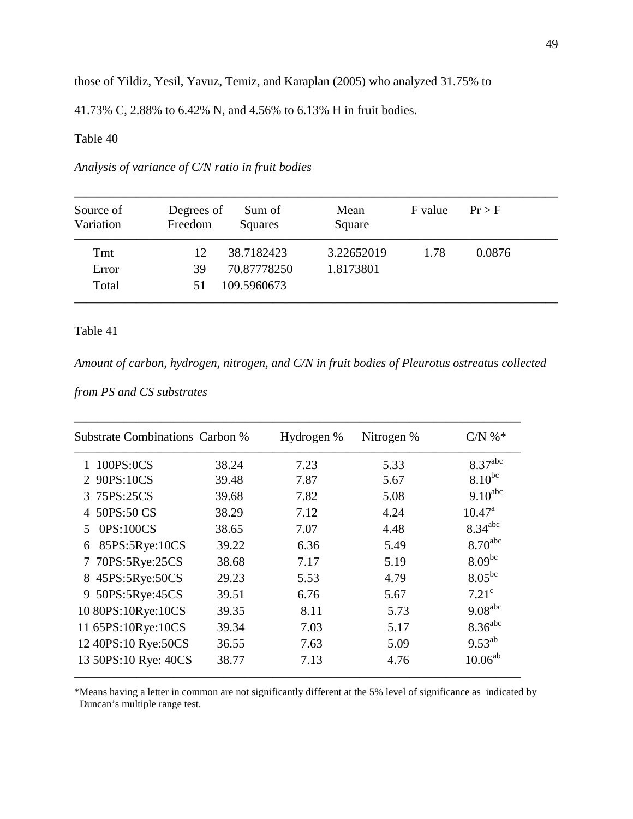those of Yildiz, Yesil, Yavuz, Temiz, and Karaplan (2005) who analyzed 31.75% to

41.73% C, 2.88% to 6.42% N, and 4.56% to 6.13% H in fruit bodies.

## Table 40

# *Analysis of variance of C/N ratio in fruit bodies*

| Source of<br>Variation | Degrees of<br>Freedom | Sum of<br>Squares | Mean<br>Square | F value | Pr > F |
|------------------------|-----------------------|-------------------|----------------|---------|--------|
| Tmt                    | 12                    | 38.7182423        | 3.22652019     | 1.78    | 0.0876 |
| Error                  | 39                    | 70.87778250       | 1.8173801      |         |        |
| Total                  | 51                    | 109.5960673       |                |         |        |

# Table 41

*Amount of carbon, hydrogen, nitrogen, and C/N in fruit bodies of Pleurotus ostreatus collected* 

*from PS and CS substrates* 

| <b>Substrate Combinations Carbon %</b> |       | Hydrogen % | Nitrogen % | $CN \%$               |
|----------------------------------------|-------|------------|------------|-----------------------|
| 1 100PS:0CS                            | 38.24 | 7.23       | 5.33       | 8.37 <sup>abc</sup>   |
| 2 90PS:10CS                            | 39.48 | 7.87       | 5.67       | $8.10^{bc}$           |
| 3 75PS:25CS                            | 39.68 | 7.82       | 5.08       | $9.10^{abc}$          |
| 4 50PS:50 CS                           | 38.29 | 7.12       | 4.24       | $10.47^{\text{a}}$    |
| 0PS:100CS<br>5                         | 38.65 | 7.07       | 4.48       | $8.34$ <sup>abc</sup> |
| 85PS:5Rye:10CS<br>6                    | 39.22 | 6.36       | 5.49       | $8.70$ <sup>abc</sup> |
| 7 70PS:5Rye:25CS                       | 38.68 | 7.17       | 5.19       | $8.09^{bc}$           |
| 8 45PS:5Rye:50CS                       | 29.23 | 5.53       | 4.79       | $8.05^{bc}$           |
| 9 50PS:5Rye:45CS                       | 39.51 | 6.76       | 5.67       | $7.21^{\circ}$        |
| 10 80PS:10Rye:10CS                     | 39.35 | 8.11       | 5.73       | $9.08$ <sup>abc</sup> |
| 11 65PS:10Rye:10CS                     | 39.34 | 7.03       | 5.17       | 8.36 <sup>abc</sup>   |
| 12 40PS:10 Rye:50CS                    | 36.55 | 7.63       | 5.09       | $9.53^{ab}$           |
| 13 50PS:10 Rye: 40CS                   | 38.77 | 7.13       | 4.76       | $10.06^{ab}$          |

\*Means having a letter in common are not significantly different at the 5% level of significance as indicated by Duncan's multiple range test.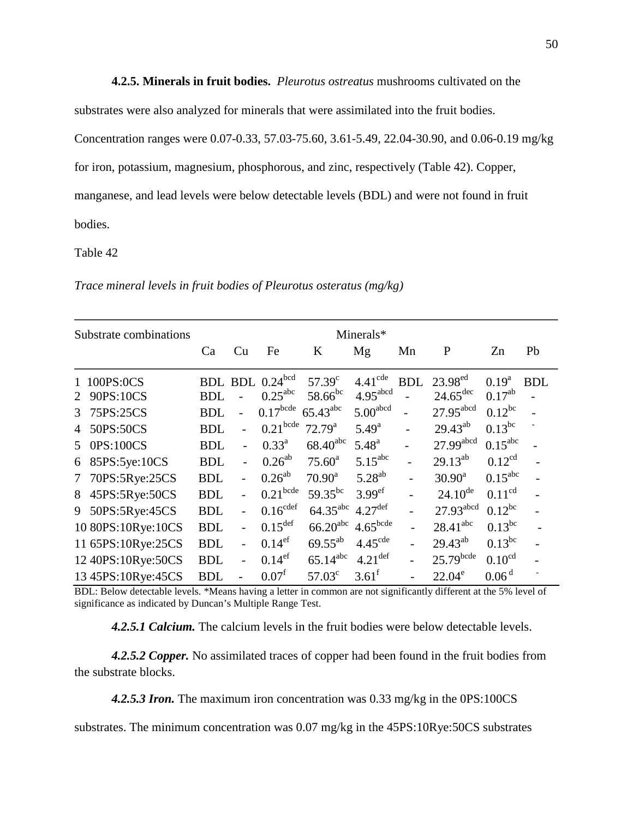**4.2.5. Minerals in fruit bodies.** *Pleurotus ostreatus* mushrooms cultivated on the

substrates were also analyzed for minerals that were assimilated into the fruit bodies.

Concentration ranges were 0.07-0.33, 57.03-75.60, 3.61-5.49, 22.04-30.90, and 0.06-0.19 mg/kg for iron, potassium, magnesium, phosphorous, and zinc, respectively (Table 42). Copper, manganese, and lead levels were below detectable levels (BDL) and were not found in fruit bodies.

#### Table 42

|  |  |  | Trace mineral levels in fruit bodies of Pleurotus osteratus (mg/kg) |
|--|--|--|---------------------------------------------------------------------|
|--|--|--|---------------------------------------------------------------------|

|                 | Substrate combinations |            |                          |                        |                        | Minerals*             |                |                         |                     |            |
|-----------------|------------------------|------------|--------------------------|------------------------|------------------------|-----------------------|----------------|-------------------------|---------------------|------------|
|                 |                        | Ca         | Cu                       | Fe                     | K                      | Mg                    | Mn             | P                       | Zn                  | Pb         |
|                 | 1 100PS:0CS            |            |                          | BDL BDL 0.24bcd        | $57.39^{\circ}$        | $4.41^{\text{cde}}$   | <b>BDL</b>     | 23.98 <sup>ed</sup>     | $0.19^a$            | <b>BDL</b> |
| 2               | 90PS:10CS              | <b>BDL</b> |                          | $0.25^{\text{abc}}$    | 58.66 <sup>bc</sup>    | 4.95 <sup>abcd</sup>  |                | $24.65^{\text{dec}}$    | $0.17^{ab}$         |            |
| 3               | 75PS:25CS              | <b>BDL</b> |                          | $0.17$ <sup>bcde</sup> | $65.43$ <sup>abc</sup> | 5.00 <sup>abcd</sup>  |                | 27.95 <sup>abcd</sup>   | $0.12^{bc}$         |            |
|                 | 50PS:50CS              | <b>BDL</b> | $\overline{a}$           | $0.21$ <sup>bcde</sup> | $72.79^{\rm a}$        | $5.49^{a}$            | $\overline{a}$ | $29.43^{ab}$            | $0.13^{bc}$         |            |
| 5               | 0PS:100CS              | <b>BDL</b> | $\overline{a}$           | $0.33^{a}$             | $68.40$ <sup>abc</sup> | $5.48^{a}$            | $\overline{a}$ | 27.99abcd               | $0.15^{\text{abc}}$ |            |
| 6               | 85PS:5ye:10CS          | <b>BDL</b> | $\overline{a}$           | $0.26^{ab}$            | $75.60^a$              | $5.15^{\text{abc}}$   |                | $29.13^{ab}$            | $0.12^{cd}$         |            |
| $7\phantom{.0}$ | 70PS:5Rye:25CS         | <b>BDL</b> | $\overline{a}$           | $0.26^{ab}$            | $70.90^a$              | $5.28^{ab}$           |                | $30.90^a$               | $0.15^{\text{abc}}$ |            |
| 8               | 45PS:5Rye:50CS         | <b>BDL</b> |                          | $0.21$ <sup>bcde</sup> | $59.35^{bc}$           | 3.99 <sup>ef</sup>    |                | $24.10^{de}$            | 0.11 <sup>cd</sup>  |            |
| 9               | 50PS:5Rye:45CS         | <b>BDL</b> | $\overline{\phantom{0}}$ | $0.16^{\text{cdef}}$   | $64.35$ <sup>abc</sup> | $4.27$ <sup>def</sup> |                | $27.93$ <sup>abcd</sup> | $0.12^{bc}$         |            |
|                 | 10 80PS:10Rye:10CS     | <b>BDL</b> | $\overline{a}$           | $0.15^{\text{def}}$    | 66.20 <sup>abc</sup>   | $4.65$ bcde           |                | $28.41$ <sup>abc</sup>  | $0.13^{bc}$         |            |
|                 | 11 65PS:10Rye:25CS     | <b>BDL</b> | $\overline{\phantom{0}}$ | 0.14 <sup>ef</sup>     | $69.55^{ab}$           | 4.45 <sup>cde</sup>   |                | $29.43^{ab}$            | $0.13^{bc}$         |            |
|                 | 12 40PS:10Rye:50CS     | <b>BDL</b> | $\overline{a}$           | 0.14 <sup>ef</sup>     | $65.14^{abc}$          | $4.21$ <sup>def</sup> |                | $25.79$ bcde            | 0.10 <sup>cd</sup>  |            |
|                 | 13 45PS:10Rye:45CS     | <b>BDL</b> |                          | 0.07 <sup>f</sup>      | 57.03 <sup>c</sup>     | $3.61^{\rm f}$        |                | $22.04^e$               | 0.06 <sup>d</sup>   |            |

BDL: Below detectable levels. \*Means having a letter in common are not significantly different at the 5% level of significance as indicated by Duncan's Multiple Range Test.

*4.2.5.1 Calcium.* The calcium levels in the fruit bodies were below detectable levels.

*4.2.5.2 Copper.* No assimilated traces of copper had been found in the fruit bodies from the substrate blocks.

*4.2.5.3 Iron.* The maximum iron concentration was 0.33 mg/kg in the 0PS:100CS

substrates. The minimum concentration was 0.07 mg/kg in the 45PS:10Rye:50CS substrates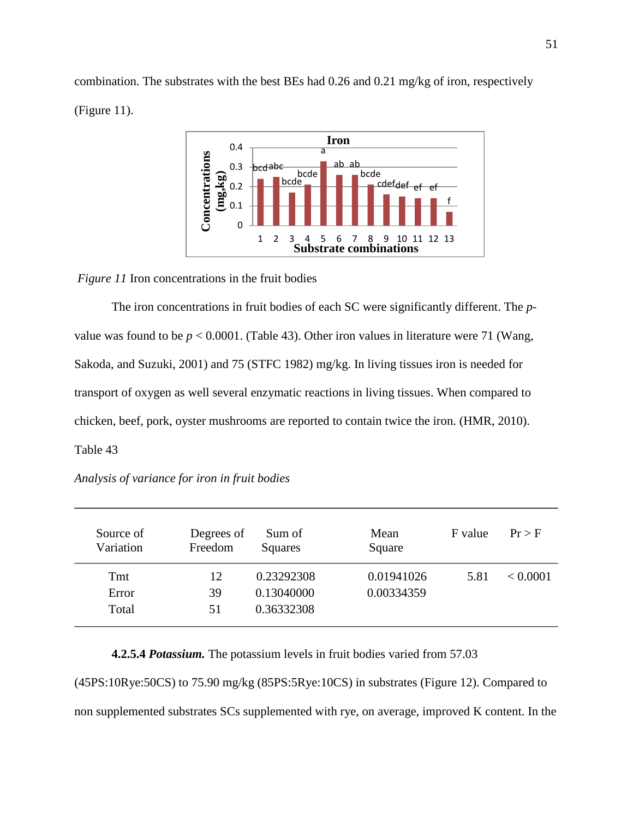combination. The substrates with the best BEs had 0.26 and 0.21 mg/kg of iron, respectively (Figure 11).



*Figure 11* Iron concentrations in the fruit bodies

The iron concentrations in fruit bodies of each SC were significantly different. The *p*value was found to be  $p < 0.0001$ . (Table 43). Other iron values in literature were 71 (Wang, Sakoda, and Suzuki, 2001) and 75 (STFC 1982) mg/kg. In living tissues iron is needed for transport of oxygen as well several enzymatic reactions in living tissues. When compared to chicken, beef, pork, oyster mushrooms are reported to contain twice the iron. (HMR, 2010). Table 43

| Analysis of variance for iron in fruit bodies |  |  |  |  |
|-----------------------------------------------|--|--|--|--|
|                                               |  |  |  |  |

| Source of<br>Variation | Degrees of<br>Freedom | Sum of<br>Squares | Mean<br>Square | F value | Pr > F   |
|------------------------|-----------------------|-------------------|----------------|---------|----------|
| Tmt                    | 12                    | 0.23292308        | 0.01941026     | 5.81    | < 0.0001 |
| Error                  | 39                    | 0.13040000        | 0.00334359     |         |          |
| Total                  | 51                    | 0.36332308        |                |         |          |

**———————————————————————————————————————** 

**4.2.5.4** *Potassium.* The potassium levels in fruit bodies varied from 57.03 (45PS:10Rye:50CS) to 75.90 mg/kg (85PS:5Rye:10CS) in substrates (Figure 12). Compared to non supplemented substrates SCs supplemented with rye, on average, improved K content. In the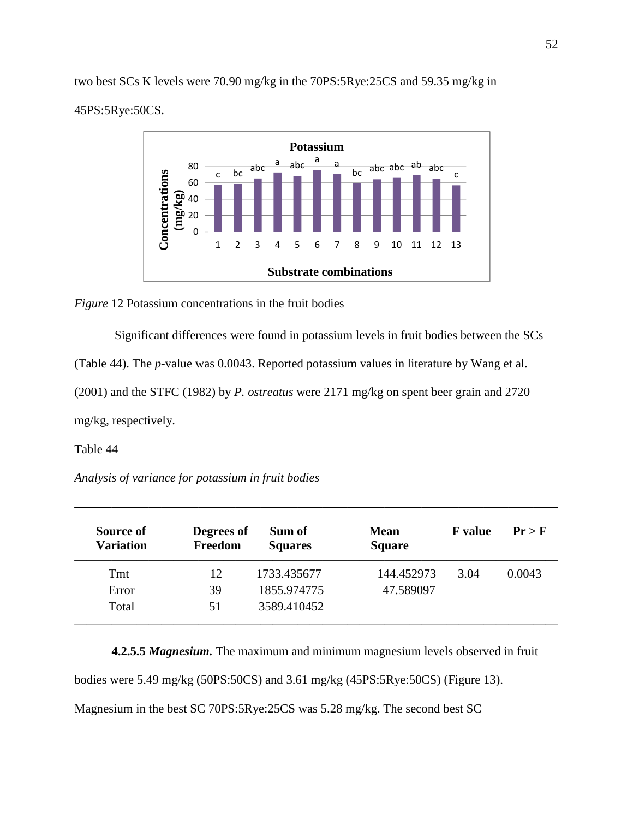two best SCs K levels were 70.90 mg/kg in the 70PS:5Rye:25CS and 59.35 mg/kg in 45PS:5Rye:50CS.



*Figure* 12 Potassium concentrations in the fruit bodies

Significant differences were found in potassium levels in fruit bodies between the SCs

(Table 44). The *p*-value was 0.0043. Reported potassium values in literature by Wang et al.

(2001) and the STFC (1982) by *P. ostreatus* were 2171 mg/kg on spent beer grain and 2720

mg/kg, respectively.

Table 44

*Analysis of variance for potassium in fruit bodies* 

| Source of<br><b>Variation</b> | Degrees of<br>Freedom | Sum of<br><b>Squares</b> | <b>Mean</b><br><b>Square</b> | <b>F</b> value | $Pr$ > F |
|-------------------------------|-----------------------|--------------------------|------------------------------|----------------|----------|
| Tmt                           | 12                    | 1733.435677              | 144.452973                   | 3.04           | 0.0043   |
| Error                         | 39                    | 1855.974775              | 47.589097                    |                |          |
| Total                         | 51                    | 3589.410452              |                              |                |          |

**———————————————————————————————————————** 

**4.2.5.5** *Magnesium.* The maximum and minimum magnesium levels observed in fruit bodies were 5.49 mg/kg (50PS:50CS) and 3.61 mg/kg (45PS:5Rye:50CS) (Figure 13). Magnesium in the best SC 70PS:5Rye:25CS was 5.28 mg/kg. The second best SC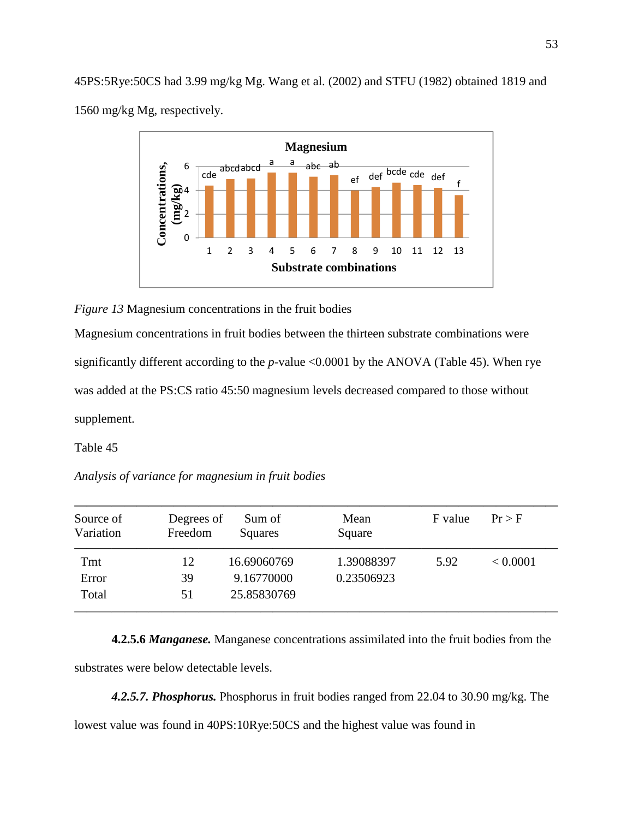45PS:5Rye:50CS had 3.99 mg/kg Mg. Wang et al. (2002) and STFU (1982) obtained 1819 and 1560 mg/kg Mg, respectively.



*Figure 13* Magnesium concentrations in the fruit bodies

Magnesium concentrations in fruit bodies between the thirteen substrate combinations were significantly different according to the *p*-value <0.0001 by the ANOVA (Table 45). When rye was added at the PS:CS ratio 45:50 magnesium levels decreased compared to those without supplement.

Table 45

*Analysis of variance for magnesium in fruit bodies* 

| Source of<br>Variation | Degrees of<br>Freedom | Sum of<br>Squares | Mean<br>Square | F value | $Pr$ > F |
|------------------------|-----------------------|-------------------|----------------|---------|----------|
| Tmt                    | 12                    | 16.69060769       | 1.39088397     | 5.92    | < 0.0001 |
| Error                  | 39                    | 9.16770000        | 0.23506923     |         |          |
| Total                  | 51                    | 25.85830769       |                |         |          |

 **4.2.5.6** *Manganese.* Manganese concentrations assimilated into the fruit bodies from the substrates were below detectable levels.

*4.2.5.7. Phosphorus.* Phosphorus in fruit bodies ranged from 22.04 to 30.90 mg/kg. The lowest value was found in 40PS:10Rye:50CS and the highest value was found in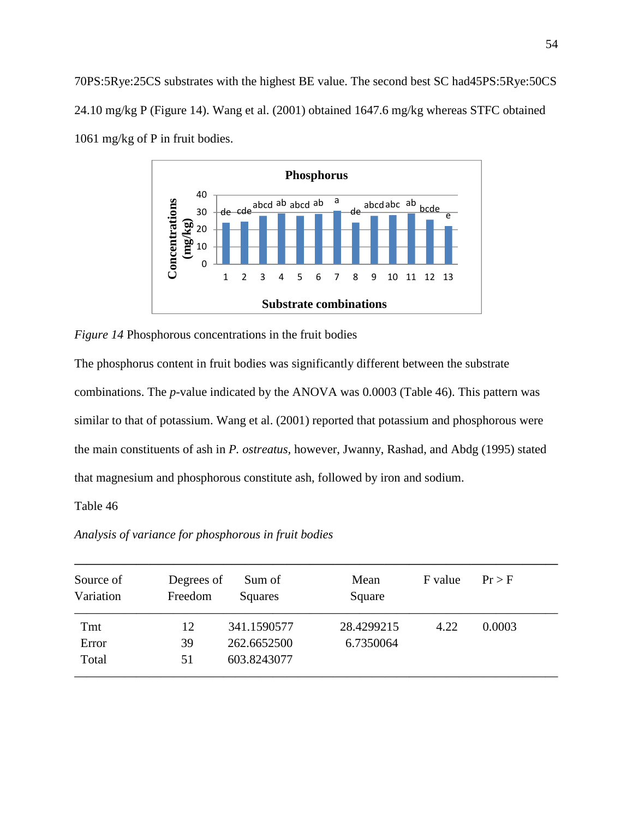70PS:5Rye:25CS substrates with the highest BE value. The second best SC had45PS:5Rye:50CS 24.10 mg/kg P (Figure 14). Wang et al. (2001) obtained 1647.6 mg/kg whereas STFC obtained 1061 mg/kg of P in fruit bodies.



*Figure 14* Phosphorous concentrations in the fruit bodies

The phosphorus content in fruit bodies was significantly different between the substrate combinations. The *p*-value indicated by the ANOVA was 0.0003 (Table 46). This pattern was similar to that of potassium. Wang et al. (2001) reported that potassium and phosphorous were the main constituents of ash in *P. ostreatus,* however, Jwanny, Rashad, and Abdg (1995) stated that magnesium and phosphorous constitute ash, followed by iron and sodium.

# Table 46

*Analysis of variance for phosphorous in fruit bodies* 

| Source of<br>Variation | Degrees of<br>Freedom | Sum of<br>Squares | Mean<br>Square | F value | Pr > F |
|------------------------|-----------------------|-------------------|----------------|---------|--------|
| Tmt                    | 12                    | 341.1590577       | 28.4299215     | 4.22    | 0.0003 |
| Error                  | 39                    | 262.6652500       | 6.7350064      |         |        |
| Total                  | 51                    | 603.8243077       |                |         |        |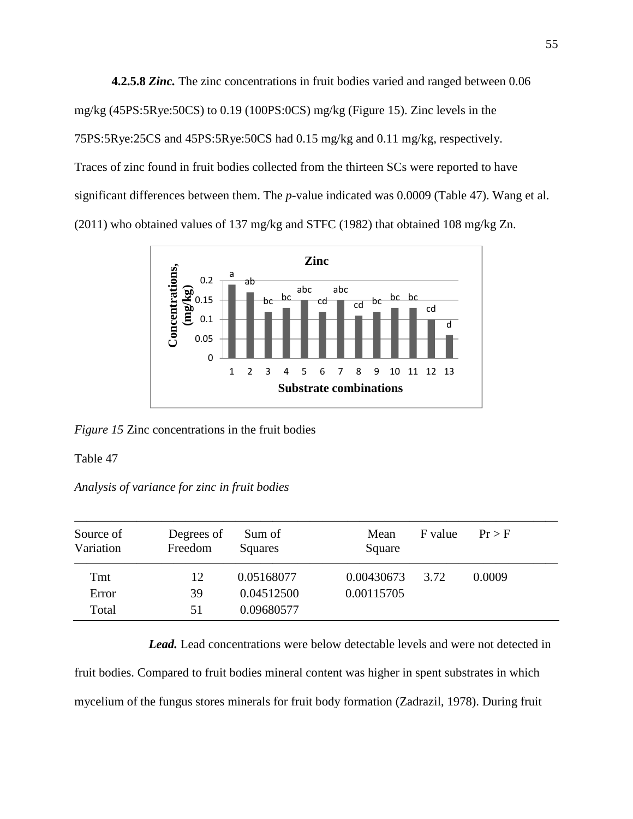**4.2.5.8** *Zinc.* The zinc concentrations in fruit bodies varied and ranged between 0.06 mg/kg (45PS:5Rye:50CS) to 0.19 (100PS:0CS) mg/kg (Figure 15). Zinc levels in the 75PS:5Rye:25CS and 45PS:5Rye:50CS had 0.15 mg/kg and 0.11 mg/kg, respectively. Traces of zinc found in fruit bodies collected from the thirteen SCs were reported to have significant differences between them. The *p*-value indicated was 0.0009 (Table 47). Wang et al. (2011) who obtained values of 137 mg/kg and STFC (1982) that obtained 108 mg/kg Zn.



*Figure 15* Zinc concentrations in the fruit bodies

Table 47

*Analysis of variance for zinc in fruit bodies* 

| Source of<br>Variation | Degrees of<br>Freedom | Sum of<br>Squares | Mean<br>Square | F value | $Pr$ > F |
|------------------------|-----------------------|-------------------|----------------|---------|----------|
| Tmt                    | 12                    | 0.05168077        | 0.00430673     | 3.72    | 0.0009   |
| Error                  | 39                    | 0.04512500        | 0.00115705     |         |          |
| Total                  | 51                    | 0.09680577        |                |         |          |

*Lead.* Lead concentrations were below detectable levels and were not detected in fruit bodies. Compared to fruit bodies mineral content was higher in spent substrates in which mycelium of the fungus stores minerals for fruit body formation (Zadrazil, 1978). During fruit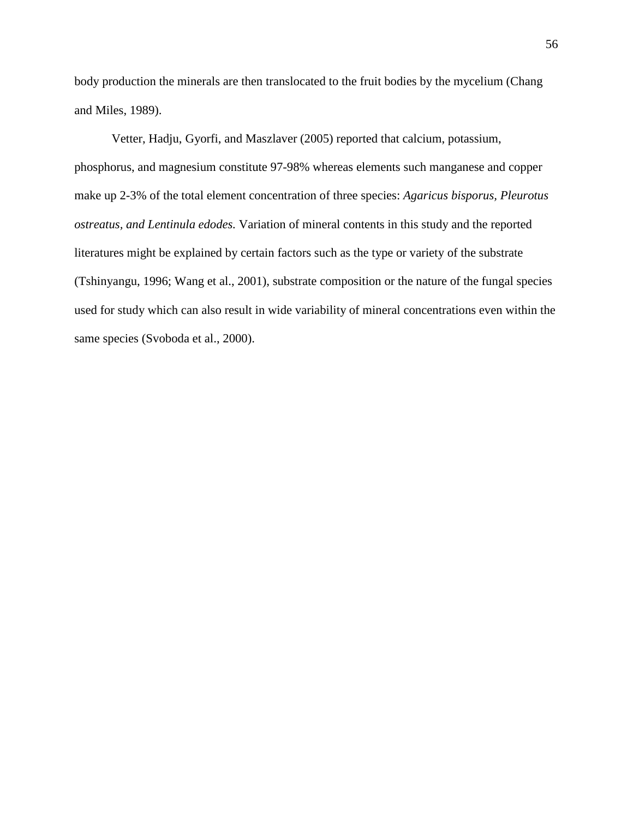body production the minerals are then translocated to the fruit bodies by the mycelium (Chang and Miles, 1989).

Vetter, Hadju, Gyorfi, and Maszlaver (2005) reported that calcium, potassium, phosphorus, and magnesium constitute 97-98% whereas elements such manganese and copper make up 2-3% of the total element concentration of three species: *Agaricus bisporus, Pleurotus ostreatus, and Lentinula edodes.* Variation of mineral contents in this study and the reported literatures might be explained by certain factors such as the type or variety of the substrate (Tshinyangu, 1996; Wang et al., 2001), substrate composition or the nature of the fungal species used for study which can also result in wide variability of mineral concentrations even within the same species (Svoboda et al., 2000).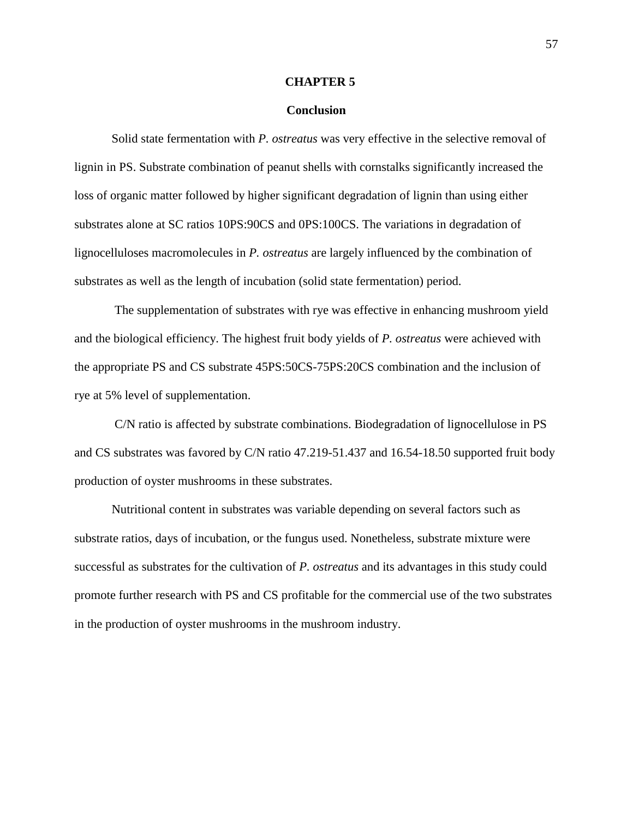#### **CHAPTER 5**

#### **Conclusion**

Solid state fermentation with *P. ostreatus* was very effective in the selective removal of lignin in PS. Substrate combination of peanut shells with cornstalks significantly increased the loss of organic matter followed by higher significant degradation of lignin than using either substrates alone at SC ratios 10PS:90CS and 0PS:100CS. The variations in degradation of lignocelluloses macromolecules in *P. ostreatus* are largely influenced by the combination of substrates as well as the length of incubation (solid state fermentation) period.

 The supplementation of substrates with rye was effective in enhancing mushroom yield and the biological efficiency. The highest fruit body yields of *P. ostreatus* were achieved with the appropriate PS and CS substrate 45PS:50CS-75PS:20CS combination and the inclusion of rye at 5% level of supplementation.

 C/N ratio is affected by substrate combinations. Biodegradation of lignocellulose in PS and CS substrates was favored by C/N ratio 47.219-51.437 and 16.54-18.50 supported fruit body production of oyster mushrooms in these substrates.

Nutritional content in substrates was variable depending on several factors such as substrate ratios, days of incubation, or the fungus used. Nonetheless, substrate mixture were successful as substrates for the cultivation of *P. ostreatus* and its advantages in this study could promote further research with PS and CS profitable for the commercial use of the two substrates in the production of oyster mushrooms in the mushroom industry.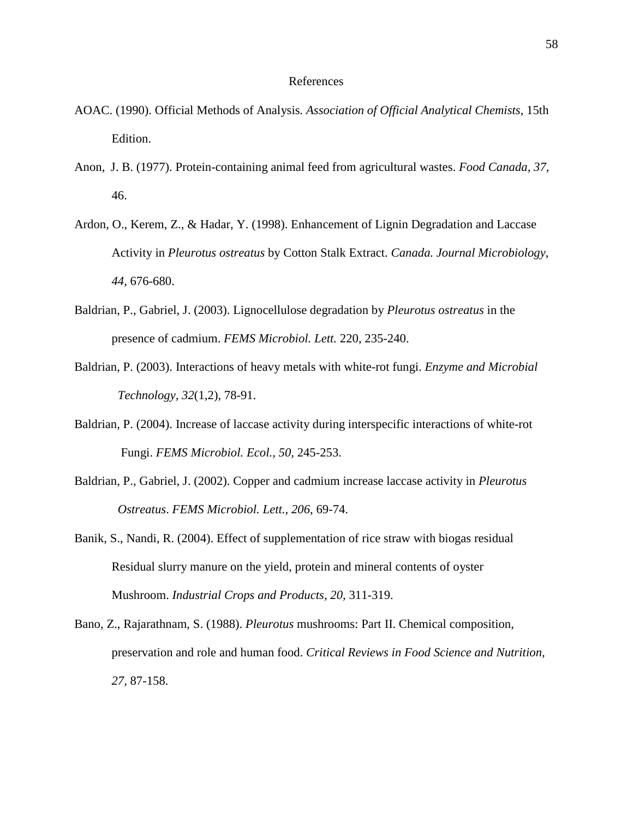## References

- AOAC. (1990). Official Methods of Analysis*. Association of Official Analytical Chemists*, 15th Edition.
- Anon, J. B. (1977). Protein-containing animal feed from agricultural wastes. *Food Canada, 37,* 46.
- Ardon, O., Kerem, Z., & Hadar, Y. (1998). Enhancement of Lignin Degradation and Laccase Activity in *Pleurotus ostreatus* by Cotton Stalk Extract. *Canada. Journal Microbiology*, *44,* 676-680.
- Baldrian, P., Gabriel, J. (2003). Lignocellulose degradation by *Pleurotus ostreatus* in the presence of cadmium. *FEMS Microbiol. Lett.* 220, 235-240.
- Baldrian, P. (2003). Interactions of heavy metals with white-rot fungi. *Enzyme and Microbial Technology, 32*(1,2), 78-91.
- Baldrian, P. (2004). Increase of laccase activity during interspecific interactions of white-rot Fungi. *FEMS Microbiol. Ecol., 50,* 245-253.
- Baldrian, P., Gabriel, J. (2002). Copper and cadmium increase laccase activity in *Pleurotus Ostreatus*. *FEMS Microbiol. Lett., 206,* 69-74.
- Banik, S., Nandi, R. (2004). Effect of supplementation of rice straw with biogas residual Residual slurry manure on the yield, protein and mineral contents of oyster Mushroom. *Industrial Crops and Products, 20,* 311-319.
- Bano, Z., Rajarathnam, S. (1988). *Pleurotus* mushrooms: Part II. Chemical composition, preservation and role and human food. *Critical Reviews in Food Science and Nutrition, 27,* 87-158.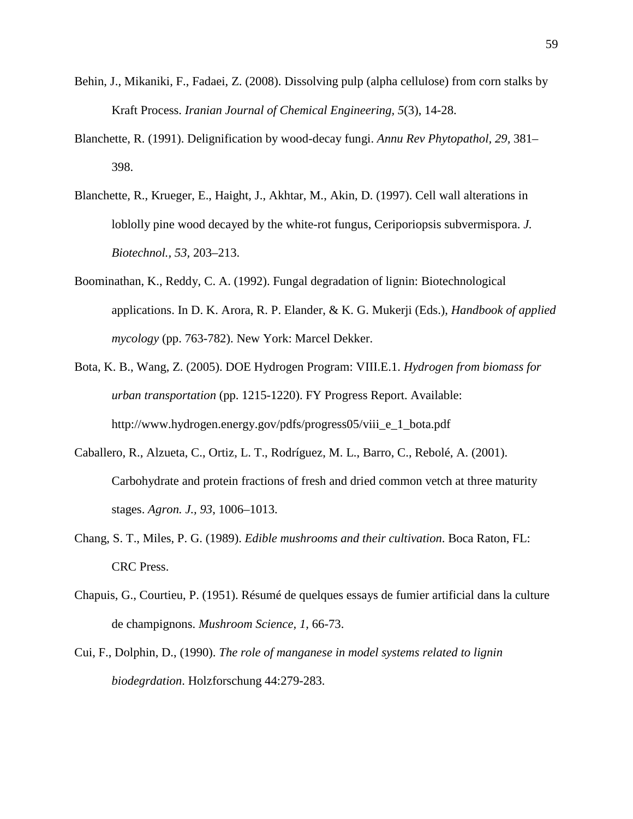- Behin, J., Mikaniki, F., Fadaei, Z. (2008). Dissolving pulp (alpha cellulose) from corn stalks by Kraft Process. *Iranian Journal of Chemical Engineering, 5*(3), 14-28.
- Blanchette, R. (1991). Delignification by wood-decay fungi. *Annu Rev Phytopathol, 29,* 381– 398.
- Blanchette, R., Krueger, E., Haight, J., Akhtar, M., Akin, D. (1997). Cell wall alterations in loblolly pine wood decayed by the white-rot fungus, Ceriporiopsis subvermispora. *J. Biotechnol., 53,* 203–213.
- Boominathan, K., Reddy, C. A. (1992). Fungal degradation of lignin: Biotechnological applications. In D. K. Arora, R. P. Elander, & K. G. Mukerji (Eds.), *Handbook of applied mycology* (pp. 763-782). New York: Marcel Dekker.
- Bota, K. B., Wang, Z. (2005). DOE Hydrogen Program: VIII.E.1. *Hydrogen from biomass for urban transportation* (pp. 1215-1220). FY Progress Report. Available: http://www.hydrogen.energy.gov/pdfs/progress05/viii\_e\_1\_bota.pdf
- Caballero, R., Alzueta, C., Ortiz, L. T., Rodríguez, M. L., Barro, C., Rebolé, A. (2001). Carbohydrate and protein fractions of fresh and dried common vetch at three maturity stages. *Agron. J., 93*, 1006–1013.
- Chang, S. T., Miles, P. G. (1989). *Edible mushrooms and their cultivation*. Boca Raton, FL: CRC Press.
- Chapuis, G., Courtieu, P. (1951). Résumé de quelques essays de fumier artificial dans la culture de champignons. *Mushroom Science, 1,* 66-73.
- Cui, F., Dolphin, D., (1990). *The role of manganese in model systems related to lignin biodegrdation*. Holzforschung 44:279-283.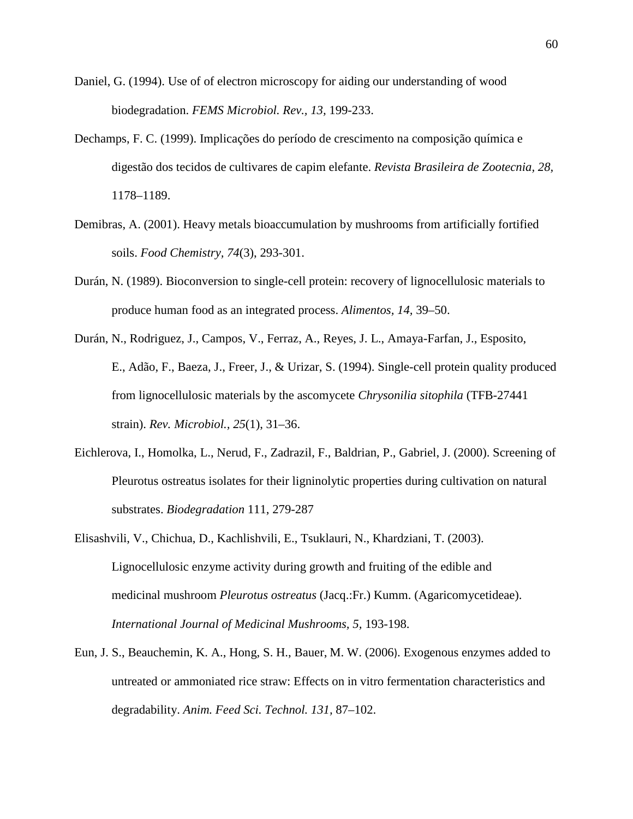- Daniel, G. (1994). Use of of electron microscopy for aiding our understanding of wood biodegradation. *FEMS Microbiol. Rev., 13,* 199-233.
- Dechamps, F. C. (1999). Implicações do período de crescimento na composição química e digestão dos tecidos de cultivares de capim elefante. *Revista Brasileira de Zootecnia, 28,* 1178–1189.
- Demibras, A. (2001). Heavy metals bioaccumulation by mushrooms from artificially fortified soils. *Food Chemistry, 74*(3), 293-301.
- Durán, N. (1989). Bioconversion to single-cell protein: recovery of lignocellulosic materials to produce human food as an integrated process. *Alimentos, 14,* 39–50.
- Durán, N., Rodriguez, J., Campos, V., Ferraz, A., Reyes, J. L., Amaya-Farfan, J., Esposito, E., Adão, F., Baeza, J., Freer, J., & Urizar, S. (1994). Single-cell protein quality produced from lignocellulosic materials by the ascomycete *Chrysonilia sitophila* (TFB-27441 strain). *Rev. Microbiol., 25*(1), 31–36.
- Eichlerova, I., Homolka, L., Nerud, F., Zadrazil, F., Baldrian, P., Gabriel, J. (2000). Screening of Pleurotus ostreatus isolates for their ligninolytic properties during cultivation on natural substrates. *Biodegradation* 111, 279-287
- Elisashvili, V., Chichua, D., Kachlishvili, E., Tsuklauri, N., Khardziani, T. (2003). Lignocellulosic enzyme activity during growth and fruiting of the edible and medicinal mushroom *Pleurotus ostreatus* (Jacq.:Fr.) Kumm. (Agaricomycetideae). *International Journal of Medicinal Mushrooms, 5,* 193-198.
- Eun, J. S., Beauchemin, K. A., Hong, S. H., Bauer, M. W. (2006). Exogenous enzymes added to untreated or ammoniated rice straw: Effects on in vitro fermentation characteristics and degradability. *Anim. Feed Sci. Technol. 131,* 87–102.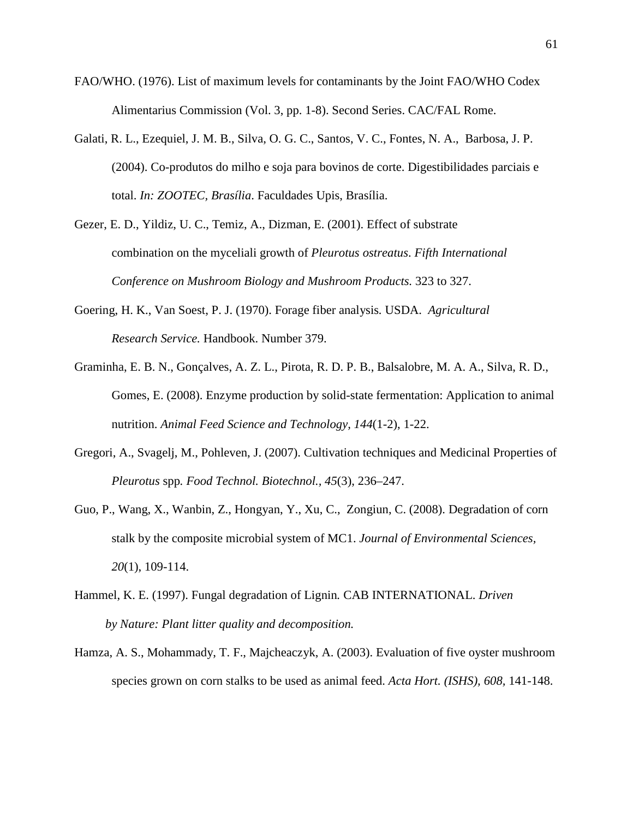- FAO/WHO. (1976). List of maximum levels for contaminants by the Joint FAO/WHO Codex Alimentarius Commission (Vol. 3, pp. 1-8). Second Series. CAC/FAL Rome.
- Galati, R. L., Ezequiel, J. M. B., Silva, O. G. C., Santos, V. C., Fontes, N. A., Barbosa, J. P. (2004). Co-produtos do milho e soja para bovinos de corte. Digestibilidades parciais e total. *In: ZOOTEC, Brasília*. Faculdades Upis, Brasília.
- Gezer, E. D., Yildiz, U. C., Temiz, A., Dizman, E. (2001). Effect of substrate combination on the myceliali growth of *Pleurotus ostreatus*. *Fifth International Conference on Mushroom Biology and Mushroom Products.* 323 to 327.
- Goering, H. K., Van Soest, P. J. (1970). Forage fiber analysis*.* USDA. *Agricultural Research Service.* Handbook. Number 379.
- Graminha, E. B. N., Gonçalves, A. Z. L., Pirota, R. D. P. B., Balsalobre, M. A. A., Silva, R. D., Gomes, E. (2008). Enzyme production by solid-state fermentation: Application to animal nutrition. *Animal Feed Science and Technology, 144*(1-2), 1-22.
- Gregori, A., Svagelj, M., Pohleven, J. (2007). Cultivation techniques and Medicinal Properties of *Pleurotus* spp*. Food Technol. Biotechnol., 45*(3), 236–247.
- Guo, P., Wang, X., Wanbin, Z., Hongyan, Y., Xu, C., Zongiun, C. (2008). Degradation of corn stalk by the composite microbial system of MC1. *Journal of Environmental Sciences, 20*(1), 109-114.
- Hammel, K. E. (1997). Fungal degradation of Lignin*.* CAB INTERNATIONAL. *Driven by Nature: Plant litter quality and decomposition.*
- Hamza, A. S., Mohammady, T. F., Majcheaczyk, A. (2003). Evaluation of five oyster mushroom species grown on corn stalks to be used as animal feed. *Acta Hort. (ISHS), 608,* 141-148.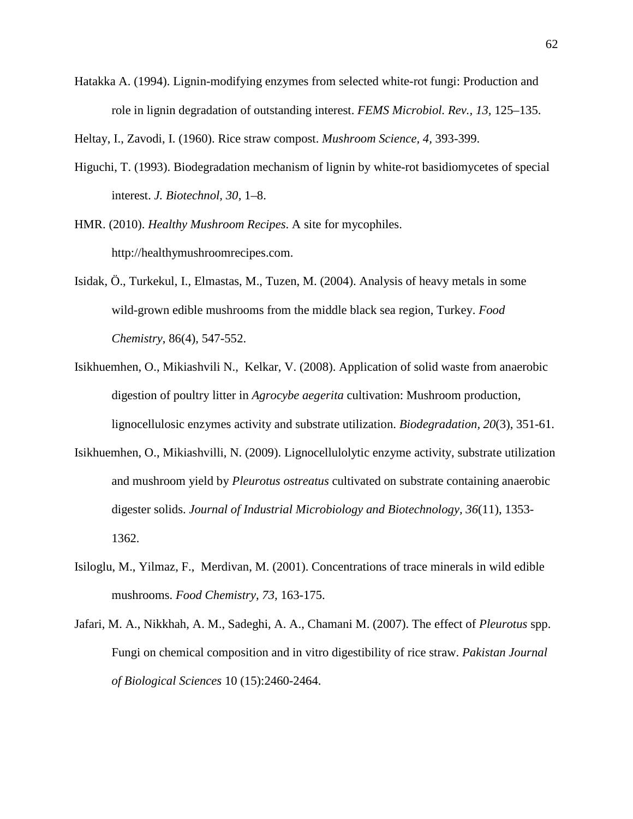Hatakka A. (1994). Lignin-modifying enzymes from selected white-rot fungi: Production and role in lignin degradation of outstanding interest. *FEMS Microbiol. Rev., 13,* 125–135.

Heltay, I., Zavodi, I. (1960). Rice straw compost. *Mushroom Science, 4,* 393-399.

- Higuchi, T. (1993). Biodegradation mechanism of lignin by white-rot basidiomycetes of special interest. *J. Biotechnol, 30,* 1–8.
- HMR. (2010). *Healthy Mushroom Recipes*. A site for mycophiles. http://healthymushroomrecipes.com.
- Isidak, Ö., Turkekul, I., Elmastas, M., Tuzen, M. (2004). Analysis of heavy metals in some wild-grown edible mushrooms from the middle black sea region, Turkey. *Food Chemistry*, 86(4), 547-552.
- Isikhuemhen, O., Mikiashvili N., Kelkar, V. (2008). Application of solid waste from anaerobic digestion of poultry litter in *Agrocybe aegerita* cultivation: Mushroom production, lignocellulosic enzymes activity and substrate utilization. *Biodegradation, 20*(3), 351-61.
- Isikhuemhen, O., Mikiashvilli, N. (2009). Lignocellulolytic enzyme activity, substrate utilization and mushroom yield by *Pleurotus ostreatus* cultivated on substrate containing anaerobic digester solids. *Journal of Industrial Microbiology and Biotechnology, 36*(11), 1353- 1362.
- Isiloglu, M., Yilmaz, F., Merdivan, M. (2001). Concentrations of trace minerals in wild edible mushrooms. *Food Chemistry, 73,* 163-175.
- Jafari, M. A., Nikkhah, A. M., Sadeghi, A. A., Chamani M. (2007). The effect of *Pleurotus* spp. Fungi on chemical composition and in vitro digestibility of rice straw. *Pakistan Journal of Biological Sciences* 10 (15):2460-2464.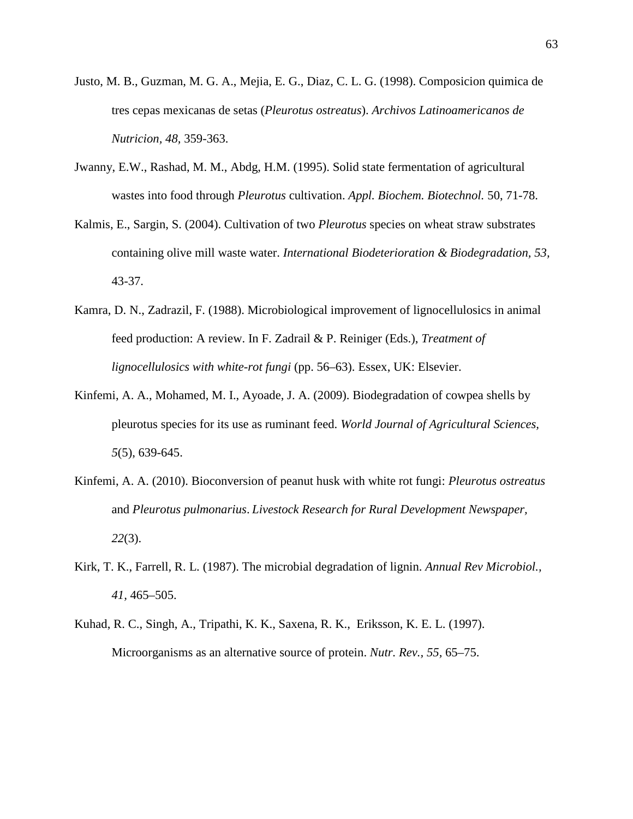- Justo, M. B., Guzman, M. G. A., Mejia, E. G., Diaz, C. L. G. (1998). Composicion quimica de tres cepas mexicanas de setas (*Pleurotus ostreatus*). *Archivos Latinoamericanos de Nutricion, 48,* 359-363.
- Jwanny, E.W., Rashad, M. M., Abdg, H.M. (1995). Solid state fermentation of agricultural wastes into food through *Pleurotus* cultivation. *Appl. Biochem. Biotechnol.* 50, 71-78.
- Kalmis, E., Sargin, S. (2004). Cultivation of two *Pleurotus* species on wheat straw substrates containing olive mill waste water. *International Biodeterioration & Biodegradation, 53,* 43-37.
- Kamra, D. N., Zadrazil, F. (1988). Microbiological improvement of lignocellulosics in animal feed production: A review. In F. Zadrail & P. Reiniger (Eds.), *Treatment of lignocellulosics with white-rot fungi* (pp. 56–63). Essex, UK: Elsevier.
- Kinfemi, A. A., Mohamed, M. I., Ayoade, J. A. (2009). Biodegradation of cowpea shells by pleurotus species for its use as ruminant feed. *World Journal of Agricultural Sciences, 5*(5), 639-645.
- Kinfemi, A. A. (2010). Bioconversion of peanut husk with white rot fungi: *Pleurotus ostreatus* and *Pleurotus pulmonarius*. *Livestock Research for Rural Development Newspaper, 22*(3).
- Kirk, T. K., Farrell, R. L. (1987). The microbial degradation of lignin. *Annual Rev Microbiol., 41,* 465–505.
- Kuhad, R. C., Singh, A., Tripathi, K. K., Saxena, R. K., Eriksson, K. E. L. (1997). Microorganisms as an alternative source of protein. *Nutr. Rev., 55,* 65–75.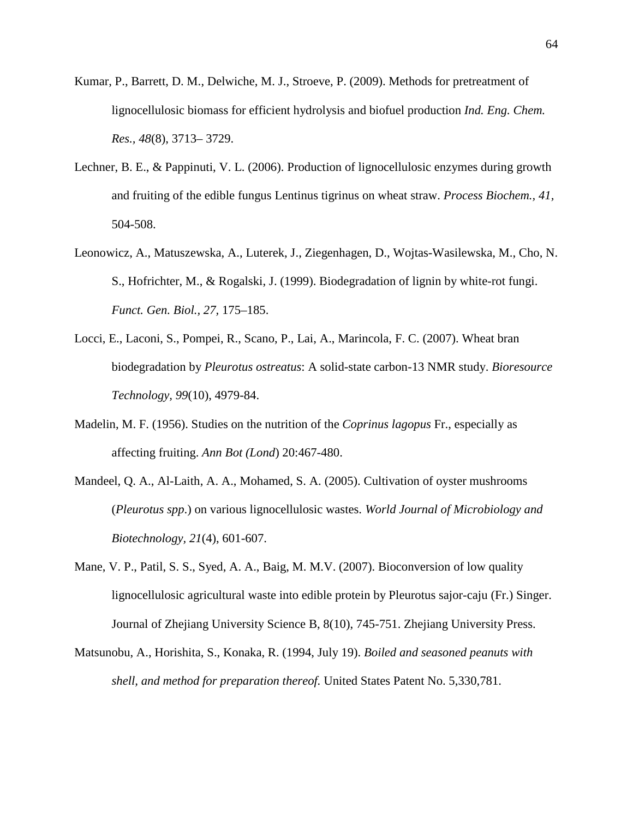- Kumar, P., Barrett, D. M., Delwiche, M. J., Stroeve, P. (2009). Methods for pretreatment of lignocellulosic biomass for efficient hydrolysis and biofuel production *Ind. Eng. Chem. Res., 48*(8), 3713– 3729.
- Lechner, B. E., & Pappinuti, V. L. (2006). Production of lignocellulosic enzymes during growth and fruiting of the edible fungus Lentinus tigrinus on wheat straw. *Process Biochem., 41,* 504-508.
- Leonowicz, A., Matuszewska, A., Luterek, J., Ziegenhagen, D., Wojtas-Wasilewska, M., Cho, N. S., Hofrichter, M., & Rogalski, J. (1999). Biodegradation of lignin by white-rot fungi. *Funct. Gen. Biol., 27,* 175–185.
- Locci, E., Laconi, S., Pompei, R., Scano, P., Lai, A., Marincola, F. C. (2007). Wheat bran biodegradation by *Pleurotus ostreatus*: A solid-state carbon-13 NMR study. *Bioresource Technology, 99*(10), 4979-84.
- Madelin, M. F. (1956). Studies on the nutrition of the *Coprinus lagopus* Fr., especially as affecting fruiting. *Ann Bot (Lond*) 20:467-480.
- Mandeel, Q. A., Al-Laith, A. A., Mohamed, S. A. (2005). Cultivation of oyster mushrooms (*Pleurotus spp*.) on various lignocellulosic wastes. *World Journal of Microbiology and Biotechnology, 21*(4), 601-607.
- Mane, V. P., Patil, S. S., Syed, A. A., Baig, M. M.V. (2007). Bioconversion of low quality lignocellulosic agricultural waste into edible protein by Pleurotus sajor-caju (Fr.) Singer. Journal of Zhejiang University Science B, 8(10), 745-751. Zhejiang University Press.
- Matsunobu, A., Horishita, S., Konaka, R. (1994, July 19). *Boiled and seasoned peanuts with shell, and method for preparation thereof.* United States Patent No. 5,330,781.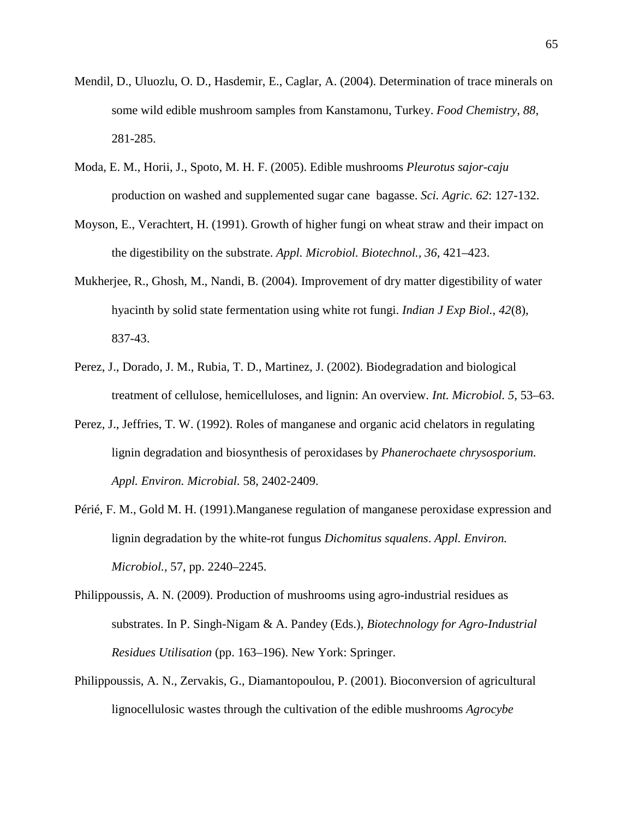- Mendil, D., Uluozlu, O. D., Hasdemir, E., Caglar, A. (2004). Determination of trace minerals on some wild edible mushroom samples from Kanstamonu, Turkey. *Food Chemistry, 88,* 281-285.
- Moda, E. M., Horii, J., Spoto, M. H. F. (2005). Edible mushrooms *Pleurotus sajor-caju*  production on washed and supplemented sugar cane bagasse. *Sci. Agric. 62*: 127-132.
- Moyson, E., Verachtert, H. (1991). Growth of higher fungi on wheat straw and their impact on the digestibility on the substrate. *Appl. Microbiol. Biotechnol., 36,* 421–423.
- Mukherjee, R., Ghosh, M., Nandi, B. (2004). Improvement of dry matter digestibility of water hyacinth by solid state fermentation using white rot fungi. *Indian J Exp Biol., 42*(8), 837-43.
- Perez, J., Dorado, J. M., Rubia, T. D., Martinez, J. (2002). Biodegradation and biological treatment of cellulose, hemicelluloses, and lignin: An overview. *Int. Microbiol. 5*, 53–63.
- Perez, J., Jeffries, T. W. (1992). Roles of manganese and organic acid chelators in regulating lignin degradation and biosynthesis of peroxidases by *Phanerochaete chrysosporium. Appl. Environ. Microbial.* 58, 2402-2409.
- Périé, F. M., Gold M. H. (1991).Manganese regulation of manganese peroxidase expression and lignin degradation by the white-rot fungus *Dichomitus squalens*. *Appl. Environ. Microbiol.,* 57, pp. 2240–2245.
- Philippoussis, A. N. (2009). Production of mushrooms using agro-industrial residues as substrates. In P. Singh-Nigam & A. Pandey (Eds.), *Biotechnology for Agro-Industrial Residues Utilisation* (pp. 163–196). New York: Springer.
- Philippoussis, A. N., Zervakis, G., Diamantopoulou, P. (2001). Bioconversion of agricultural lignocellulosic wastes through the cultivation of the edible mushrooms *Agrocybe*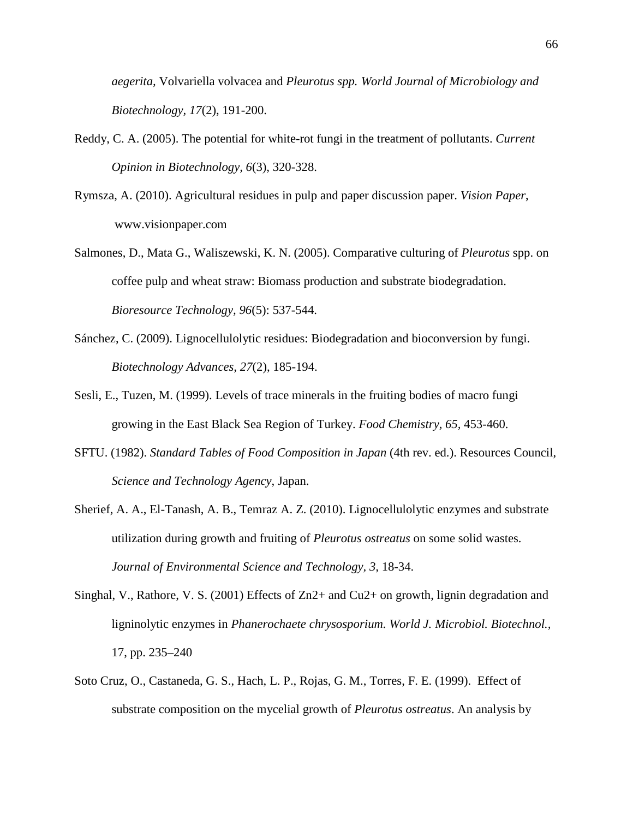*aegerita,* Volvariella volvacea and *Pleurotus spp. World Journal of Microbiology and Biotechnology, 17*(2), 191-200.

- Reddy, C. A. (2005). The potential for white-rot fungi in the treatment of pollutants. *Current Opinion in Biotechnology, 6*(3), 320-328.
- Rymsza, A. (2010). Agricultural residues in pulp and paper discussion paper. *Vision Paper*, www.visionpaper.com
- Salmones, D., Mata G., Waliszewski, K. N. (2005). Comparative culturing of *Pleurotus* spp. on coffee pulp and wheat straw: Biomass production and substrate biodegradation. *Bioresource Technology, 96*(5): 537-544.
- Sánchez, C. (2009). Lignocellulolytic residues: Biodegradation and bioconversion by fungi. *Biotechnology Advances, 27*(2), 185-194.
- Sesli, E., Tuzen, M. (1999). Levels of trace minerals in the fruiting bodies of macro fungi growing in the East Black Sea Region of Turkey. *Food Chemistry, 65,* 453-460.
- SFTU. (1982). *Standard Tables of Food Composition in Japan* (4th rev. ed.). Resources Council, *Science and Technology Agency*, Japan.
- Sherief, A. A., El-Tanash, A. B., Temraz A. Z. (2010). Lignocellulolytic enzymes and substrate utilization during growth and fruiting of *Pleurotus ostreatus* on some solid wastes. *Journal of Environmental Science and Technology, 3,* 18-34.
- Singhal, V., Rathore, V. S. (2001) Effects of Zn2+ and Cu2+ on growth, lignin degradation and ligninolytic enzymes in *Phanerochaete chrysosporium. World J. Microbiol. Biotechnol.,* 17, pp. 235–240
- Soto Cruz, O., Castaneda, G. S., Hach, L. P., Rojas, G. M., Torres, F. E. (1999). Effect of substrate composition on the mycelial growth of *Pleurotus ostreatus*. An analysis by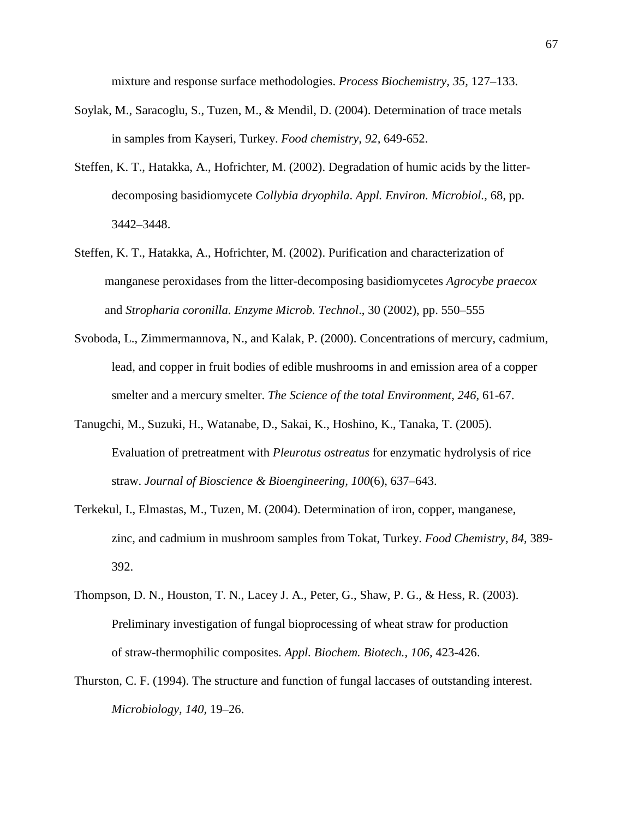mixture and response surface methodologies. *Process Biochemistry, 35,* 127–133.

- Soylak, M., Saracoglu, S., Tuzen, M., & Mendil, D. (2004). Determination of trace metals in samples from Kayseri, Turkey. *Food chemistry, 92,* 649-652.
- Steffen, K. T., Hatakka, A., Hofrichter, M. (2002). Degradation of humic acids by the litterdecomposing basidiomycete *Collybia dryophila*. *Appl. Environ. Microbiol.,* 68, pp. 3442–3448.
- Steffen, K. T., Hatakka, A., Hofrichter, M. (2002). Purification and characterization of manganese peroxidases from the litter-decomposing basidiomycetes *Agrocybe praecox* and *Stropharia coronilla*. *Enzyme Microb. Technol*., 30 (2002), pp. 550–555
- Svoboda, L., Zimmermannova, N., and Kalak, P. (2000). Concentrations of mercury, cadmium, lead, and copper in fruit bodies of edible mushrooms in and emission area of a copper smelter and a mercury smelter. *The Science of the total Environment, 246,* 61-67.
- Tanugchi, M., Suzuki, H., Watanabe, D., Sakai, K., Hoshino, K., Tanaka, T. (2005). Evaluation of pretreatment with *Pleurotus ostreatus* for enzymatic hydrolysis of rice straw. *Journal of Bioscience & Bioengineering, 100*(6), 637–643.
- Terkekul, I., Elmastas, M., Tuzen, M. (2004). Determination of iron, copper, manganese, zinc, and cadmium in mushroom samples from Tokat, Turkey. *Food Chemistry, 84,* 389- 392.
- Thompson, D. N., Houston, T. N., Lacey J. A., Peter, G., Shaw, P. G., & Hess, R. (2003). Preliminary investigation of fungal bioprocessing of wheat straw for production of straw-thermophilic composites. *Appl. Biochem. Biotech., 106,* 423-426.
- Thurston, C. F. (1994). The structure and function of fungal laccases of outstanding interest. *Microbiology, 140,* 19–26.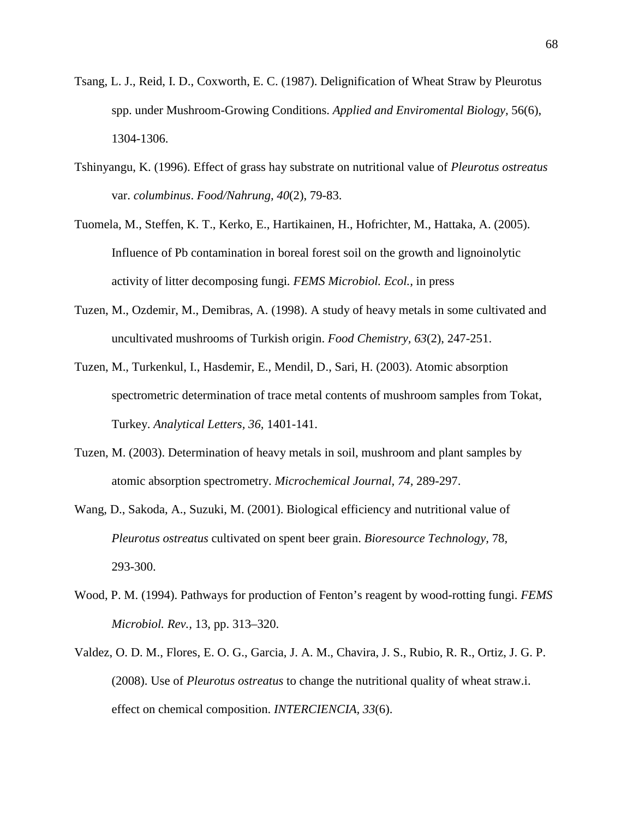- Tsang, L. J., Reid, I. D., Coxworth, E. C. (1987). Delignification of Wheat Straw by Pleurotus spp. under Mushroom-Growing Conditions. *Applied and Enviromental Biology,* 56(6), 1304-1306.
- Tshinyangu, K. (1996). Effect of grass hay substrate on nutritional value of *Pleurotus ostreatus*  var. *columbinus*. *Food/Nahrung, 40*(2), 79-83.
- Tuomela, M., Steffen, K. T., Kerko, E., Hartikainen, H., Hofrichter, M., Hattaka, A. (2005). Influence of Pb contamination in boreal forest soil on the growth and lignoinolytic activity of litter decomposing fungi*. FEMS Microbiol. Ecol.,* in press
- Tuzen, M., Ozdemir, M., Demibras, A. (1998). A study of heavy metals in some cultivated and uncultivated mushrooms of Turkish origin. *Food Chemistry, 63*(2), 247-251.
- Tuzen, M., Turkenkul, I., Hasdemir, E., Mendil, D., Sari, H. (2003). Atomic absorption spectrometric determination of trace metal contents of mushroom samples from Tokat, Turkey. *Analytical Letters, 36,* 1401-141.
- Tuzen, M. (2003). Determination of heavy metals in soil, mushroom and plant samples by atomic absorption spectrometry. *Microchemical Journal, 74,* 289-297.
- Wang, D., Sakoda, A., Suzuki, M. (2001). Biological efficiency and nutritional value of *Pleurotus ostreatus* cultivated on spent beer grain. *Bioresource Technology,* 78*,*  293-300.
- Wood, P. M. (1994). Pathways for production of Fenton's reagent by wood-rotting fungi. *FEMS Microbiol. Rev.,* 13, pp. 313–320.
- Valdez, O. D. M., Flores, E. O. G., Garcia, J. A. M., Chavira, J. S., Rubio, R. R., Ortiz, J. G. P. (2008). Use of *Pleurotus ostreatus* to change the nutritional quality of wheat straw.i. effect on chemical composition. *INTERCIENCIA, 33*(6).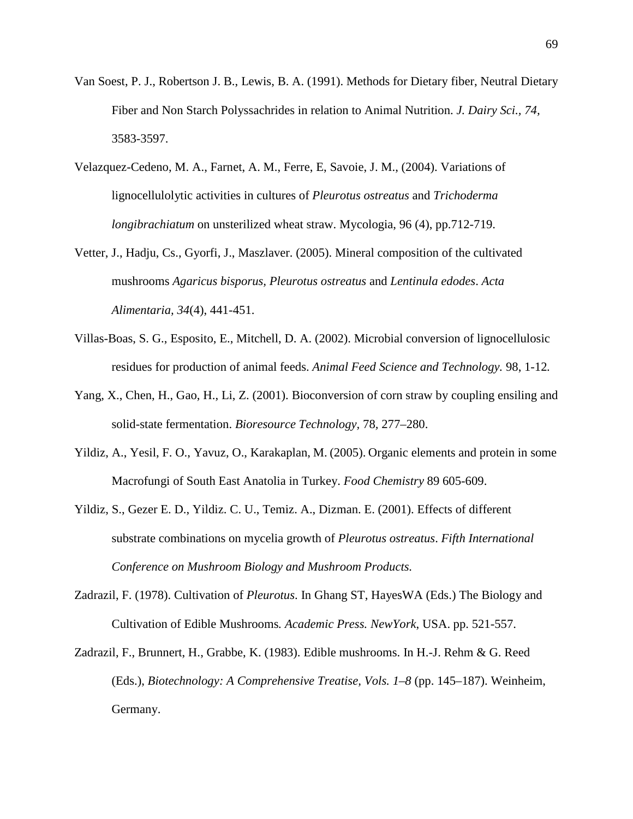- Van Soest, P. J., Robertson J. B., Lewis, B. A. (1991). Methods for Dietary fiber, Neutral Dietary Fiber and Non Starch Polyssachrides in relation to Animal Nutrition. *J. Dairy Sci., 74,* 3583-3597.
- Velazquez-Cedeno, M. A., Farnet, A. M., Ferre, E, Savoie, J. M., (2004). Variations of lignocellulolytic activities in cultures of *Pleurotus ostreatus* and *Trichoderma longibrachiatum* on unsterilized wheat straw. Mycologia, 96 (4), pp.712-719.
- Vetter, J., Hadju, Cs., Gyorfi, J., Maszlaver. (2005). Mineral composition of the cultivated mushrooms *Agaricus bisporus, Pleurotus ostreatus* and *Lentinula edodes*. *Acta Alimentaria, 34*(4), 441-451.
- Villas-Boas, S. G., Esposito, E., Mitchell, D. A. (2002). Microbial conversion of lignocellulosic residues for production of animal feeds. *Animal Feed Science and Technology.* 98, 1-12*.*
- Yang, X., Chen, H., Gao, H., Li, Z. (2001). Bioconversion of corn straw by coupling ensiling and solid-state fermentation. *Bioresource Technology,* 78*,* 277–280.
- Yildiz, A., Yesil, F. O., Yavuz, O., Karakaplan, M. (2005). Organic elements and protein in some Macrofungi of South East Anatolia in Turkey. *Food Chemistry* 89 605-609.
- Yildiz, S., Gezer E. D., Yildiz. C. U., Temiz. A., Dizman. E. (2001). Effects of different substrate combinations on mycelia growth of *Pleurotus ostreatus*. *Fifth International Conference on Mushroom Biology and Mushroom Products.*
- Zadrazil, F. (1978). Cultivation of *Pleurotus*. In Ghang ST, HayesWA (Eds.) The Biology and Cultivation of Edible Mushrooms*. Academic Press. NewYork*, USA. pp. 521-557.
- Zadrazil, F., Brunnert, H., Grabbe, K. (1983). Edible mushrooms. In H.-J. Rehm & G. Reed (Eds.), *Biotechnology: A Comprehensive Treatise, Vols. 1–8* (pp. 145–187). Weinheim, Germany.